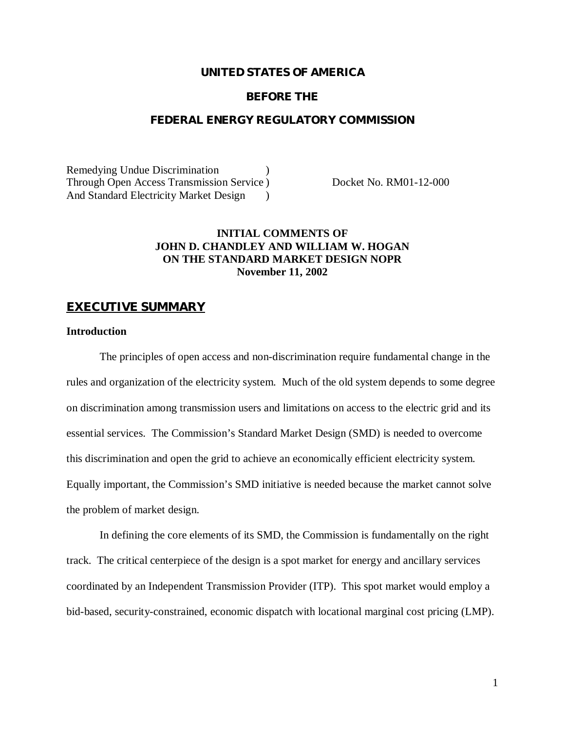## **UNITED STATES OF AMERICA**

#### **BEFORE THE**

#### **FEDERAL ENERGY REGULATORY COMMISSION**

Remedying Undue Discrimination ) Through Open Access Transmission Service ) Docket No. RM01-12-000 And Standard Electricity Market Design )

# **INITIAL COMMENTS OF JOHN D. CHANDLEY AND WILLIAM W. HOGAN ON THE STANDARD MARKET DESIGN NOPR November 11, 2002**

#### **EXECUTIVE SUMMARY**

#### **Introduction**

The principles of open access and non-discrimination require fundamental change in the rules and organization of the electricity system. Much of the old system depends to some degree on discrimination among transmission users and limitations on access to the electric grid and its essential services. The Commission's Standard Market Design (SMD) is needed to overcome this discrimination and open the grid to achieve an economically efficient electricity system. Equally important, the Commission's SMD initiative is needed because the market cannot solve the problem of market design.

In defining the core elements of its SMD, the Commission is fundamentally on the right track. The critical centerpiece of the design is a spot market for energy and ancillary services coordinated by an Independent Transmission Provider (ITP). This spot market would employ a bid-based, security-constrained, economic dispatch with locational marginal cost pricing (LMP).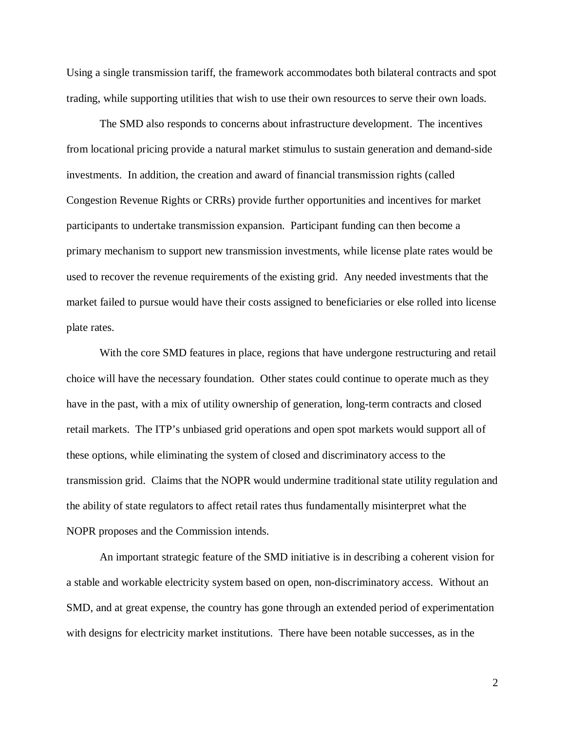Using a single transmission tariff, the framework accommodates both bilateral contracts and spot trading, while supporting utilities that wish to use their own resources to serve their own loads.

The SMD also responds to concerns about infrastructure development. The incentives from locational pricing provide a natural market stimulus to sustain generation and demand-side investments. In addition, the creation and award of financial transmission rights (called Congestion Revenue Rights or CRRs) provide further opportunities and incentives for market participants to undertake transmission expansion. Participant funding can then become a primary mechanism to support new transmission investments, while license plate rates would be used to recover the revenue requirements of the existing grid. Any needed investments that the market failed to pursue would have their costs assigned to beneficiaries or else rolled into license plate rates.

With the core SMD features in place, regions that have undergone restructuring and retail choice will have the necessary foundation. Other states could continue to operate much as they have in the past, with a mix of utility ownership of generation, long-term contracts and closed retail markets. The ITP's unbiased grid operations and open spot markets would support all of these options, while eliminating the system of closed and discriminatory access to the transmission grid. Claims that the NOPR would undermine traditional state utility regulation and the ability of state regulators to affect retail rates thus fundamentally misinterpret what the NOPR proposes and the Commission intends.

An important strategic feature of the SMD initiative is in describing a coherent vision for a stable and workable electricity system based on open, non-discriminatory access. Without an SMD, and at great expense, the country has gone through an extended period of experimentation with designs for electricity market institutions. There have been notable successes, as in the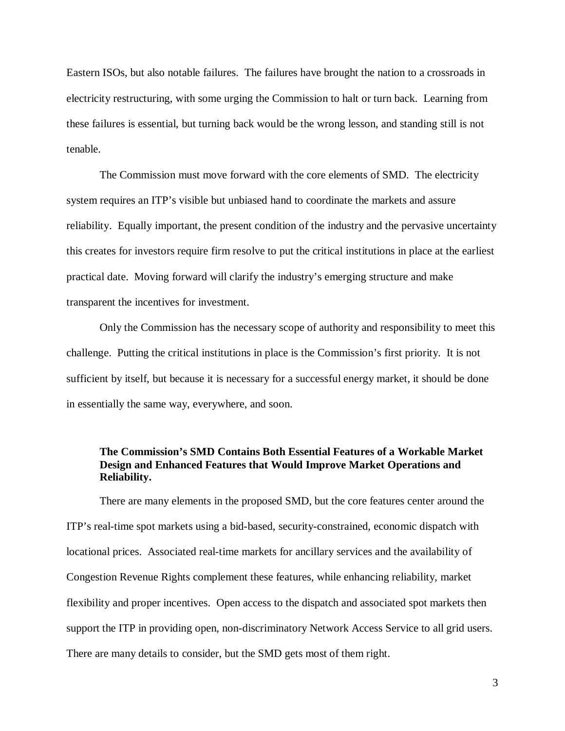Eastern ISOs, but also notable failures. The failures have brought the nation to a crossroads in electricity restructuring, with some urging the Commission to halt or turn back. Learning from these failures is essential, but turning back would be the wrong lesson, and standing still is not tenable.

The Commission must move forward with the core elements of SMD. The electricity system requires an ITP's visible but unbiased hand to coordinate the markets and assure reliability. Equally important, the present condition of the industry and the pervasive uncertainty this creates for investors require firm resolve to put the critical institutions in place at the earliest practical date. Moving forward will clarify the industry's emerging structure and make transparent the incentives for investment.

Only the Commission has the necessary scope of authority and responsibility to meet this challenge. Putting the critical institutions in place is the Commission's first priority. It is not sufficient by itself, but because it is necessary for a successful energy market, it should be done in essentially the same way, everywhere, and soon.

# **The Commission's SMD Contains Both Essential Features of a Workable Market Design and Enhanced Features that Would Improve Market Operations and Reliability.**

There are many elements in the proposed SMD, but the core features center around the ITP's real-time spot markets using a bid-based, security-constrained, economic dispatch with locational prices. Associated real-time markets for ancillary services and the availability of Congestion Revenue Rights complement these features, while enhancing reliability, market flexibility and proper incentives. Open access to the dispatch and associated spot markets then support the ITP in providing open, non-discriminatory Network Access Service to all grid users. There are many details to consider, but the SMD gets most of them right.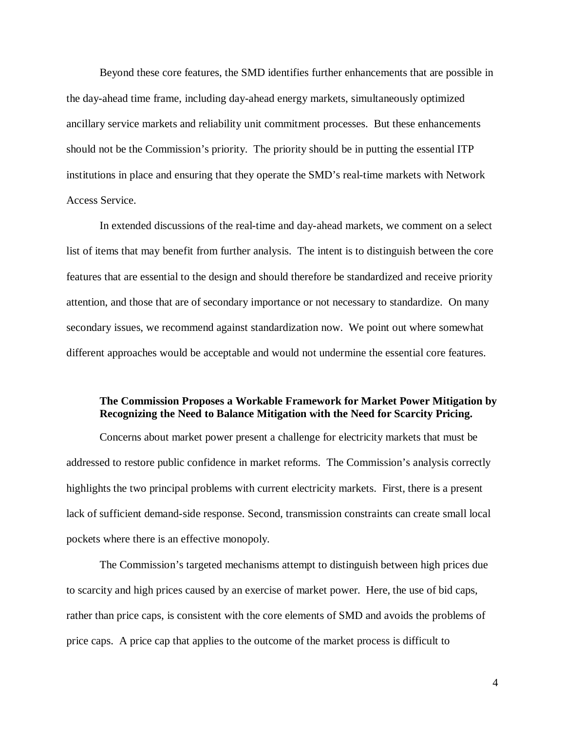Beyond these core features, the SMD identifies further enhancements that are possible in the day-ahead time frame, including day-ahead energy markets, simultaneously optimized ancillary service markets and reliability unit commitment processes. But these enhancements should not be the Commission's priority. The priority should be in putting the essential ITP institutions in place and ensuring that they operate the SMD's real-time markets with Network Access Service.

In extended discussions of the real-time and day-ahead markets, we comment on a select list of items that may benefit from further analysis. The intent is to distinguish between the core features that are essential to the design and should therefore be standardized and receive priority attention, and those that are of secondary importance or not necessary to standardize. On many secondary issues, we recommend against standardization now. We point out where somewhat different approaches would be acceptable and would not undermine the essential core features.

# **The Commission Proposes a Workable Framework for Market Power Mitigation by Recognizing the Need to Balance Mitigation with the Need for Scarcity Pricing.**

Concerns about market power present a challenge for electricity markets that must be addressed to restore public confidence in market reforms. The Commission's analysis correctly highlights the two principal problems with current electricity markets. First, there is a present lack of sufficient demand-side response. Second, transmission constraints can create small local pockets where there is an effective monopoly.

The Commission's targeted mechanisms attempt to distinguish between high prices due to scarcity and high prices caused by an exercise of market power. Here, the use of bid caps, rather than price caps, is consistent with the core elements of SMD and avoids the problems of price caps. A price cap that applies to the outcome of the market process is difficult to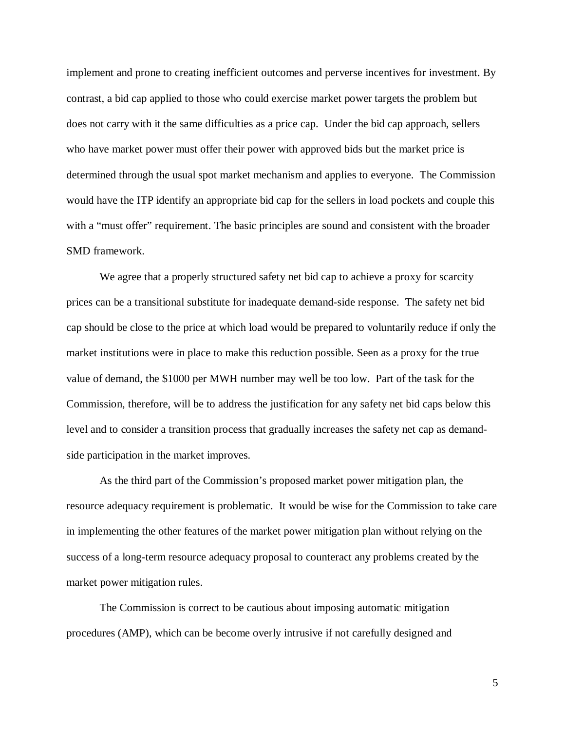implement and prone to creating inefficient outcomes and perverse incentives for investment. By contrast, a bid cap applied to those who could exercise market power targets the problem but does not carry with it the same difficulties as a price cap. Under the bid cap approach, sellers who have market power must offer their power with approved bids but the market price is determined through the usual spot market mechanism and applies to everyone. The Commission would have the ITP identify an appropriate bid cap for the sellers in load pockets and couple this with a "must offer" requirement. The basic principles are sound and consistent with the broader SMD framework.

We agree that a properly structured safety net bid cap to achieve a proxy for scarcity prices can be a transitional substitute for inadequate demand-side response. The safety net bid cap should be close to the price at which load would be prepared to voluntarily reduce if only the market institutions were in place to make this reduction possible. Seen as a proxy for the true value of demand, the \$1000 per MWH number may well be too low. Part of the task for the Commission, therefore, will be to address the justification for any safety net bid caps below this level and to consider a transition process that gradually increases the safety net cap as demandside participation in the market improves.

As the third part of the Commission's proposed market power mitigation plan, the resource adequacy requirement is problematic. It would be wise for the Commission to take care in implementing the other features of the market power mitigation plan without relying on the success of a long-term resource adequacy proposal to counteract any problems created by the market power mitigation rules.

The Commission is correct to be cautious about imposing automatic mitigation procedures (AMP), which can be become overly intrusive if not carefully designed and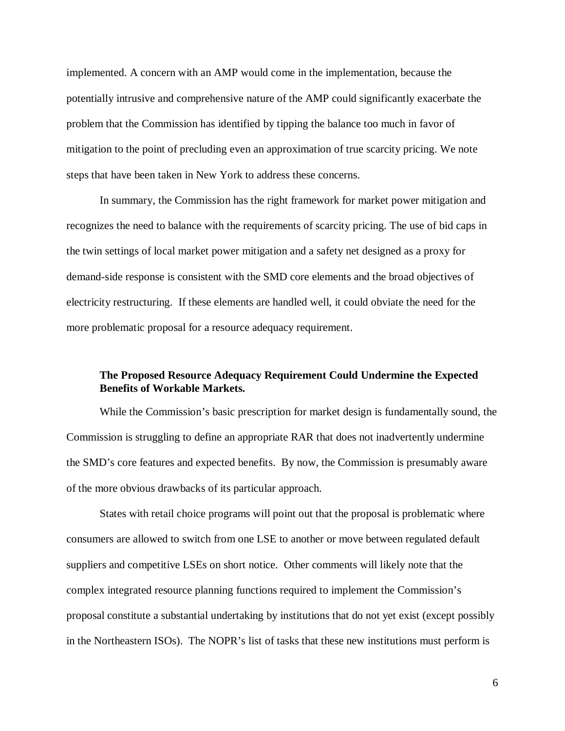implemented. A concern with an AMP would come in the implementation, because the potentially intrusive and comprehensive nature of the AMP could significantly exacerbate the problem that the Commission has identified by tipping the balance too much in favor of mitigation to the point of precluding even an approximation of true scarcity pricing. We note steps that have been taken in New York to address these concerns.

In summary, the Commission has the right framework for market power mitigation and recognizes the need to balance with the requirements of scarcity pricing. The use of bid caps in the twin settings of local market power mitigation and a safety net designed as a proxy for demand-side response is consistent with the SMD core elements and the broad objectives of electricity restructuring. If these elements are handled well, it could obviate the need for the more problematic proposal for a resource adequacy requirement.

# **The Proposed Resource Adequacy Requirement Could Undermine the Expected Benefits of Workable Markets.**

While the Commission's basic prescription for market design is fundamentally sound, the Commission is struggling to define an appropriate RAR that does not inadvertently undermine the SMD's core features and expected benefits. By now, the Commission is presumably aware of the more obvious drawbacks of its particular approach.

States with retail choice programs will point out that the proposal is problematic where consumers are allowed to switch from one LSE to another or move between regulated default suppliers and competitive LSEs on short notice. Other comments will likely note that the complex integrated resource planning functions required to implement the Commission's proposal constitute a substantial undertaking by institutions that do not yet exist (except possibly in the Northeastern ISOs). The NOPR's list of tasks that these new institutions must perform is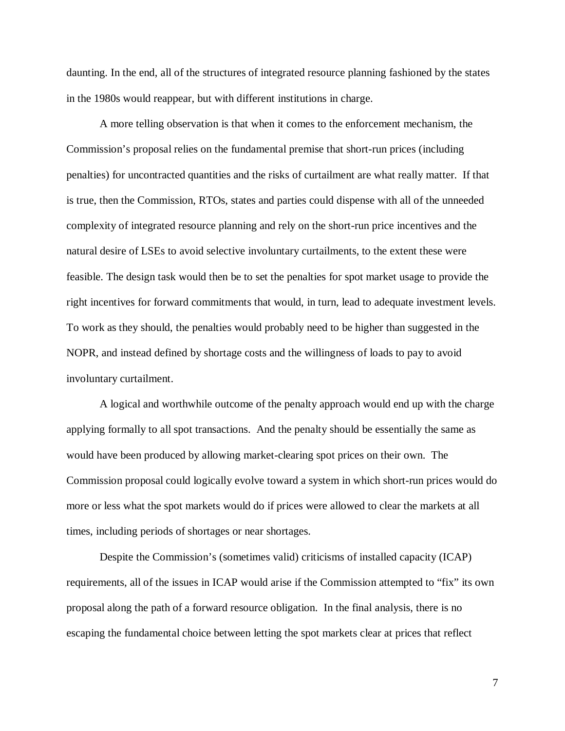daunting. In the end, all of the structures of integrated resource planning fashioned by the states in the 1980s would reappear, but with different institutions in charge.

A more telling observation is that when it comes to the enforcement mechanism, the Commission's proposal relies on the fundamental premise that short-run prices (including penalties) for uncontracted quantities and the risks of curtailment are what really matter. If that is true, then the Commission, RTOs, states and parties could dispense with all of the unneeded complexity of integrated resource planning and rely on the short-run price incentives and the natural desire of LSEs to avoid selective involuntary curtailments, to the extent these were feasible. The design task would then be to set the penalties for spot market usage to provide the right incentives for forward commitments that would, in turn, lead to adequate investment levels. To work as they should, the penalties would probably need to be higher than suggested in the NOPR, and instead defined by shortage costs and the willingness of loads to pay to avoid involuntary curtailment.

A logical and worthwhile outcome of the penalty approach would end up with the charge applying formally to all spot transactions. And the penalty should be essentially the same as would have been produced by allowing market-clearing spot prices on their own. The Commission proposal could logically evolve toward a system in which short-run prices would do more or less what the spot markets would do if prices were allowed to clear the markets at all times, including periods of shortages or near shortages.

Despite the Commission's (sometimes valid) criticisms of installed capacity (ICAP) requirements, all of the issues in ICAP would arise if the Commission attempted to "fix" its own proposal along the path of a forward resource obligation. In the final analysis, there is no escaping the fundamental choice between letting the spot markets clear at prices that reflect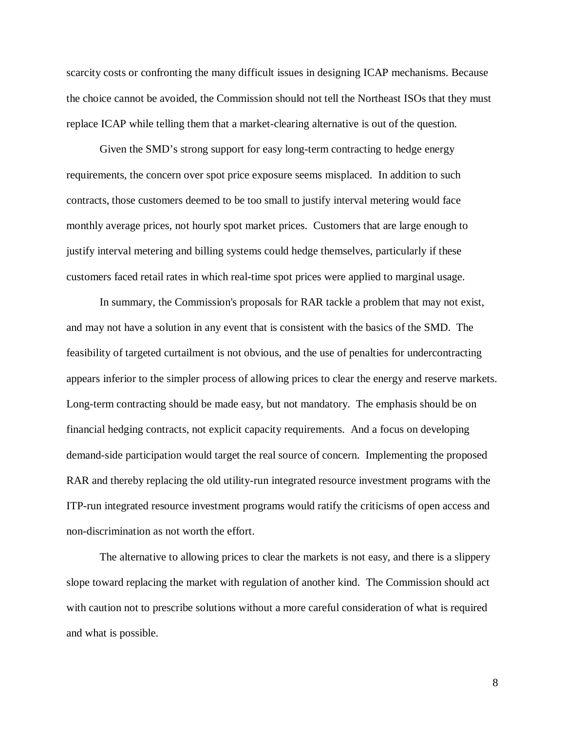scarcity costs or confronting the many difficult issues in designing ICAP mechanisms. Because the choice cannot be avoided, the Commission should not tell the Northeast ISOs that they must replace ICAP while telling them that a market-clearing alternative is out of the question.

Given the SMD's strong support for easy long-term contracting to hedge energy requirements, the concern over spot price exposure seems misplaced. In addition to such contracts, those customers deemed to be too small to justify interval metering would face monthly average prices, not hourly spot market prices. Customers that are large enough to justify interval metering and billing systems could hedge themselves, particularly if these customers faced retail rates in which real-time spot prices were applied to marginal usage.

In summary, the Commission's proposals for RAR tackle a problem that may not exist, and may not have a solution in any event that is consistent with the basics of the SMD. The feasibility of targeted curtailment is not obvious, and the use of penalties for undercontracting appears inferior to the simpler process of allowing prices to clear the energy and reserve markets. Long-term contracting should be made easy, but not mandatory. The emphasis should be on financial hedging contracts, not explicit capacity requirements. And a focus on developing demand-side participation would target the real source of concern. Implementing the proposed RAR and thereby replacing the old utility-run integrated resource investment programs with the ITP-run integrated resource investment programs would ratify the criticisms of open access and non-discrimination as not worth the effort.

The alternative to allowing prices to clear the markets is not easy, and there is a slippery slope toward replacing the market with regulation of another kind. The Commission should act with caution not to prescribe solutions without a more careful consideration of what is required and what is possible.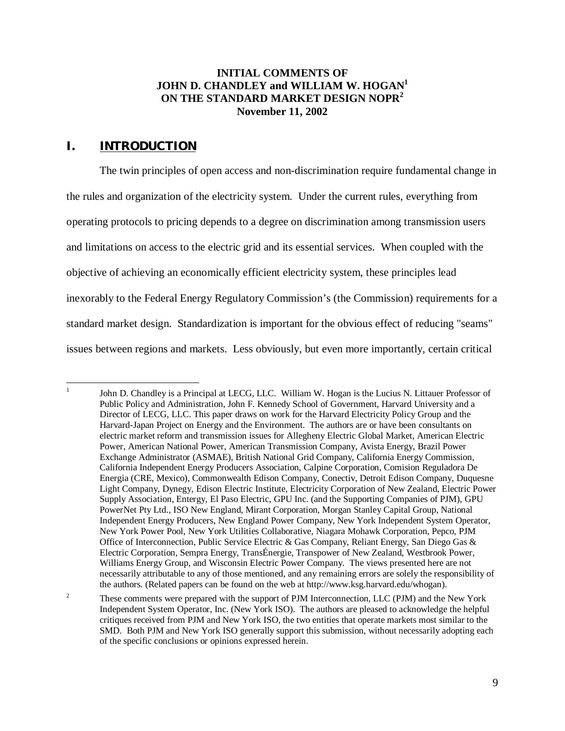# **INITIAL COMMENTS OF JOHN D. CHANDLEY and WILLIAM W. HOGAN1 ON THE STANDARD MARKET DESIGN NOPR<sup>2</sup> November 11, 2002**

# **I. INTRODUCTION**

 $\frac{1}{1}$ 

The twin principles of open access and non-discrimination require fundamental change in the rules and organization of the electricity system. Under the current rules, everything from operating protocols to pricing depends to a degree on discrimination among transmission users and limitations on access to the electric grid and its essential services. When coupled with the objective of achieving an economically efficient electricity system, these principles lead inexorably to the Federal Energy Regulatory Commission's (the Commission) requirements for a standard market design. Standardization is important for the obvious effect of reducing "seams" issues between regions and markets. Less obviously, but even more importantly, certain critical

John D. Chandley is a Principal at LECG, LLC. William W. Hogan is the Lucius N. Littauer Professor of Public Policy and Administration, John F. Kennedy School of Government, Harvard University and a Director of LECG, LLC. This paper draws on work for the Harvard Electricity Policy Group and the Harvard-Japan Project on Energy and the Environment. The authors are or have been consultants on electric market reform and transmission issues for Allegheny Electric Global Market, American Electric Power, American National Power, American Transmission Company, Avista Energy, Brazil Power Exchange Administrator (ASMAE), British National Grid Company, California Energy Commission, California Independent Energy Producers Association, Calpine Corporation, Comision Reguladora De Energia (CRE, Mexico), Commonwealth Edison Company, Conectiv, Detroit Edison Company, Duquesne Light Company, Dynegy, Edison Electric Institute, Electricity Corporation of New Zealand, Electric Power Supply Association, Entergy, El Paso Electric, GPU Inc. (and the Supporting Companies of PJM), GPU PowerNet Pty Ltd., ISO New England, Mirant Corporation, Morgan Stanley Capital Group, National Independent Energy Producers, New England Power Company, New York Independent System Operator, New York Power Pool, New York Utilities Collaborative, Niagara Mohawk Corporation, Pepco, PJM Office of Interconnection, Public Service Electric & Gas Company, Reliant Energy, San Diego Gas & Electric Corporation, Sempra Energy, TransÉnergie, Transpower of New Zealand, Westbrook Power, Williams Energy Group, and Wisconsin Electric Power Company. The views presented here are not necessarily attributable to any of those mentioned, and any remaining errors are solely the responsibility of the authors. (Related papers can be found on the web at http://www.ksg.harvard.edu/whogan).

<sup>2</sup> These comments were prepared with the support of PJM Interconnection, LLC (PJM) and the New York Independent System Operator, Inc. (New York ISO). The authors are pleased to acknowledge the helpful critiques received from PJM and New York ISO, the two entities that operate markets most similar to the SMD. Both PJM and New York ISO generally support this submission, without necessarily adopting each of the specific conclusions or opinions expressed herein.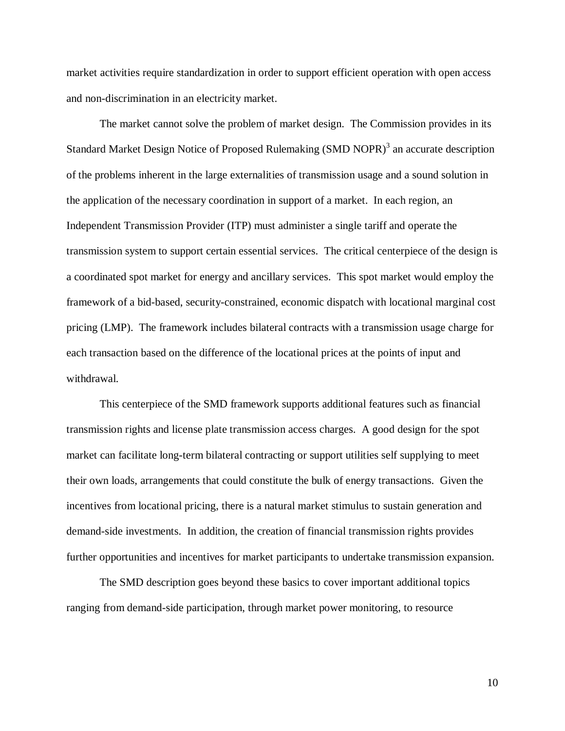market activities require standardization in order to support efficient operation with open access and non-discrimination in an electricity market.

The market cannot solve the problem of market design. The Commission provides in its Standard Market Design Notice of Proposed Rulemaking (SMD NOPR)<sup>3</sup> an accurate description of the problems inherent in the large externalities of transmission usage and a sound solution in the application of the necessary coordination in support of a market. In each region, an Independent Transmission Provider (ITP) must administer a single tariff and operate the transmission system to support certain essential services. The critical centerpiece of the design is a coordinated spot market for energy and ancillary services. This spot market would employ the framework of a bid-based, security-constrained, economic dispatch with locational marginal cost pricing (LMP). The framework includes bilateral contracts with a transmission usage charge for each transaction based on the difference of the locational prices at the points of input and withdrawal.

This centerpiece of the SMD framework supports additional features such as financial transmission rights and license plate transmission access charges. A good design for the spot market can facilitate long-term bilateral contracting or support utilities self supplying to meet their own loads, arrangements that could constitute the bulk of energy transactions. Given the incentives from locational pricing, there is a natural market stimulus to sustain generation and demand-side investments. In addition, the creation of financial transmission rights provides further opportunities and incentives for market participants to undertake transmission expansion.

The SMD description goes beyond these basics to cover important additional topics ranging from demand-side participation, through market power monitoring, to resource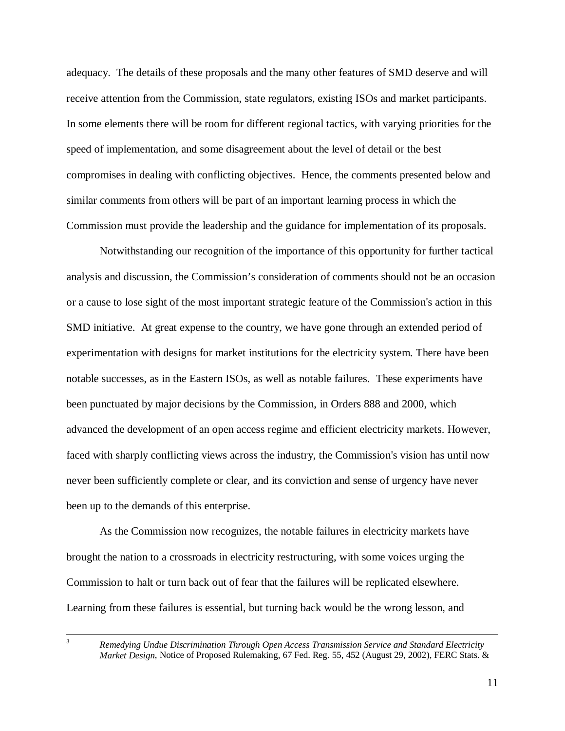adequacy. The details of these proposals and the many other features of SMD deserve and will receive attention from the Commission, state regulators, existing ISOs and market participants. In some elements there will be room for different regional tactics, with varying priorities for the speed of implementation, and some disagreement about the level of detail or the best compromises in dealing with conflicting objectives. Hence, the comments presented below and similar comments from others will be part of an important learning process in which the Commission must provide the leadership and the guidance for implementation of its proposals.

Notwithstanding our recognition of the importance of this opportunity for further tactical analysis and discussion, the Commission's consideration of comments should not be an occasion or a cause to lose sight of the most important strategic feature of the Commission's action in this SMD initiative. At great expense to the country, we have gone through an extended period of experimentation with designs for market institutions for the electricity system. There have been notable successes, as in the Eastern ISOs, as well as notable failures. These experiments have been punctuated by major decisions by the Commission, in Orders 888 and 2000, which advanced the development of an open access regime and efficient electricity markets. However, faced with sharply conflicting views across the industry, the Commission's vision has until now never been sufficiently complete or clear, and its conviction and sense of urgency have never been up to the demands of this enterprise.

As the Commission now recognizes, the notable failures in electricity markets have brought the nation to a crossroads in electricity restructuring, with some voices urging the Commission to halt or turn back out of fear that the failures will be replicated elsewhere. Learning from these failures is essential, but turning back would be the wrong lesson, and

 <sup>3</sup> *Remedying Undue Discrimination Through Open Access Transmission Service and Standard Electricity Market Design*, Notice of Proposed Rulemaking, 67 Fed. Reg. 55, 452 (August 29, 2002), FERC Stats. &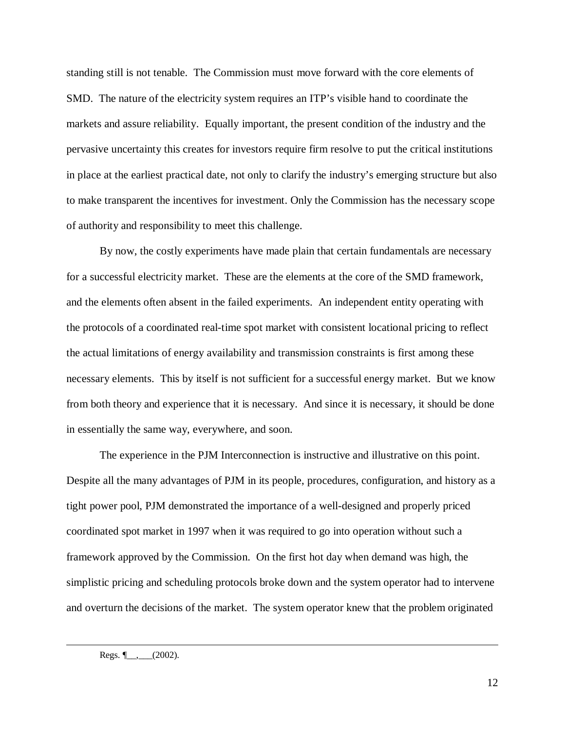standing still is not tenable. The Commission must move forward with the core elements of SMD. The nature of the electricity system requires an ITP's visible hand to coordinate the markets and assure reliability. Equally important, the present condition of the industry and the pervasive uncertainty this creates for investors require firm resolve to put the critical institutions in place at the earliest practical date, not only to clarify the industry's emerging structure but also to make transparent the incentives for investment. Only the Commission has the necessary scope of authority and responsibility to meet this challenge.

By now, the costly experiments have made plain that certain fundamentals are necessary for a successful electricity market. These are the elements at the core of the SMD framework, and the elements often absent in the failed experiments. An independent entity operating with the protocols of a coordinated real-time spot market with consistent locational pricing to reflect the actual limitations of energy availability and transmission constraints is first among these necessary elements. This by itself is not sufficient for a successful energy market. But we know from both theory and experience that it is necessary. And since it is necessary, it should be done in essentially the same way, everywhere, and soon.

The experience in the PJM Interconnection is instructive and illustrative on this point. Despite all the many advantages of PJM in its people, procedures, configuration, and history as a tight power pool, PJM demonstrated the importance of a well-designed and properly priced coordinated spot market in 1997 when it was required to go into operation without such a framework approved by the Commission. On the first hot day when demand was high, the simplistic pricing and scheduling protocols broke down and the system operator had to intervene and overturn the decisions of the market. The system operator knew that the problem originated

Regs.  $\leftarrow$  (2002).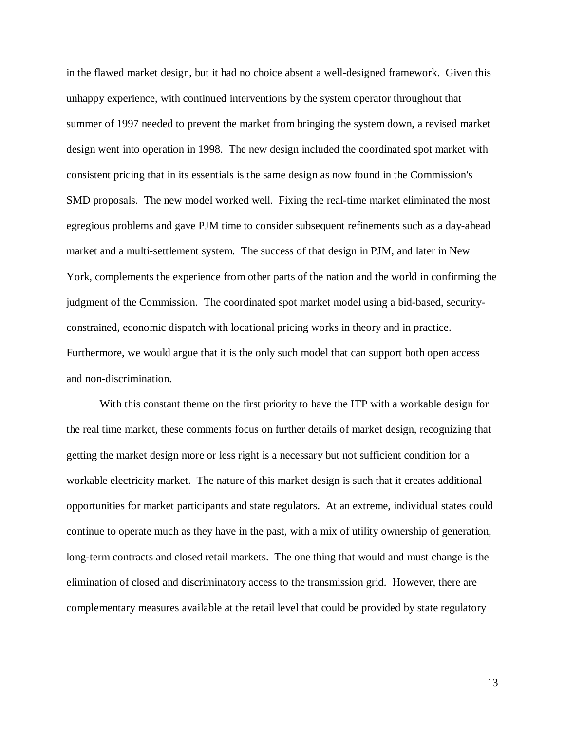in the flawed market design, but it had no choice absent a well-designed framework. Given this unhappy experience, with continued interventions by the system operator throughout that summer of 1997 needed to prevent the market from bringing the system down, a revised market design went into operation in 1998. The new design included the coordinated spot market with consistent pricing that in its essentials is the same design as now found in the Commission's SMD proposals. The new model worked well. Fixing the real-time market eliminated the most egregious problems and gave PJM time to consider subsequent refinements such as a day-ahead market and a multi-settlement system. The success of that design in PJM, and later in New York, complements the experience from other parts of the nation and the world in confirming the judgment of the Commission. The coordinated spot market model using a bid-based, securityconstrained, economic dispatch with locational pricing works in theory and in practice. Furthermore, we would argue that it is the only such model that can support both open access and non-discrimination.

With this constant theme on the first priority to have the ITP with a workable design for the real time market, these comments focus on further details of market design, recognizing that getting the market design more or less right is a necessary but not sufficient condition for a workable electricity market. The nature of this market design is such that it creates additional opportunities for market participants and state regulators. At an extreme, individual states could continue to operate much as they have in the past, with a mix of utility ownership of generation, long-term contracts and closed retail markets. The one thing that would and must change is the elimination of closed and discriminatory access to the transmission grid. However, there are complementary measures available at the retail level that could be provided by state regulatory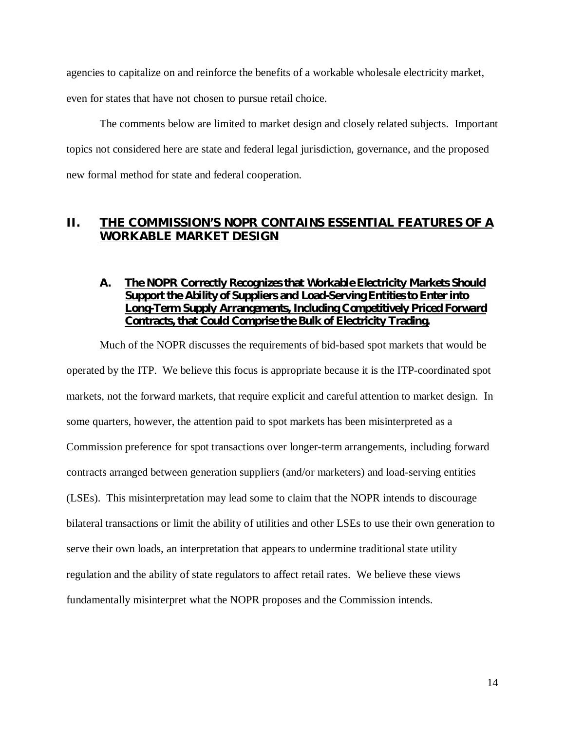agencies to capitalize on and reinforce the benefits of a workable wholesale electricity market,

even for states that have not chosen to pursue retail choice.

The comments below are limited to market design and closely related subjects. Important topics not considered here are state and federal legal jurisdiction, governance, and the proposed new formal method for state and federal cooperation.

# **II. THE COMMISSION'S NOPR CONTAINS ESSENTIAL FEATURES OF A WORKABLE MARKET DESIGN**

# **A. The NOPR Correctly Recognizes that Workable Electricity Markets Should Support the Ability of Suppliers and Load-Serving Entities to Enter into Long-Term Supply Arrangements, Including Competitively Priced Forward Contracts, that Could Comprise the Bulk of Electricity Trading.**

Much of the NOPR discusses the requirements of bid-based spot markets that would be operated by the ITP. We believe this focus is appropriate because it is the ITP-coordinated spot markets, not the forward markets, that require explicit and careful attention to market design. In some quarters, however, the attention paid to spot markets has been misinterpreted as a Commission preference for spot transactions over longer-term arrangements, including forward contracts arranged between generation suppliers (and/or marketers) and load-serving entities (LSEs). This misinterpretation may lead some to claim that the NOPR intends to discourage bilateral transactions or limit the ability of utilities and other LSEs to use their own generation to serve their own loads, an interpretation that appears to undermine traditional state utility regulation and the ability of state regulators to affect retail rates. We believe these views fundamentally misinterpret what the NOPR proposes and the Commission intends.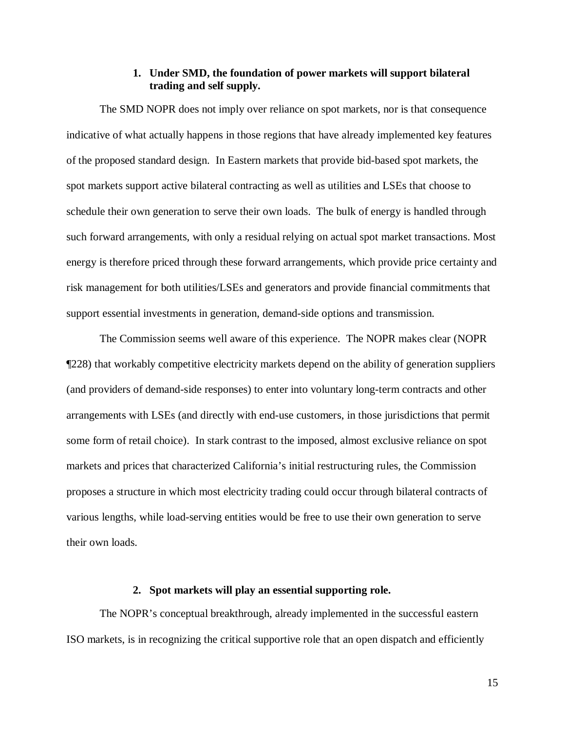## **1. Under SMD, the foundation of power markets will support bilateral trading and self supply.**

The SMD NOPR does not imply over reliance on spot markets, nor is that consequence indicative of what actually happens in those regions that have already implemented key features of the proposed standard design. In Eastern markets that provide bid-based spot markets, the spot markets support active bilateral contracting as well as utilities and LSEs that choose to schedule their own generation to serve their own loads. The bulk of energy is handled through such forward arrangements, with only a residual relying on actual spot market transactions. Most energy is therefore priced through these forward arrangements, which provide price certainty and risk management for both utilities/LSEs and generators and provide financial commitments that support essential investments in generation, demand-side options and transmission.

The Commission seems well aware of this experience. The NOPR makes clear (NOPR ¶228) that workably competitive electricity markets depend on the ability of generation suppliers (and providers of demand-side responses) to enter into voluntary long-term contracts and other arrangements with LSEs (and directly with end-use customers, in those jurisdictions that permit some form of retail choice). In stark contrast to the imposed, almost exclusive reliance on spot markets and prices that characterized California's initial restructuring rules, the Commission proposes a structure in which most electricity trading could occur through bilateral contracts of various lengths, while load-serving entities would be free to use their own generation to serve their own loads.

#### **2. Spot markets will play an essential supporting role.**

The NOPR's conceptual breakthrough, already implemented in the successful eastern ISO markets, is in recognizing the critical supportive role that an open dispatch and efficiently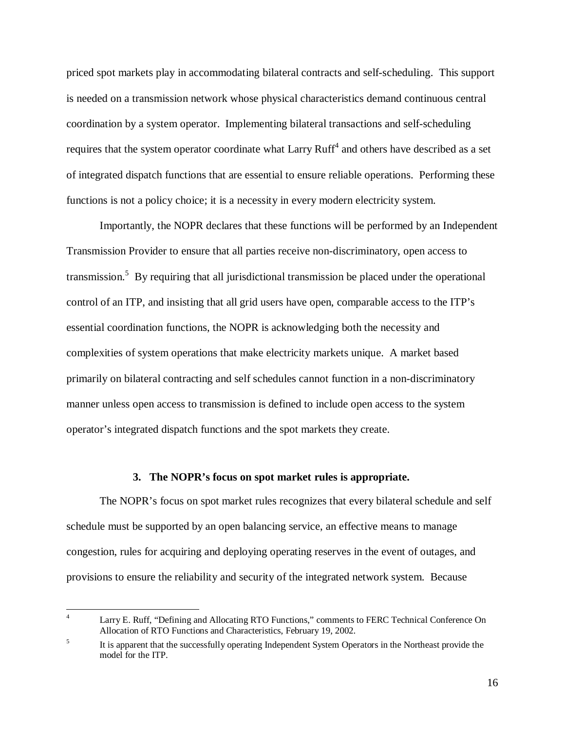priced spot markets play in accommodating bilateral contracts and self-scheduling. This support is needed on a transmission network whose physical characteristics demand continuous central coordination by a system operator. Implementing bilateral transactions and self-scheduling requires that the system operator coordinate what Larry  $Ruff^4$  and others have described as a set of integrated dispatch functions that are essential to ensure reliable operations. Performing these functions is not a policy choice; it is a necessity in every modern electricity system.

Importantly, the NOPR declares that these functions will be performed by an Independent Transmission Provider to ensure that all parties receive non-discriminatory, open access to transmission.<sup>5</sup> By requiring that all jurisdictional transmission be placed under the operational control of an ITP, and insisting that all grid users have open, comparable access to the ITP's essential coordination functions, the NOPR is acknowledging both the necessity and complexities of system operations that make electricity markets unique. A market based primarily on bilateral contracting and self schedules cannot function in a non-discriminatory manner unless open access to transmission is defined to include open access to the system operator's integrated dispatch functions and the spot markets they create.

#### **3. The NOPR's focus on spot market rules is appropriate.**

The NOPR's focus on spot market rules recognizes that every bilateral schedule and self schedule must be supported by an open balancing service, an effective means to manage congestion, rules for acquiring and deploying operating reserves in the event of outages, and provisions to ensure the reliability and security of the integrated network system. Because

 $\frac{1}{4}$  Larry E. Ruff, "Defining and Allocating RTO Functions," comments to FERC Technical Conference On Allocation of RTO Functions and Characteristics, February 19, 2002.

<sup>5</sup> It is apparent that the successfully operating Independent System Operators in the Northeast provide the model for the ITP.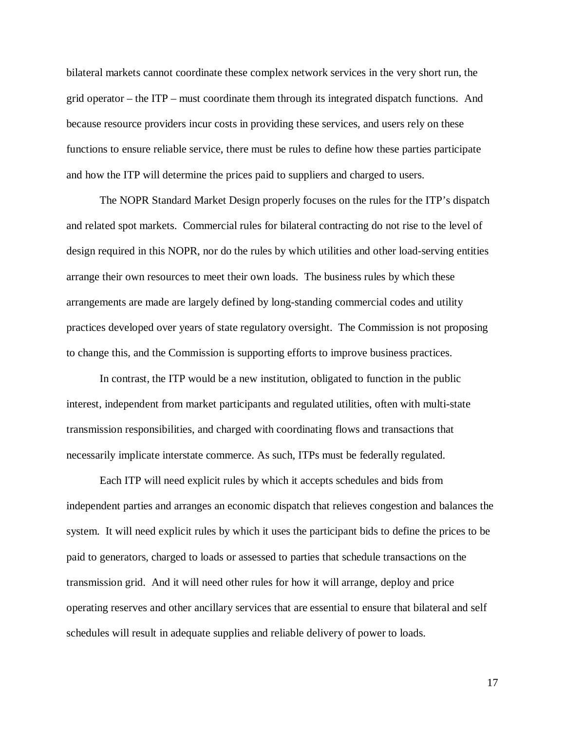bilateral markets cannot coordinate these complex network services in the very short run, the grid operator – the ITP – must coordinate them through its integrated dispatch functions. And because resource providers incur costs in providing these services, and users rely on these functions to ensure reliable service, there must be rules to define how these parties participate and how the ITP will determine the prices paid to suppliers and charged to users.

The NOPR Standard Market Design properly focuses on the rules for the ITP's dispatch and related spot markets. Commercial rules for bilateral contracting do not rise to the level of design required in this NOPR, nor do the rules by which utilities and other load-serving entities arrange their own resources to meet their own loads. The business rules by which these arrangements are made are largely defined by long-standing commercial codes and utility practices developed over years of state regulatory oversight. The Commission is not proposing to change this, and the Commission is supporting efforts to improve business practices.

In contrast, the ITP would be a new institution, obligated to function in the public interest, independent from market participants and regulated utilities, often with multi-state transmission responsibilities, and charged with coordinating flows and transactions that necessarily implicate interstate commerce. As such, ITPs must be federally regulated.

Each ITP will need explicit rules by which it accepts schedules and bids from independent parties and arranges an economic dispatch that relieves congestion and balances the system. It will need explicit rules by which it uses the participant bids to define the prices to be paid to generators, charged to loads or assessed to parties that schedule transactions on the transmission grid. And it will need other rules for how it will arrange, deploy and price operating reserves and other ancillary services that are essential to ensure that bilateral and self schedules will result in adequate supplies and reliable delivery of power to loads.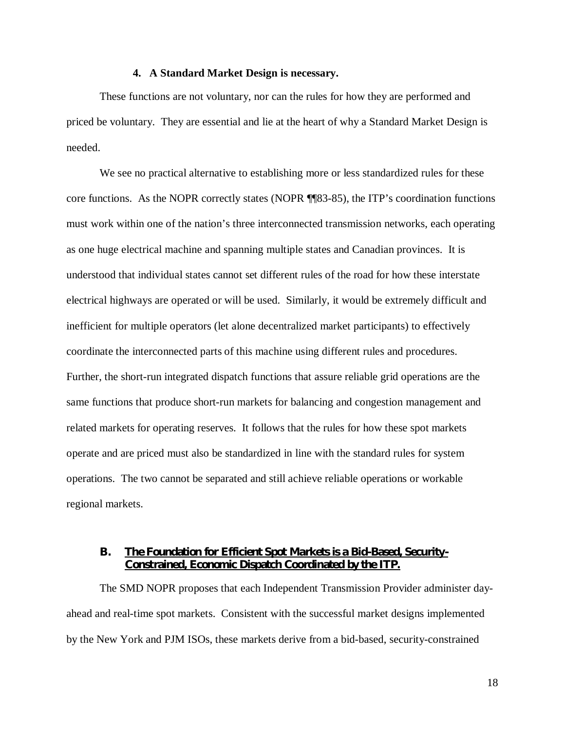#### **4. A Standard Market Design is necessary.**

These functions are not voluntary, nor can the rules for how they are performed and priced be voluntary. They are essential and lie at the heart of why a Standard Market Design is needed.

We see no practical alternative to establishing more or less standardized rules for these core functions. As the NOPR correctly states (NOPR ¶¶83-85), the ITP's coordination functions must work within one of the nation's three interconnected transmission networks, each operating as one huge electrical machine and spanning multiple states and Canadian provinces. It is understood that individual states cannot set different rules of the road for how these interstate electrical highways are operated or will be used. Similarly, it would be extremely difficult and inefficient for multiple operators (let alone decentralized market participants) to effectively coordinate the interconnected parts of this machine using different rules and procedures. Further, the short-run integrated dispatch functions that assure reliable grid operations are the same functions that produce short-run markets for balancing and congestion management and related markets for operating reserves. It follows that the rules for how these spot markets operate and are priced must also be standardized in line with the standard rules for system operations. The two cannot be separated and still achieve reliable operations or workable regional markets.

## **B. The Foundation for Efficient Spot Markets is a Bid-Based, Security-Constrained, Economic Dispatch Coordinated by the ITP.**

The SMD NOPR proposes that each Independent Transmission Provider administer dayahead and real-time spot markets. Consistent with the successful market designs implemented by the New York and PJM ISOs, these markets derive from a bid-based, security-constrained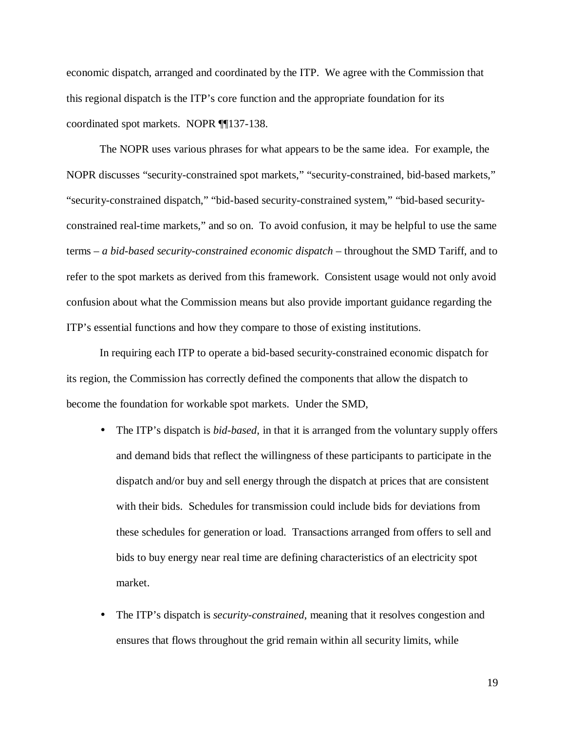economic dispatch, arranged and coordinated by the ITP. We agree with the Commission that this regional dispatch is the ITP's core function and the appropriate foundation for its coordinated spot markets. NOPR ¶¶137-138.

The NOPR uses various phrases for what appears to be the same idea. For example, the NOPR discusses "security-constrained spot markets," "security-constrained, bid-based markets," "security-constrained dispatch," "bid-based security-constrained system," "bid-based securityconstrained real-time markets," and so on. To avoid confusion, it may be helpful to use the same terms – *a bid-based security-constrained economic dispatch* – throughout the SMD Tariff, and to refer to the spot markets as derived from this framework. Consistent usage would not only avoid confusion about what the Commission means but also provide important guidance regarding the ITP's essential functions and how they compare to those of existing institutions.

In requiring each ITP to operate a bid-based security-constrained economic dispatch for its region, the Commission has correctly defined the components that allow the dispatch to become the foundation for workable spot markets. Under the SMD,

- The ITP's dispatch is *bid-based*, in that it is arranged from the voluntary supply offers and demand bids that reflect the willingness of these participants to participate in the dispatch and/or buy and sell energy through the dispatch at prices that are consistent with their bids. Schedules for transmission could include bids for deviations from these schedules for generation or load. Transactions arranged from offers to sell and bids to buy energy near real time are defining characteristics of an electricity spot market.
- The ITP's dispatch is *security-constrained*, meaning that it resolves congestion and ensures that flows throughout the grid remain within all security limits, while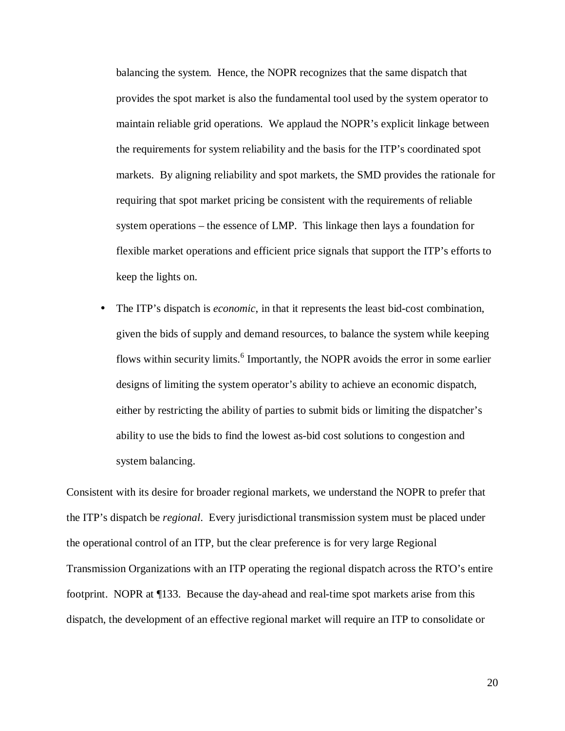balancing the system. Hence, the NOPR recognizes that the same dispatch that provides the spot market is also the fundamental tool used by the system operator to maintain reliable grid operations. We applaud the NOPR's explicit linkage between the requirements for system reliability and the basis for the ITP's coordinated spot markets. By aligning reliability and spot markets, the SMD provides the rationale for requiring that spot market pricing be consistent with the requirements of reliable system operations – the essence of LMP. This linkage then lays a foundation for flexible market operations and efficient price signals that support the ITP's efforts to keep the lights on.

• The ITP's dispatch is *economic*, in that it represents the least bid-cost combination, given the bids of supply and demand resources, to balance the system while keeping flows within security limits.<sup>6</sup> Importantly, the NOPR avoids the error in some earlier designs of limiting the system operator's ability to achieve an economic dispatch, either by restricting the ability of parties to submit bids or limiting the dispatcher's ability to use the bids to find the lowest as-bid cost solutions to congestion and system balancing.

Consistent with its desire for broader regional markets, we understand the NOPR to prefer that the ITP's dispatch be *regional*. Every jurisdictional transmission system must be placed under the operational control of an ITP, but the clear preference is for very large Regional Transmission Organizations with an ITP operating the regional dispatch across the RTO's entire footprint. NOPR at ¶133. Because the day-ahead and real-time spot markets arise from this dispatch, the development of an effective regional market will require an ITP to consolidate or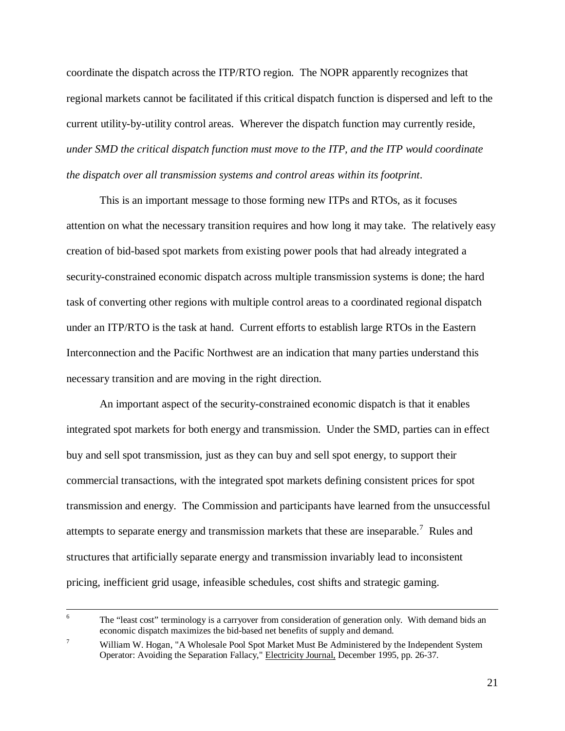coordinate the dispatch across the ITP/RTO region. The NOPR apparently recognizes that regional markets cannot be facilitated if this critical dispatch function is dispersed and left to the current utility-by-utility control areas. Wherever the dispatch function may currently reside, *under SMD the critical dispatch function must move to the ITP, and the ITP would coordinate the dispatch over all transmission systems and control areas within its footprint*.

This is an important message to those forming new ITPs and RTOs, as it focuses attention on what the necessary transition requires and how long it may take. The relatively easy creation of bid-based spot markets from existing power pools that had already integrated a security-constrained economic dispatch across multiple transmission systems is done; the hard task of converting other regions with multiple control areas to a coordinated regional dispatch under an ITP/RTO is the task at hand. Current efforts to establish large RTOs in the Eastern Interconnection and the Pacific Northwest are an indication that many parties understand this necessary transition and are moving in the right direction.

An important aspect of the security-constrained economic dispatch is that it enables integrated spot markets for both energy and transmission. Under the SMD, parties can in effect buy and sell spot transmission, just as they can buy and sell spot energy, to support their commercial transactions, with the integrated spot markets defining consistent prices for spot transmission and energy. The Commission and participants have learned from the unsuccessful attempts to separate energy and transmission markets that these are inseparable.<sup>7</sup> Rules and structures that artificially separate energy and transmission invariably lead to inconsistent pricing, inefficient grid usage, infeasible schedules, cost shifts and strategic gaming.

 $\frac{1}{6}$  The "least cost" terminology is a carryover from consideration of generation only. With demand bids an economic dispatch maximizes the bid-based net benefits of supply and demand.

<sup>7</sup> William W. Hogan, "A Wholesale Pool Spot Market Must Be Administered by the Independent System Operator: Avoiding the Separation Fallacy," Electricity Journal, December 1995, pp. 26-37.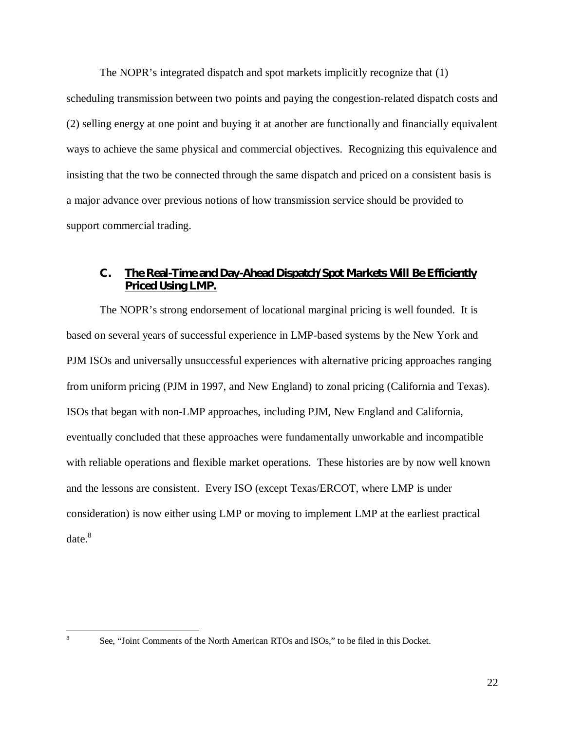The NOPR's integrated dispatch and spot markets implicitly recognize that (1)

scheduling transmission between two points and paying the congestion-related dispatch costs and (2) selling energy at one point and buying it at another are functionally and financially equivalent ways to achieve the same physical and commercial objectives. Recognizing this equivalence and insisting that the two be connected through the same dispatch and priced on a consistent basis is a major advance over previous notions of how transmission service should be provided to support commercial trading.

# **C. The Real-Time and Day-Ahead Dispatch/Spot Markets Will Be Efficiently Priced Using LMP.**

The NOPR's strong endorsement of locational marginal pricing is well founded. It is based on several years of successful experience in LMP-based systems by the New York and PJM ISOs and universally unsuccessful experiences with alternative pricing approaches ranging from uniform pricing (PJM in 1997, and New England) to zonal pricing (California and Texas). ISOs that began with non-LMP approaches, including PJM, New England and California, eventually concluded that these approaches were fundamentally unworkable and incompatible with reliable operations and flexible market operations. These histories are by now well known and the lessons are consistent. Every ISO (except Texas/ERCOT, where LMP is under consideration) is now either using LMP or moving to implement LMP at the earliest practical date.<sup>8</sup>

See, "Joint Comments of the North American RTOs and ISOs," to be filed in this Docket.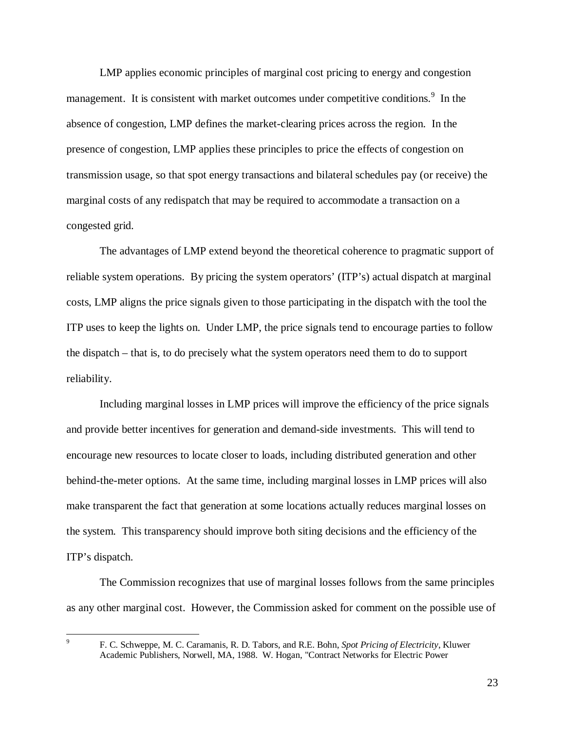LMP applies economic principles of marginal cost pricing to energy and congestion management. It is consistent with market outcomes under competitive conditions.<sup>9</sup> In the absence of congestion, LMP defines the market-clearing prices across the region. In the presence of congestion, LMP applies these principles to price the effects of congestion on transmission usage, so that spot energy transactions and bilateral schedules pay (or receive) the marginal costs of any redispatch that may be required to accommodate a transaction on a congested grid.

The advantages of LMP extend beyond the theoretical coherence to pragmatic support of reliable system operations. By pricing the system operators' (ITP's) actual dispatch at marginal costs, LMP aligns the price signals given to those participating in the dispatch with the tool the ITP uses to keep the lights on. Under LMP, the price signals tend to encourage parties to follow the dispatch – that is, to do precisely what the system operators need them to do to support reliability.

Including marginal losses in LMP prices will improve the efficiency of the price signals and provide better incentives for generation and demand-side investments. This will tend to encourage new resources to locate closer to loads, including distributed generation and other behind-the-meter options. At the same time, including marginal losses in LMP prices will also make transparent the fact that generation at some locations actually reduces marginal losses on the system. This transparency should improve both siting decisions and the efficiency of the ITP's dispatch.

The Commission recognizes that use of marginal losses follows from the same principles as any other marginal cost. However, the Commission asked for comment on the possible use of

 $\overline{a}$ 9

F. C. Schweppe, M. C. Caramanis, R. D. Tabors, and R.E. Bohn, *Spot Pricing of Electricity*, Kluwer Academic Publishers, Norwell, MA, 1988. W. Hogan, "Contract Networks for Electric Power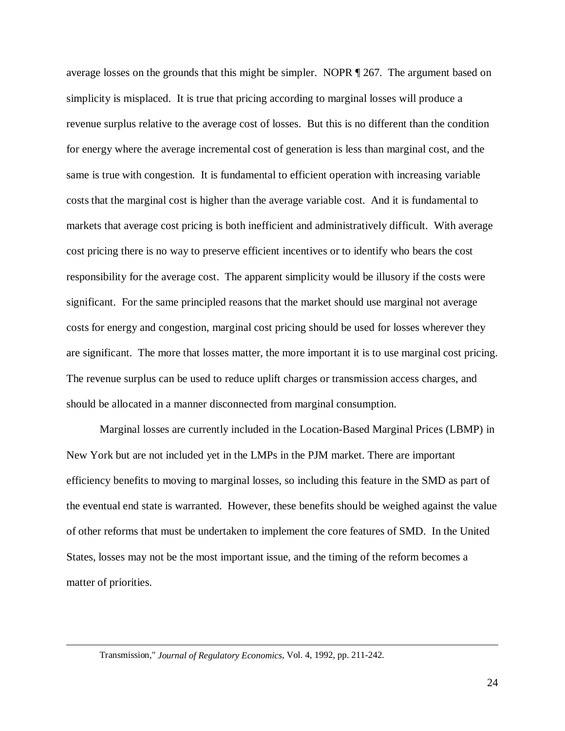average losses on the grounds that this might be simpler. NOPR ¶ 267. The argument based on simplicity is misplaced. It is true that pricing according to marginal losses will produce a revenue surplus relative to the average cost of losses. But this is no different than the condition for energy where the average incremental cost of generation is less than marginal cost, and the same is true with congestion. It is fundamental to efficient operation with increasing variable costs that the marginal cost is higher than the average variable cost. And it is fundamental to markets that average cost pricing is both inefficient and administratively difficult. With average cost pricing there is no way to preserve efficient incentives or to identify who bears the cost responsibility for the average cost. The apparent simplicity would be illusory if the costs were significant. For the same principled reasons that the market should use marginal not average costs for energy and congestion, marginal cost pricing should be used for losses wherever they are significant. The more that losses matter, the more important it is to use marginal cost pricing. The revenue surplus can be used to reduce uplift charges or transmission access charges, and should be allocated in a manner disconnected from marginal consumption.

Marginal losses are currently included in the Location-Based Marginal Prices (LBMP) in New York but are not included yet in the LMPs in the PJM market. There are important efficiency benefits to moving to marginal losses, so including this feature in the SMD as part of the eventual end state is warranted. However, these benefits should be weighed against the value of other reforms that must be undertaken to implement the core features of SMD. In the United States, losses may not be the most important issue, and the timing of the reform becomes a matter of priorities.

Transmission," *Journal of Regulatory Economics*, Vol. 4, 1992, pp. 211-242.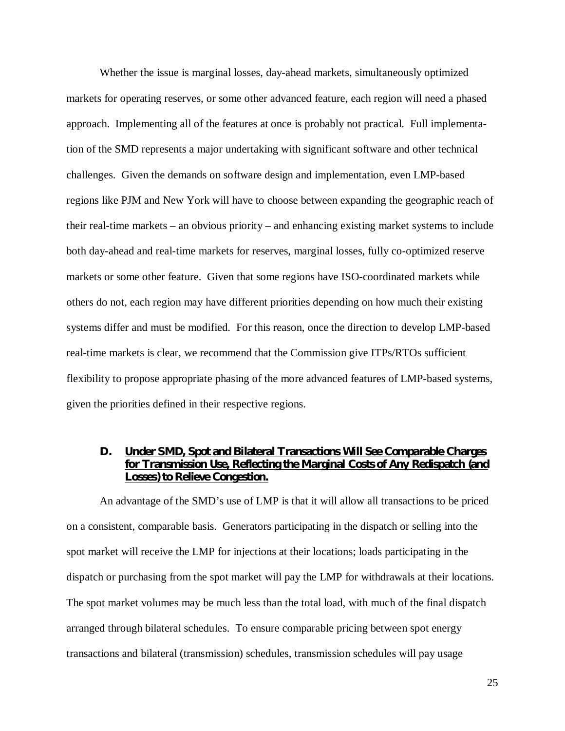Whether the issue is marginal losses, day-ahead markets, simultaneously optimized markets for operating reserves, or some other advanced feature, each region will need a phased approach. Implementing all of the features at once is probably not practical. Full implementation of the SMD represents a major undertaking with significant software and other technical challenges. Given the demands on software design and implementation, even LMP-based regions like PJM and New York will have to choose between expanding the geographic reach of their real-time markets – an obvious priority – and enhancing existing market systems to include both day-ahead and real-time markets for reserves, marginal losses, fully co-optimized reserve markets or some other feature. Given that some regions have ISO-coordinated markets while others do not, each region may have different priorities depending on how much their existing systems differ and must be modified. For this reason, once the direction to develop LMP-based real-time markets is clear, we recommend that the Commission give ITPs/RTOs sufficient flexibility to propose appropriate phasing of the more advanced features of LMP-based systems, given the priorities defined in their respective regions.

# **D. Under SMD, Spot and Bilateral Transactions Will See Comparable Charges for Transmission Use, Reflecting the Marginal Costs of Any Redispatch (and Losses) to Relieve Congestion.**

An advantage of the SMD's use of LMP is that it will allow all transactions to be priced on a consistent, comparable basis. Generators participating in the dispatch or selling into the spot market will receive the LMP for injections at their locations; loads participating in the dispatch or purchasing from the spot market will pay the LMP for withdrawals at their locations. The spot market volumes may be much less than the total load, with much of the final dispatch arranged through bilateral schedules. To ensure comparable pricing between spot energy transactions and bilateral (transmission) schedules, transmission schedules will pay usage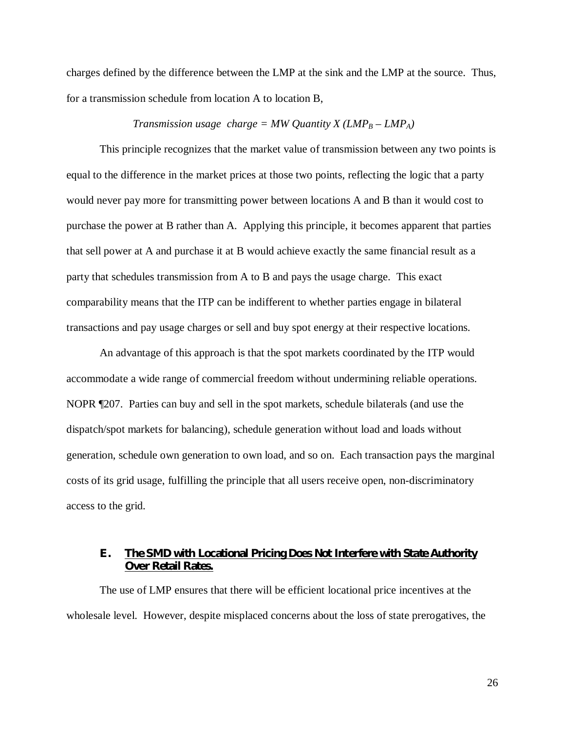charges defined by the difference between the LMP at the sink and the LMP at the source. Thus, for a transmission schedule from location A to location B,

#### *Transmission usage charge = MW Quantity X (LMP<sub>B</sub> – LMP<sub>A</sub>)*

This principle recognizes that the market value of transmission between any two points is equal to the difference in the market prices at those two points, reflecting the logic that a party would never pay more for transmitting power between locations A and B than it would cost to purchase the power at B rather than A. Applying this principle, it becomes apparent that parties that sell power at A and purchase it at B would achieve exactly the same financial result as a party that schedules transmission from A to B and pays the usage charge. This exact comparability means that the ITP can be indifferent to whether parties engage in bilateral transactions and pay usage charges or sell and buy spot energy at their respective locations.

An advantage of this approach is that the spot markets coordinated by the ITP would accommodate a wide range of commercial freedom without undermining reliable operations. NOPR ¶207. Parties can buy and sell in the spot markets, schedule bilaterals (and use the dispatch/spot markets for balancing), schedule generation without load and loads without generation, schedule own generation to own load, and so on. Each transaction pays the marginal costs of its grid usage, fulfilling the principle that all users receive open, non-discriminatory access to the grid.

## **E. The SMD with Locational Pricing Does Not Interfere with State Authority Over Retail Rates.**

The use of LMP ensures that there will be efficient locational price incentives at the wholesale level. However, despite misplaced concerns about the loss of state prerogatives, the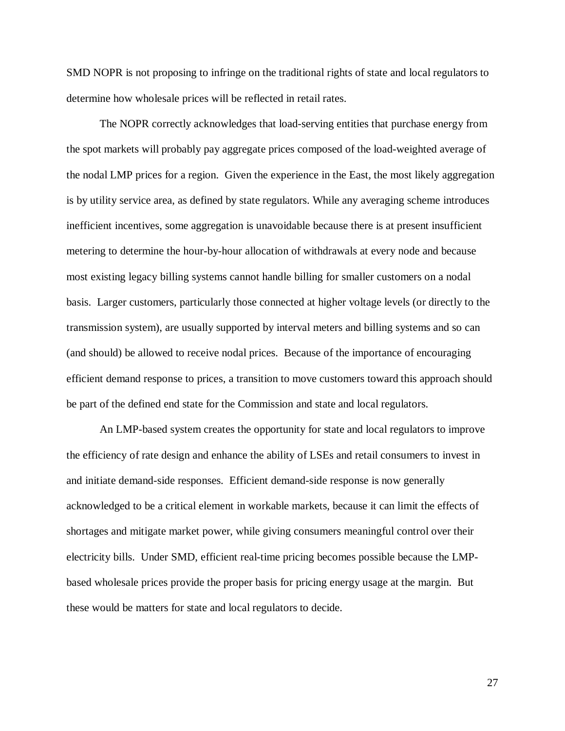SMD NOPR is not proposing to infringe on the traditional rights of state and local regulators to determine how wholesale prices will be reflected in retail rates.

The NOPR correctly acknowledges that load-serving entities that purchase energy from the spot markets will probably pay aggregate prices composed of the load-weighted average of the nodal LMP prices for a region. Given the experience in the East, the most likely aggregation is by utility service area, as defined by state regulators. While any averaging scheme introduces inefficient incentives, some aggregation is unavoidable because there is at present insufficient metering to determine the hour-by-hour allocation of withdrawals at every node and because most existing legacy billing systems cannot handle billing for smaller customers on a nodal basis. Larger customers, particularly those connected at higher voltage levels (or directly to the transmission system), are usually supported by interval meters and billing systems and so can (and should) be allowed to receive nodal prices. Because of the importance of encouraging efficient demand response to prices, a transition to move customers toward this approach should be part of the defined end state for the Commission and state and local regulators.

An LMP-based system creates the opportunity for state and local regulators to improve the efficiency of rate design and enhance the ability of LSEs and retail consumers to invest in and initiate demand-side responses. Efficient demand-side response is now generally acknowledged to be a critical element in workable markets, because it can limit the effects of shortages and mitigate market power, while giving consumers meaningful control over their electricity bills. Under SMD, efficient real-time pricing becomes possible because the LMPbased wholesale prices provide the proper basis for pricing energy usage at the margin. But these would be matters for state and local regulators to decide.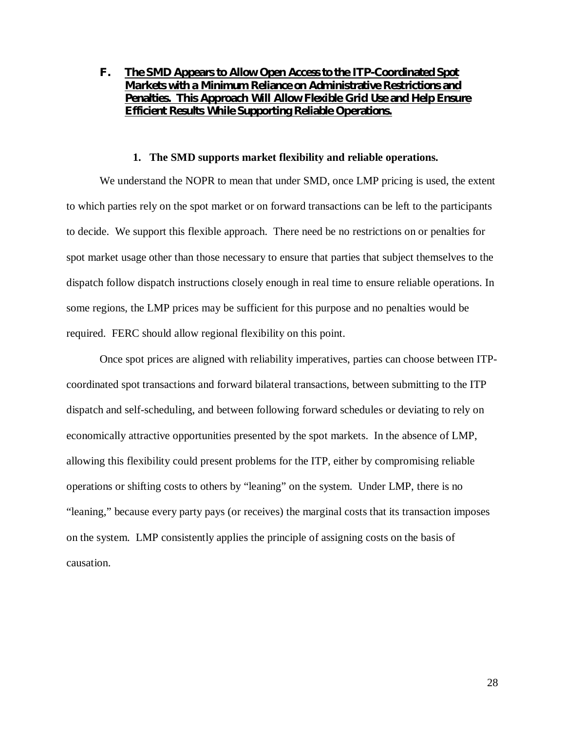# **F. The SMD Appears to Allow Open Access to the ITP-Coordinated Spot Markets with a Minimum Reliance on Administrative Restrictions and Penalties. This Approach Will Allow Flexible Grid Use and Help Ensure Efficient Results While Supporting Reliable Operations.**

#### **1. The SMD supports market flexibility and reliable operations.**

We understand the NOPR to mean that under SMD, once LMP pricing is used, the extent to which parties rely on the spot market or on forward transactions can be left to the participants to decide. We support this flexible approach. There need be no restrictions on or penalties for spot market usage other than those necessary to ensure that parties that subject themselves to the dispatch follow dispatch instructions closely enough in real time to ensure reliable operations. In some regions, the LMP prices may be sufficient for this purpose and no penalties would be required. FERC should allow regional flexibility on this point.

Once spot prices are aligned with reliability imperatives, parties can choose between ITPcoordinated spot transactions and forward bilateral transactions, between submitting to the ITP dispatch and self-scheduling, and between following forward schedules or deviating to rely on economically attractive opportunities presented by the spot markets. In the absence of LMP, allowing this flexibility could present problems for the ITP, either by compromising reliable operations or shifting costs to others by "leaning" on the system. Under LMP, there is no "leaning," because every party pays (or receives) the marginal costs that its transaction imposes on the system. LMP consistently applies the principle of assigning costs on the basis of causation.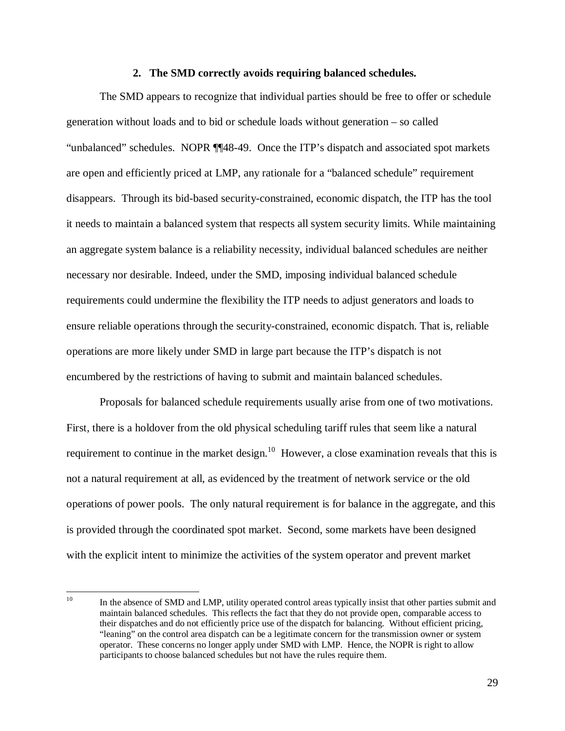#### **2. The SMD correctly avoids requiring balanced schedules.**

The SMD appears to recognize that individual parties should be free to offer or schedule generation without loads and to bid or schedule loads without generation – so called "unbalanced" schedules. NOPR ¶¶48-49. Once the ITP's dispatch and associated spot markets are open and efficiently priced at LMP, any rationale for a "balanced schedule" requirement disappears. Through its bid-based security-constrained, economic dispatch, the ITP has the tool it needs to maintain a balanced system that respects all system security limits. While maintaining an aggregate system balance is a reliability necessity, individual balanced schedules are neither necessary nor desirable. Indeed, under the SMD, imposing individual balanced schedule requirements could undermine the flexibility the ITP needs to adjust generators and loads to ensure reliable operations through the security-constrained, economic dispatch. That is, reliable operations are more likely under SMD in large part because the ITP's dispatch is not encumbered by the restrictions of having to submit and maintain balanced schedules.

Proposals for balanced schedule requirements usually arise from one of two motivations. First, there is a holdover from the old physical scheduling tariff rules that seem like a natural requirement to continue in the market design.<sup>10</sup> However, a close examination reveals that this is not a natural requirement at all, as evidenced by the treatment of network service or the old operations of power pools. The only natural requirement is for balance in the aggregate, and this is provided through the coordinated spot market. Second, some markets have been designed with the explicit intent to minimize the activities of the system operator and prevent market

 $10\,$ In the absence of SMD and LMP, utility operated control areas typically insist that other parties submit and maintain balanced schedules. This reflects the fact that they do not provide open, comparable access to their dispatches and do not efficiently price use of the dispatch for balancing. Without efficient pricing, "leaning" on the control area dispatch can be a legitimate concern for the transmission owner or system operator. These concerns no longer apply under SMD with LMP. Hence, the NOPR is right to allow participants to choose balanced schedules but not have the rules require them.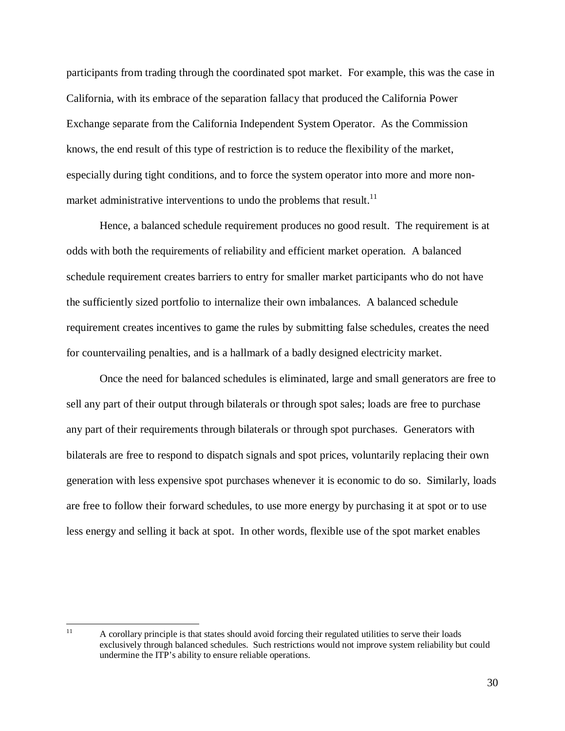participants from trading through the coordinated spot market. For example, this was the case in California, with its embrace of the separation fallacy that produced the California Power Exchange separate from the California Independent System Operator. As the Commission knows, the end result of this type of restriction is to reduce the flexibility of the market, especially during tight conditions, and to force the system operator into more and more nonmarket administrative interventions to undo the problems that result.<sup>11</sup>

Hence, a balanced schedule requirement produces no good result. The requirement is at odds with both the requirements of reliability and efficient market operation. A balanced schedule requirement creates barriers to entry for smaller market participants who do not have the sufficiently sized portfolio to internalize their own imbalances. A balanced schedule requirement creates incentives to game the rules by submitting false schedules, creates the need for countervailing penalties, and is a hallmark of a badly designed electricity market.

Once the need for balanced schedules is eliminated, large and small generators are free to sell any part of their output through bilaterals or through spot sales; loads are free to purchase any part of their requirements through bilaterals or through spot purchases. Generators with bilaterals are free to respond to dispatch signals and spot prices, voluntarily replacing their own generation with less expensive spot purchases whenever it is economic to do so. Similarly, loads are free to follow their forward schedules, to use more energy by purchasing it at spot or to use less energy and selling it back at spot. In other words, flexible use of the spot market enables

 $11\,$ A corollary principle is that states should avoid forcing their regulated utilities to serve their loads exclusively through balanced schedules. Such restrictions would not improve system reliability but could undermine the ITP's ability to ensure reliable operations.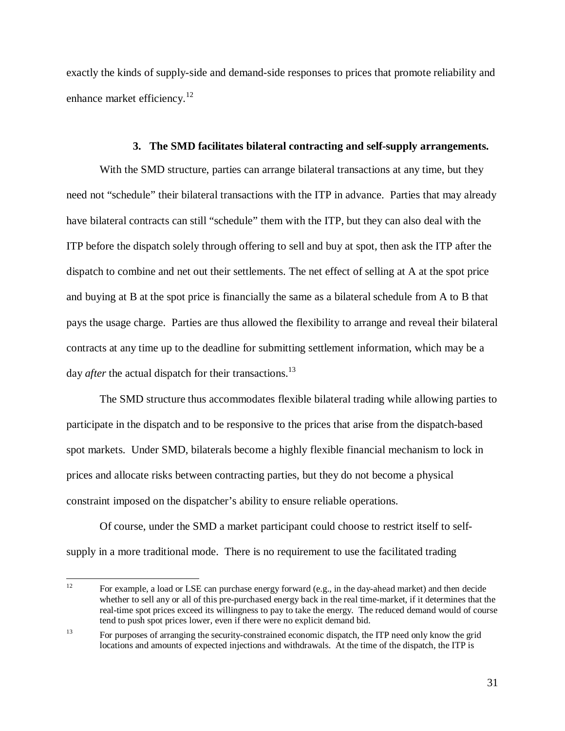exactly the kinds of supply-side and demand-side responses to prices that promote reliability and enhance market efficiency.<sup>12</sup>

#### **3. The SMD facilitates bilateral contracting and self-supply arrangements.**

With the SMD structure, parties can arrange bilateral transactions at any time, but they need not "schedule" their bilateral transactions with the ITP in advance. Parties that may already have bilateral contracts can still "schedule" them with the ITP, but they can also deal with the ITP before the dispatch solely through offering to sell and buy at spot, then ask the ITP after the dispatch to combine and net out their settlements. The net effect of selling at A at the spot price and buying at B at the spot price is financially the same as a bilateral schedule from A to B that pays the usage charge. Parties are thus allowed the flexibility to arrange and reveal their bilateral contracts at any time up to the deadline for submitting settlement information, which may be a day *after* the actual dispatch for their transactions.<sup>13</sup>

The SMD structure thus accommodates flexible bilateral trading while allowing parties to participate in the dispatch and to be responsive to the prices that arise from the dispatch-based spot markets. Under SMD, bilaterals become a highly flexible financial mechanism to lock in prices and allocate risks between contracting parties, but they do not become a physical constraint imposed on the dispatcher's ability to ensure reliable operations.

Of course, under the SMD a market participant could choose to restrict itself to selfsupply in a more traditional mode. There is no requirement to use the facilitated trading

 $12$ For example, a load or LSE can purchase energy forward (e.g., in the day-ahead market) and then decide whether to sell any or all of this pre-purchased energy back in the real time-market, if it determines that the real-time spot prices exceed its willingness to pay to take the energy. The reduced demand would of course tend to push spot prices lower, even if there were no explicit demand bid.

<sup>&</sup>lt;sup>13</sup> For purposes of arranging the security-constrained economic dispatch, the ITP need only know the grid locations and amounts of expected injections and withdrawals. At the time of the dispatch, the ITP is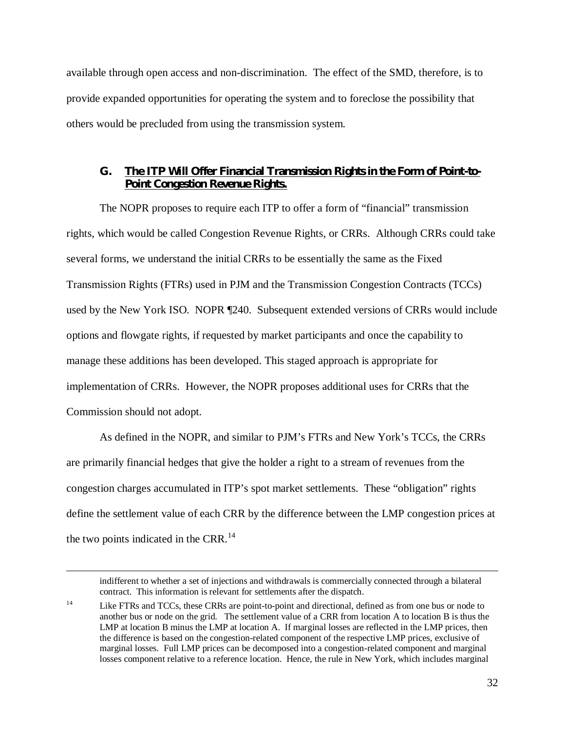available through open access and non-discrimination. The effect of the SMD, therefore, is to provide expanded opportunities for operating the system and to foreclose the possibility that others would be precluded from using the transmission system.

## **G. The ITP Will Offer Financial Transmission Rights in the Form of Point-to-Point Congestion Revenue Rights.**

The NOPR proposes to require each ITP to offer a form of "financial" transmission rights, which would be called Congestion Revenue Rights, or CRRs. Although CRRs could take several forms, we understand the initial CRRs to be essentially the same as the Fixed Transmission Rights (FTRs) used in PJM and the Transmission Congestion Contracts (TCCs) used by the New York ISO. NOPR ¶240. Subsequent extended versions of CRRs would include options and flowgate rights, if requested by market participants and once the capability to manage these additions has been developed. This staged approach is appropriate for implementation of CRRs. However, the NOPR proposes additional uses for CRRs that the Commission should not adopt.

As defined in the NOPR, and similar to PJM's FTRs and New York's TCCs, the CRRs are primarily financial hedges that give the holder a right to a stream of revenues from the congestion charges accumulated in ITP's spot market settlements. These "obligation" rights define the settlement value of each CRR by the difference between the LMP congestion prices at the two points indicated in the CRR.<sup>14</sup>

indifferent to whether a set of injections and withdrawals is commercially connected through a bilateral contract. This information is relevant for settlements after the dispatch.

<sup>&</sup>lt;sup>14</sup> Like FTRs and TCCs, these CRRs are point-to-point and directional, defined as from one bus or node to another bus or node on the grid. The settlement value of a CRR from location A to location B is thus the LMP at location B minus the LMP at location A. If marginal losses are reflected in the LMP prices, then the difference is based on the congestion-related component of the respective LMP prices, exclusive of marginal losses. Full LMP prices can be decomposed into a congestion-related component and marginal losses component relative to a reference location. Hence, the rule in New York, which includes marginal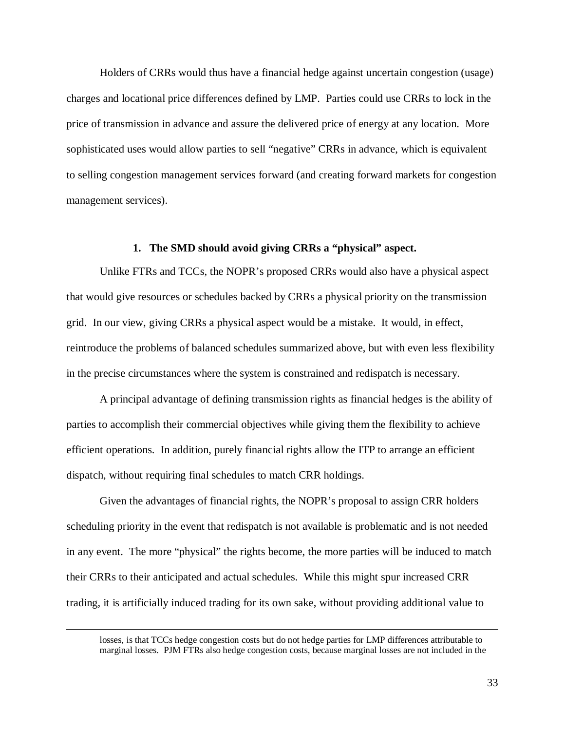Holders of CRRs would thus have a financial hedge against uncertain congestion (usage) charges and locational price differences defined by LMP. Parties could use CRRs to lock in the price of transmission in advance and assure the delivered price of energy at any location. More sophisticated uses would allow parties to sell "negative" CRRs in advance, which is equivalent to selling congestion management services forward (and creating forward markets for congestion management services).

#### **1. The SMD should avoid giving CRRs a "physical" aspect.**

Unlike FTRs and TCCs, the NOPR's proposed CRRs would also have a physical aspect that would give resources or schedules backed by CRRs a physical priority on the transmission grid. In our view, giving CRRs a physical aspect would be a mistake. It would, in effect, reintroduce the problems of balanced schedules summarized above, but with even less flexibility in the precise circumstances where the system is constrained and redispatch is necessary.

A principal advantage of defining transmission rights as financial hedges is the ability of parties to accomplish their commercial objectives while giving them the flexibility to achieve efficient operations. In addition, purely financial rights allow the ITP to arrange an efficient dispatch, without requiring final schedules to match CRR holdings.

Given the advantages of financial rights, the NOPR's proposal to assign CRR holders scheduling priority in the event that redispatch is not available is problematic and is not needed in any event. The more "physical" the rights become, the more parties will be induced to match their CRRs to their anticipated and actual schedules. While this might spur increased CRR trading, it is artificially induced trading for its own sake, without providing additional value to

losses, is that TCCs hedge congestion costs but do not hedge parties for LMP differences attributable to marginal losses. PJM FTRs also hedge congestion costs, because marginal losses are not included in the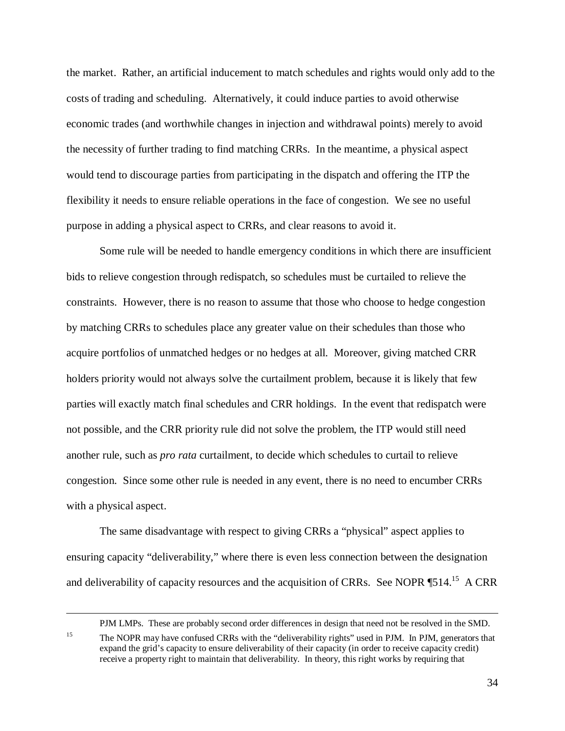the market. Rather, an artificial inducement to match schedules and rights would only add to the costs of trading and scheduling. Alternatively, it could induce parties to avoid otherwise economic trades (and worthwhile changes in injection and withdrawal points) merely to avoid the necessity of further trading to find matching CRRs. In the meantime, a physical aspect would tend to discourage parties from participating in the dispatch and offering the ITP the flexibility it needs to ensure reliable operations in the face of congestion. We see no useful purpose in adding a physical aspect to CRRs, and clear reasons to avoid it.

Some rule will be needed to handle emergency conditions in which there are insufficient bids to relieve congestion through redispatch, so schedules must be curtailed to relieve the constraints. However, there is no reason to assume that those who choose to hedge congestion by matching CRRs to schedules place any greater value on their schedules than those who acquire portfolios of unmatched hedges or no hedges at all. Moreover, giving matched CRR holders priority would not always solve the curtailment problem, because it is likely that few parties will exactly match final schedules and CRR holdings. In the event that redispatch were not possible, and the CRR priority rule did not solve the problem, the ITP would still need another rule, such as *pro rata* curtailment, to decide which schedules to curtail to relieve congestion. Since some other rule is needed in any event, there is no need to encumber CRRs with a physical aspect.

The same disadvantage with respect to giving CRRs a "physical" aspect applies to ensuring capacity "deliverability," where there is even less connection between the designation and deliverability of capacity resources and the acquisition of CRRs. See NOPR ¶514.<sup>15</sup> A CRR

PJM LMPs. These are probably second order differences in design that need not be resolved in the SMD.

<sup>&</sup>lt;sup>15</sup> The NOPR may have confused CRRs with the "deliverability rights" used in PJM. In PJM, generators that expand the grid's capacity to ensure deliverability of their capacity (in order to receive capacity credit) receive a property right to maintain that deliverability. In theory, this right works by requiring that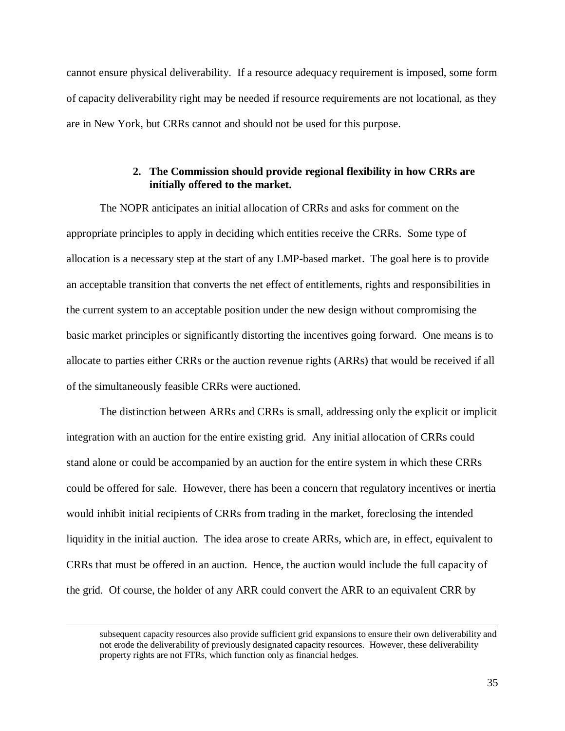cannot ensure physical deliverability. If a resource adequacy requirement is imposed, some form of capacity deliverability right may be needed if resource requirements are not locational, as they are in New York, but CRRs cannot and should not be used for this purpose.

## **2. The Commission should provide regional flexibility in how CRRs are initially offered to the market.**

The NOPR anticipates an initial allocation of CRRs and asks for comment on the appropriate principles to apply in deciding which entities receive the CRRs. Some type of allocation is a necessary step at the start of any LMP-based market. The goal here is to provide an acceptable transition that converts the net effect of entitlements, rights and responsibilities in the current system to an acceptable position under the new design without compromising the basic market principles or significantly distorting the incentives going forward. One means is to allocate to parties either CRRs or the auction revenue rights (ARRs) that would be received if all of the simultaneously feasible CRRs were auctioned.

The distinction between ARRs and CRRs is small, addressing only the explicit or implicit integration with an auction for the entire existing grid. Any initial allocation of CRRs could stand alone or could be accompanied by an auction for the entire system in which these CRRs could be offered for sale. However, there has been a concern that regulatory incentives or inertia would inhibit initial recipients of CRRs from trading in the market, foreclosing the intended liquidity in the initial auction. The idea arose to create ARRs, which are, in effect, equivalent to CRRs that must be offered in an auction. Hence, the auction would include the full capacity of the grid. Of course, the holder of any ARR could convert the ARR to an equivalent CRR by

subsequent capacity resources also provide sufficient grid expansions to ensure their own deliverability and not erode the deliverability of previously designated capacity resources. However, these deliverability property rights are not FTRs, which function only as financial hedges.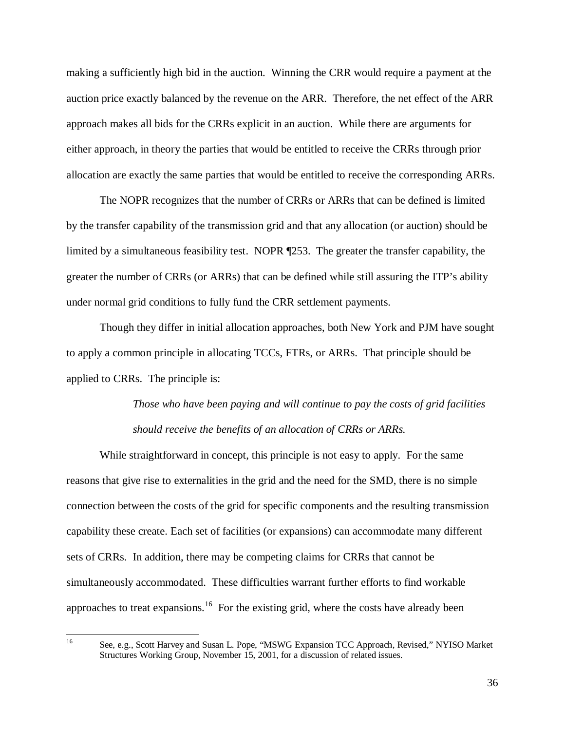making a sufficiently high bid in the auction. Winning the CRR would require a payment at the auction price exactly balanced by the revenue on the ARR. Therefore, the net effect of the ARR approach makes all bids for the CRRs explicit in an auction. While there are arguments for either approach, in theory the parties that would be entitled to receive the CRRs through prior allocation are exactly the same parties that would be entitled to receive the corresponding ARRs.

The NOPR recognizes that the number of CRRs or ARRs that can be defined is limited by the transfer capability of the transmission grid and that any allocation (or auction) should be limited by a simultaneous feasibility test. NOPR ¶253. The greater the transfer capability, the greater the number of CRRs (or ARRs) that can be defined while still assuring the ITP's ability under normal grid conditions to fully fund the CRR settlement payments.

Though they differ in initial allocation approaches, both New York and PJM have sought to apply a common principle in allocating TCCs, FTRs, or ARRs. That principle should be applied to CRRs. The principle is:

# *Those who have been paying and will continue to pay the costs of grid facilities should receive the benefits of an allocation of CRRs or ARRs.*

While straightforward in concept, this principle is not easy to apply. For the same reasons that give rise to externalities in the grid and the need for the SMD, there is no simple connection between the costs of the grid for specific components and the resulting transmission capability these create. Each set of facilities (or expansions) can accommodate many different sets of CRRs. In addition, there may be competing claims for CRRs that cannot be simultaneously accommodated. These difficulties warrant further efforts to find workable approaches to treat expansions.<sup>16</sup> For the existing grid, where the costs have already been

 $16\,$ 

See, e.g., Scott Harvey and Susan L. Pope, "MSWG Expansion TCC Approach, Revised," NYISO Market Structures Working Group, November 15, 2001, for a discussion of related issues.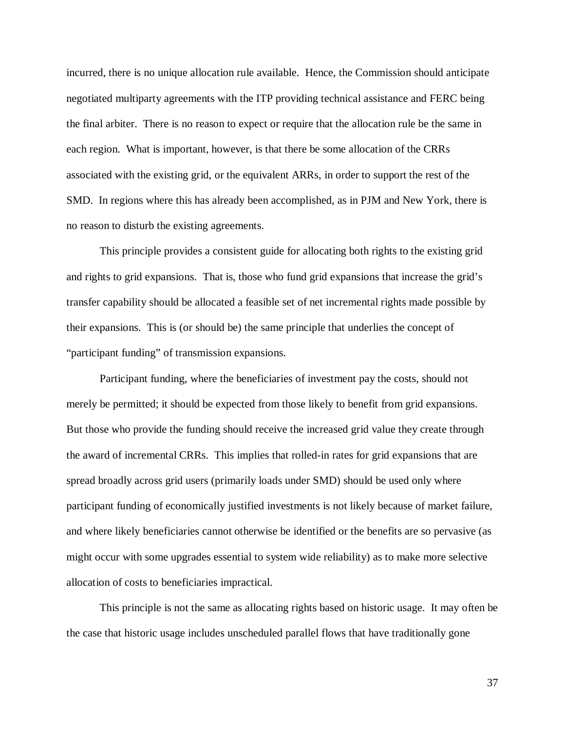incurred, there is no unique allocation rule available. Hence, the Commission should anticipate negotiated multiparty agreements with the ITP providing technical assistance and FERC being the final arbiter. There is no reason to expect or require that the allocation rule be the same in each region. What is important, however, is that there be some allocation of the CRRs associated with the existing grid, or the equivalent ARRs, in order to support the rest of the SMD. In regions where this has already been accomplished, as in PJM and New York, there is no reason to disturb the existing agreements.

This principle provides a consistent guide for allocating both rights to the existing grid and rights to grid expansions. That is, those who fund grid expansions that increase the grid's transfer capability should be allocated a feasible set of net incremental rights made possible by their expansions. This is (or should be) the same principle that underlies the concept of "participant funding" of transmission expansions.

Participant funding, where the beneficiaries of investment pay the costs, should not merely be permitted; it should be expected from those likely to benefit from grid expansions. But those who provide the funding should receive the increased grid value they create through the award of incremental CRRs. This implies that rolled-in rates for grid expansions that are spread broadly across grid users (primarily loads under SMD) should be used only where participant funding of economically justified investments is not likely because of market failure, and where likely beneficiaries cannot otherwise be identified or the benefits are so pervasive (as might occur with some upgrades essential to system wide reliability) as to make more selective allocation of costs to beneficiaries impractical.

This principle is not the same as allocating rights based on historic usage. It may often be the case that historic usage includes unscheduled parallel flows that have traditionally gone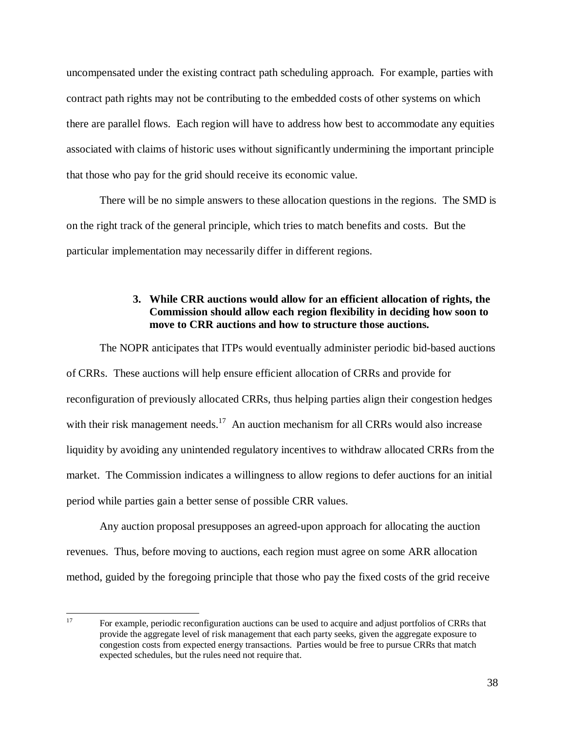uncompensated under the existing contract path scheduling approach. For example, parties with contract path rights may not be contributing to the embedded costs of other systems on which there are parallel flows. Each region will have to address how best to accommodate any equities associated with claims of historic uses without significantly undermining the important principle that those who pay for the grid should receive its economic value.

There will be no simple answers to these allocation questions in the regions. The SMD is on the right track of the general principle, which tries to match benefits and costs. But the particular implementation may necessarily differ in different regions.

# **3. While CRR auctions would allow for an efficient allocation of rights, the Commission should allow each region flexibility in deciding how soon to move to CRR auctions and how to structure those auctions.**

The NOPR anticipates that ITPs would eventually administer periodic bid-based auctions of CRRs. These auctions will help ensure efficient allocation of CRRs and provide for reconfiguration of previously allocated CRRs, thus helping parties align their congestion hedges with their risk management needs.<sup>17</sup> An auction mechanism for all CRRs would also increase liquidity by avoiding any unintended regulatory incentives to withdraw allocated CRRs from the market. The Commission indicates a willingness to allow regions to defer auctions for an initial period while parties gain a better sense of possible CRR values.

Any auction proposal presupposes an agreed-upon approach for allocating the auction revenues. Thus, before moving to auctions, each region must agree on some ARR allocation method, guided by the foregoing principle that those who pay the fixed costs of the grid receive

 $17\text{ }$ 17 For example, periodic reconfiguration auctions can be used to acquire and adjust portfolios of CRRs that provide the aggregate level of risk management that each party seeks, given the aggregate exposure to congestion costs from expected energy transactions. Parties would be free to pursue CRRs that match expected schedules, but the rules need not require that.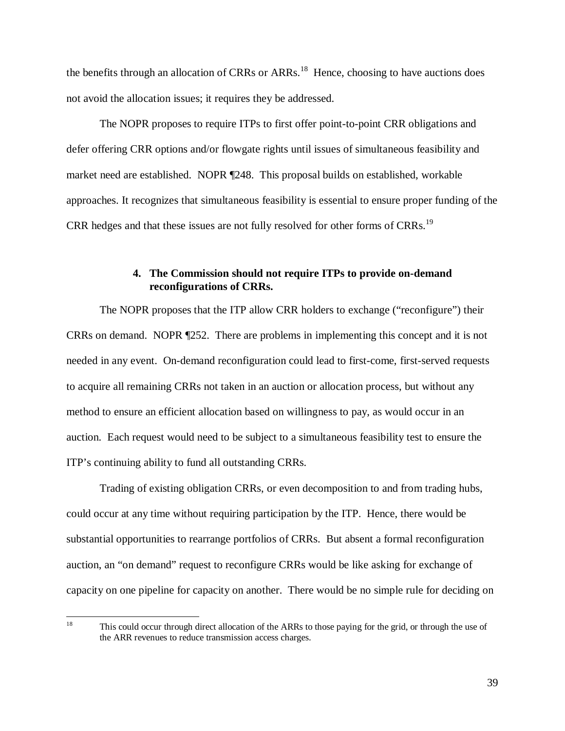the benefits through an allocation of CRRs or ARRs.<sup>18</sup> Hence, choosing to have auctions does not avoid the allocation issues; it requires they be addressed.

The NOPR proposes to require ITPs to first offer point-to-point CRR obligations and defer offering CRR options and/or flowgate rights until issues of simultaneous feasibility and market need are established. NOPR ¶248. This proposal builds on established, workable approaches. It recognizes that simultaneous feasibility is essential to ensure proper funding of the CRR hedges and that these issues are not fully resolved for other forms of CRRs.<sup>19</sup>

# **4. The Commission should not require ITPs to provide on-demand reconfigurations of CRRs.**

The NOPR proposes that the ITP allow CRR holders to exchange ("reconfigure") their CRRs on demand. NOPR ¶252. There are problems in implementing this concept and it is not needed in any event. On-demand reconfiguration could lead to first-come, first-served requests to acquire all remaining CRRs not taken in an auction or allocation process, but without any method to ensure an efficient allocation based on willingness to pay, as would occur in an auction. Each request would need to be subject to a simultaneous feasibility test to ensure the ITP's continuing ability to fund all outstanding CRRs.

Trading of existing obligation CRRs, or even decomposition to and from trading hubs, could occur at any time without requiring participation by the ITP. Hence, there would be substantial opportunities to rearrange portfolios of CRRs. But absent a formal reconfiguration auction, an "on demand" request to reconfigure CRRs would be like asking for exchange of capacity on one pipeline for capacity on another. There would be no simple rule for deciding on

<sup>18</sup> This could occur through direct allocation of the ARRs to those paying for the grid, or through the use of the ARR revenues to reduce transmission access charges.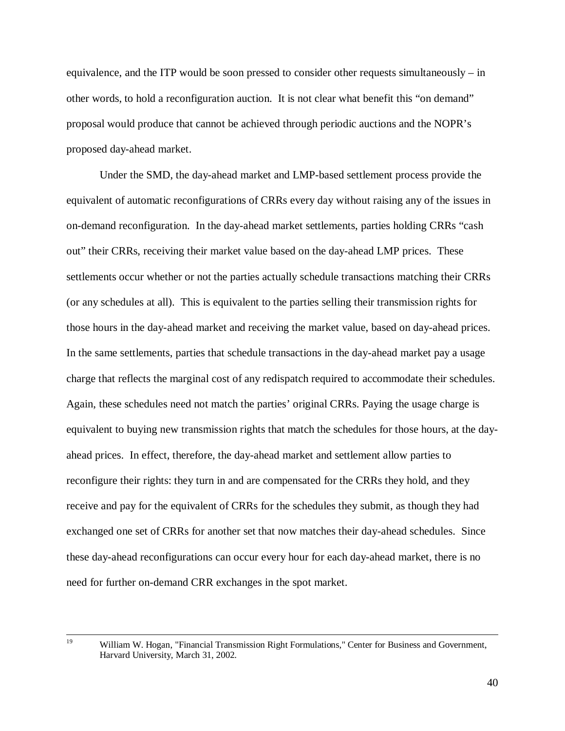equivalence, and the ITP would be soon pressed to consider other requests simultaneously – in other words, to hold a reconfiguration auction. It is not clear what benefit this "on demand" proposal would produce that cannot be achieved through periodic auctions and the NOPR's proposed day-ahead market.

Under the SMD, the day-ahead market and LMP-based settlement process provide the equivalent of automatic reconfigurations of CRRs every day without raising any of the issues in on-demand reconfiguration. In the day-ahead market settlements, parties holding CRRs "cash out" their CRRs, receiving their market value based on the day-ahead LMP prices. These settlements occur whether or not the parties actually schedule transactions matching their CRRs (or any schedules at all). This is equivalent to the parties selling their transmission rights for those hours in the day-ahead market and receiving the market value, based on day-ahead prices. In the same settlements, parties that schedule transactions in the day-ahead market pay a usage charge that reflects the marginal cost of any redispatch required to accommodate their schedules. Again, these schedules need not match the parties' original CRRs. Paying the usage charge is equivalent to buying new transmission rights that match the schedules for those hours, at the dayahead prices. In effect, therefore, the day-ahead market and settlement allow parties to reconfigure their rights: they turn in and are compensated for the CRRs they hold, and they receive and pay for the equivalent of CRRs for the schedules they submit, as though they had exchanged one set of CRRs for another set that now matches their day-ahead schedules. Since these day-ahead reconfigurations can occur every hour for each day-ahead market, there is no need for further on-demand CRR exchanges in the spot market.

 <sup>19</sup> William W. Hogan, "Financial Transmission Right Formulations," Center for Business and Government, Harvard University, March 31, 2002.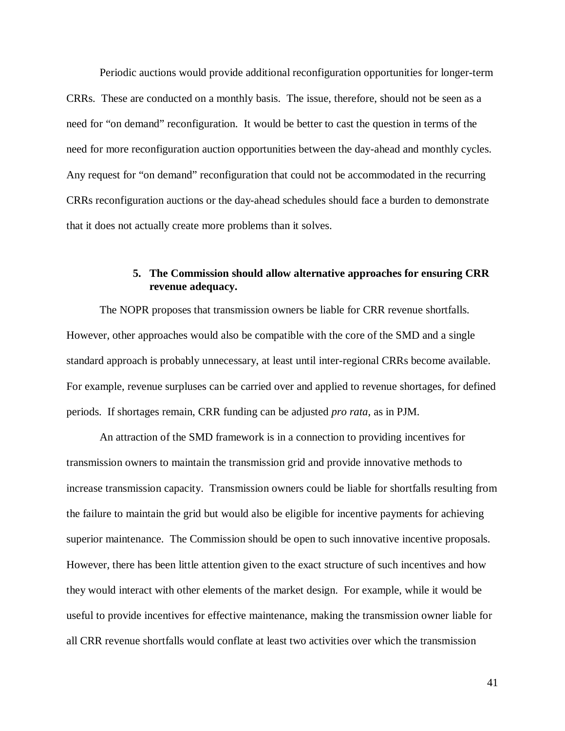Periodic auctions would provide additional reconfiguration opportunities for longer-term CRRs. These are conducted on a monthly basis. The issue, therefore, should not be seen as a need for "on demand" reconfiguration. It would be better to cast the question in terms of the need for more reconfiguration auction opportunities between the day-ahead and monthly cycles. Any request for "on demand" reconfiguration that could not be accommodated in the recurring CRRs reconfiguration auctions or the day-ahead schedules should face a burden to demonstrate that it does not actually create more problems than it solves.

# **5. The Commission should allow alternative approaches for ensuring CRR revenue adequacy.**

The NOPR proposes that transmission owners be liable for CRR revenue shortfalls. However, other approaches would also be compatible with the core of the SMD and a single standard approach is probably unnecessary, at least until inter-regional CRRs become available. For example, revenue surpluses can be carried over and applied to revenue shortages, for defined periods. If shortages remain, CRR funding can be adjusted *pro rata*, as in PJM.

An attraction of the SMD framework is in a connection to providing incentives for transmission owners to maintain the transmission grid and provide innovative methods to increase transmission capacity. Transmission owners could be liable for shortfalls resulting from the failure to maintain the grid but would also be eligible for incentive payments for achieving superior maintenance. The Commission should be open to such innovative incentive proposals. However, there has been little attention given to the exact structure of such incentives and how they would interact with other elements of the market design. For example, while it would be useful to provide incentives for effective maintenance, making the transmission owner liable for all CRR revenue shortfalls would conflate at least two activities over which the transmission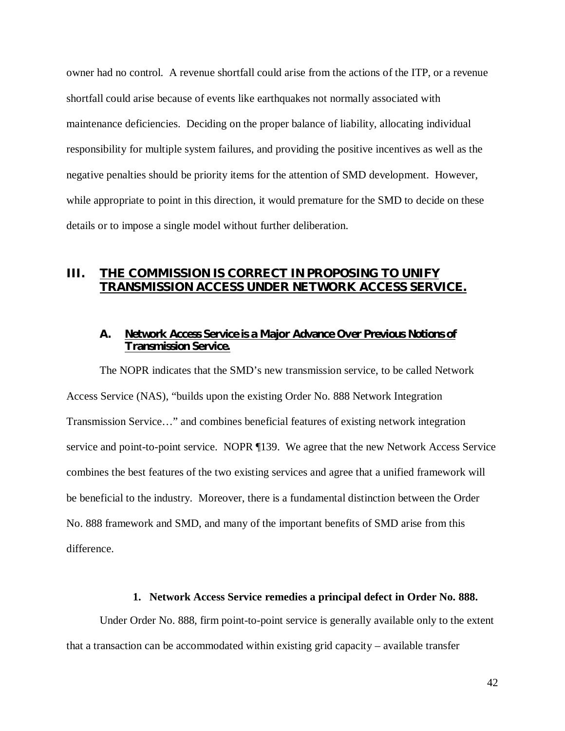owner had no control. A revenue shortfall could arise from the actions of the ITP, or a revenue shortfall could arise because of events like earthquakes not normally associated with maintenance deficiencies. Deciding on the proper balance of liability, allocating individual responsibility for multiple system failures, and providing the positive incentives as well as the negative penalties should be priority items for the attention of SMD development. However, while appropriate to point in this direction, it would premature for the SMD to decide on these details or to impose a single model without further deliberation.

# **III. THE COMMISSION IS CORRECT IN PROPOSING TO UNIFY TRANSMISSION ACCESS UNDER NETWORK ACCESS SERVICE.**

### **A. Network Access Service is a Major Advance Over Previous Notions of Transmission Service.**

The NOPR indicates that the SMD's new transmission service, to be called Network Access Service (NAS), "builds upon the existing Order No. 888 Network Integration Transmission Service…" and combines beneficial features of existing network integration service and point-to-point service. NOPR ¶139. We agree that the new Network Access Service combines the best features of the two existing services and agree that a unified framework will be beneficial to the industry. Moreover, there is a fundamental distinction between the Order No. 888 framework and SMD, and many of the important benefits of SMD arise from this difference.

#### **1. Network Access Service remedies a principal defect in Order No. 888.**

Under Order No. 888, firm point-to-point service is generally available only to the extent that a transaction can be accommodated within existing grid capacity – available transfer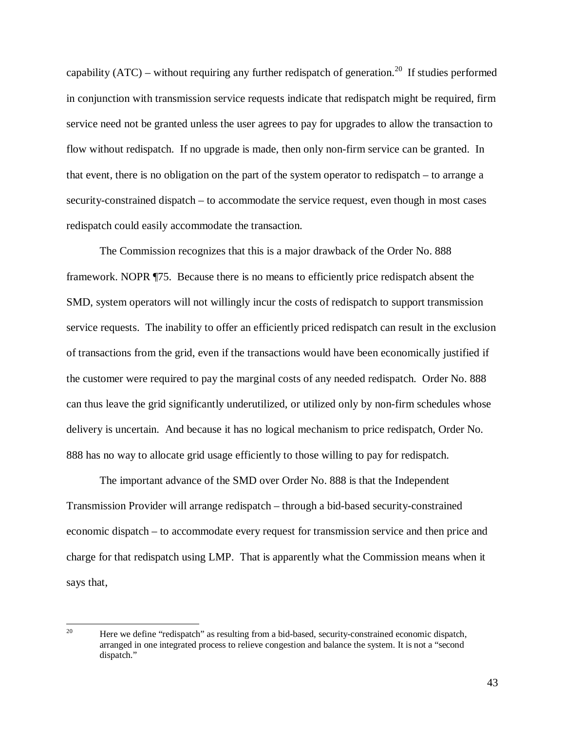capability (ATC) – without requiring any further redispatch of generation.<sup>20</sup> If studies performed in conjunction with transmission service requests indicate that redispatch might be required, firm service need not be granted unless the user agrees to pay for upgrades to allow the transaction to flow without redispatch. If no upgrade is made, then only non-firm service can be granted. In that event, there is no obligation on the part of the system operator to redispatch – to arrange a security-constrained dispatch – to accommodate the service request, even though in most cases redispatch could easily accommodate the transaction.

The Commission recognizes that this is a major drawback of the Order No. 888 framework. NOPR ¶75. Because there is no means to efficiently price redispatch absent the SMD, system operators will not willingly incur the costs of redispatch to support transmission service requests. The inability to offer an efficiently priced redispatch can result in the exclusion of transactions from the grid, even if the transactions would have been economically justified if the customer were required to pay the marginal costs of any needed redispatch. Order No. 888 can thus leave the grid significantly underutilized, or utilized only by non-firm schedules whose delivery is uncertain. And because it has no logical mechanism to price redispatch, Order No. 888 has no way to allocate grid usage efficiently to those willing to pay for redispatch.

The important advance of the SMD over Order No. 888 is that the Independent Transmission Provider will arrange redispatch – through a bid-based security-constrained economic dispatch – to accommodate every request for transmission service and then price and charge for that redispatch using LMP. That is apparently what the Commission means when it says that,

<sup>20</sup> Here we define "redispatch" as resulting from a bid-based, security-constrained economic dispatch, arranged in one integrated process to relieve congestion and balance the system. It is not a "second dispatch."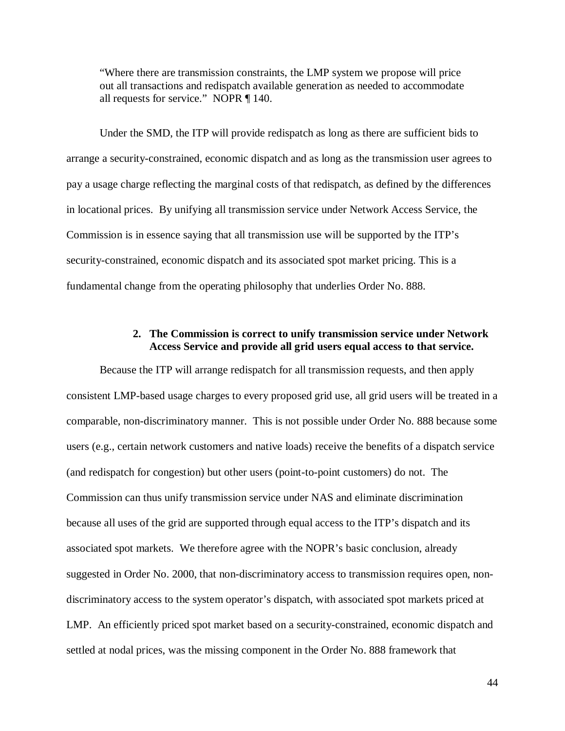"Where there are transmission constraints, the LMP system we propose will price out all transactions and redispatch available generation as needed to accommodate all requests for service." NOPR ¶ 140.

 Under the SMD, the ITP will provide redispatch as long as there are sufficient bids to arrange a security-constrained, economic dispatch and as long as the transmission user agrees to pay a usage charge reflecting the marginal costs of that redispatch, as defined by the differences in locational prices. By unifying all transmission service under Network Access Service, the Commission is in essence saying that all transmission use will be supported by the ITP's security-constrained, economic dispatch and its associated spot market pricing. This is a fundamental change from the operating philosophy that underlies Order No. 888.

### **2. The Commission is correct to unify transmission service under Network Access Service and provide all grid users equal access to that service.**

Because the ITP will arrange redispatch for all transmission requests, and then apply consistent LMP-based usage charges to every proposed grid use, all grid users will be treated in a comparable, non-discriminatory manner. This is not possible under Order No. 888 because some users (e.g., certain network customers and native loads) receive the benefits of a dispatch service (and redispatch for congestion) but other users (point-to-point customers) do not. The Commission can thus unify transmission service under NAS and eliminate discrimination because all uses of the grid are supported through equal access to the ITP's dispatch and its associated spot markets. We therefore agree with the NOPR's basic conclusion, already suggested in Order No. 2000, that non-discriminatory access to transmission requires open, nondiscriminatory access to the system operator's dispatch, with associated spot markets priced at LMP. An efficiently priced spot market based on a security-constrained, economic dispatch and settled at nodal prices, was the missing component in the Order No. 888 framework that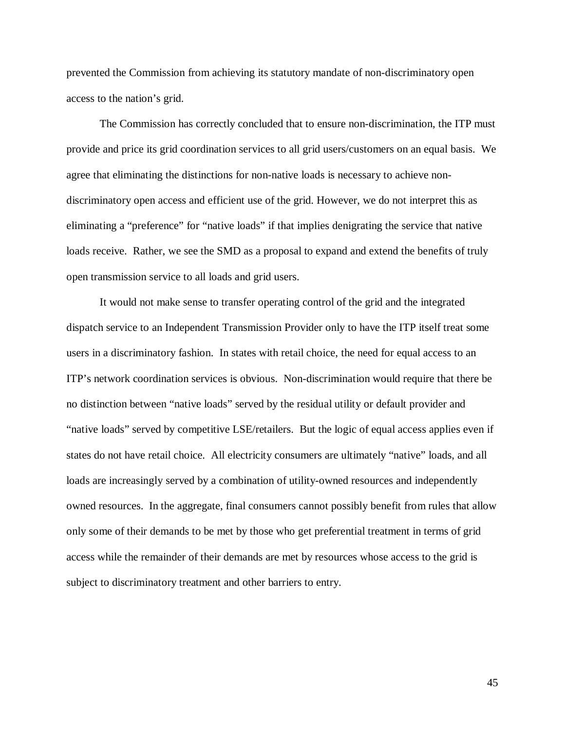prevented the Commission from achieving its statutory mandate of non-discriminatory open access to the nation's grid.

The Commission has correctly concluded that to ensure non-discrimination, the ITP must provide and price its grid coordination services to all grid users/customers on an equal basis. We agree that eliminating the distinctions for non-native loads is necessary to achieve nondiscriminatory open access and efficient use of the grid. However, we do not interpret this as eliminating a "preference" for "native loads" if that implies denigrating the service that native loads receive. Rather, we see the SMD as a proposal to expand and extend the benefits of truly open transmission service to all loads and grid users.

It would not make sense to transfer operating control of the grid and the integrated dispatch service to an Independent Transmission Provider only to have the ITP itself treat some users in a discriminatory fashion. In states with retail choice, the need for equal access to an ITP's network coordination services is obvious. Non-discrimination would require that there be no distinction between "native loads" served by the residual utility or default provider and "native loads" served by competitive LSE/retailers. But the logic of equal access applies even if states do not have retail choice. All electricity consumers are ultimately "native" loads, and all loads are increasingly served by a combination of utility-owned resources and independently owned resources. In the aggregate, final consumers cannot possibly benefit from rules that allow only some of their demands to be met by those who get preferential treatment in terms of grid access while the remainder of their demands are met by resources whose access to the grid is subject to discriminatory treatment and other barriers to entry.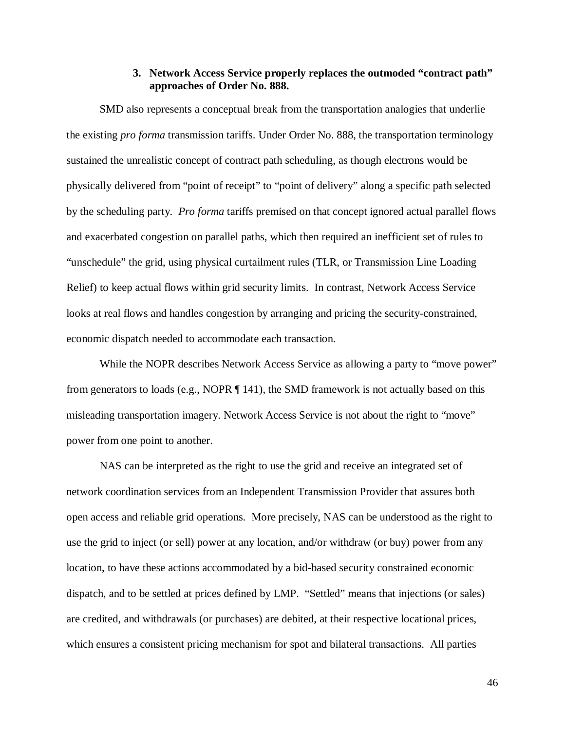#### **3. Network Access Service properly replaces the outmoded "contract path" approaches of Order No. 888.**

SMD also represents a conceptual break from the transportation analogies that underlie the existing *pro forma* transmission tariffs. Under Order No. 888, the transportation terminology sustained the unrealistic concept of contract path scheduling, as though electrons would be physically delivered from "point of receipt" to "point of delivery" along a specific path selected by the scheduling party. *Pro forma* tariffs premised on that concept ignored actual parallel flows and exacerbated congestion on parallel paths, which then required an inefficient set of rules to "unschedule" the grid, using physical curtailment rules (TLR, or Transmission Line Loading Relief) to keep actual flows within grid security limits. In contrast, Network Access Service looks at real flows and handles congestion by arranging and pricing the security-constrained, economic dispatch needed to accommodate each transaction.

While the NOPR describes Network Access Service as allowing a party to "move power" from generators to loads (e.g., NOPR ¶ 141), the SMD framework is not actually based on this misleading transportation imagery. Network Access Service is not about the right to "move" power from one point to another.

NAS can be interpreted as the right to use the grid and receive an integrated set of network coordination services from an Independent Transmission Provider that assures both open access and reliable grid operations. More precisely, NAS can be understood as the right to use the grid to inject (or sell) power at any location, and/or withdraw (or buy) power from any location, to have these actions accommodated by a bid-based security constrained economic dispatch, and to be settled at prices defined by LMP. "Settled" means that injections (or sales) are credited, and withdrawals (or purchases) are debited, at their respective locational prices, which ensures a consistent pricing mechanism for spot and bilateral transactions. All parties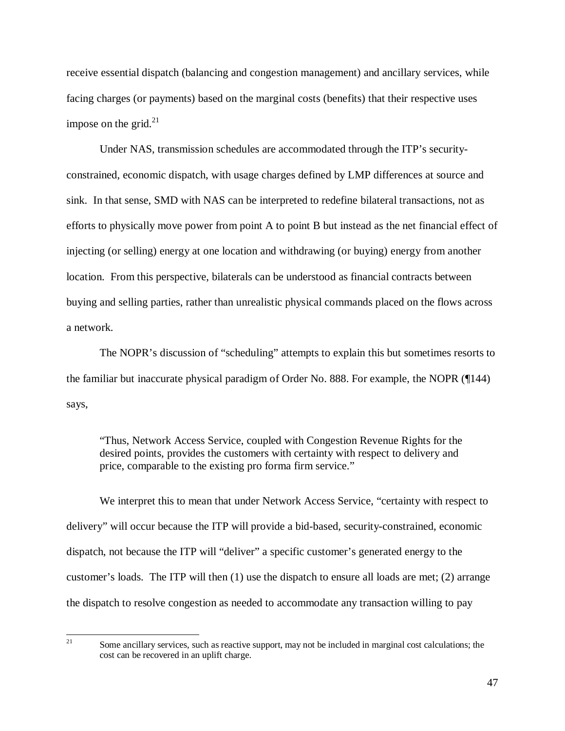receive essential dispatch (balancing and congestion management) and ancillary services, while facing charges (or payments) based on the marginal costs (benefits) that their respective uses impose on the grid. $^{21}$ 

Under NAS, transmission schedules are accommodated through the ITP's securityconstrained, economic dispatch, with usage charges defined by LMP differences at source and sink. In that sense, SMD with NAS can be interpreted to redefine bilateral transactions, not as efforts to physically move power from point A to point B but instead as the net financial effect of injecting (or selling) energy at one location and withdrawing (or buying) energy from another location. From this perspective, bilaterals can be understood as financial contracts between buying and selling parties, rather than unrealistic physical commands placed on the flows across a network.

The NOPR's discussion of "scheduling" attempts to explain this but sometimes resorts to the familiar but inaccurate physical paradigm of Order No. 888. For example, the NOPR (¶144) says,

"Thus, Network Access Service, coupled with Congestion Revenue Rights for the desired points, provides the customers with certainty with respect to delivery and price, comparable to the existing pro forma firm service."

We interpret this to mean that under Network Access Service, "certainty with respect to delivery" will occur because the ITP will provide a bid-based, security-constrained, economic dispatch, not because the ITP will "deliver" a specific customer's generated energy to the customer's loads. The ITP will then (1) use the dispatch to ensure all loads are met; (2) arrange the dispatch to resolve congestion as needed to accommodate any transaction willing to pay

<sup>21</sup> Some ancillary services, such as reactive support, may not be included in marginal cost calculations; the cost can be recovered in an uplift charge.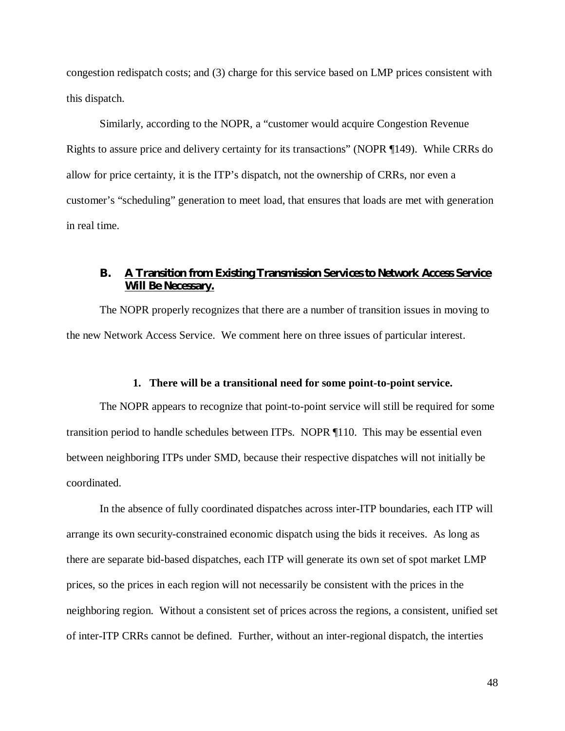congestion redispatch costs; and (3) charge for this service based on LMP prices consistent with this dispatch.

Similarly, according to the NOPR, a "customer would acquire Congestion Revenue Rights to assure price and delivery certainty for its transactions" (NOPR ¶149). While CRRs do allow for price certainty, it is the ITP's dispatch, not the ownership of CRRs, nor even a customer's "scheduling" generation to meet load, that ensures that loads are met with generation in real time.

# **B. A Transition from Existing Transmission Services to Network Access Service Will Be Necessary.**

The NOPR properly recognizes that there are a number of transition issues in moving to the new Network Access Service. We comment here on three issues of particular interest.

#### **1. There will be a transitional need for some point-to-point service.**

The NOPR appears to recognize that point-to-point service will still be required for some transition period to handle schedules between ITPs. NOPR ¶110. This may be essential even between neighboring ITPs under SMD, because their respective dispatches will not initially be coordinated.

In the absence of fully coordinated dispatches across inter-ITP boundaries, each ITP will arrange its own security-constrained economic dispatch using the bids it receives. As long as there are separate bid-based dispatches, each ITP will generate its own set of spot market LMP prices, so the prices in each region will not necessarily be consistent with the prices in the neighboring region. Without a consistent set of prices across the regions, a consistent, unified set of inter-ITP CRRs cannot be defined. Further, without an inter-regional dispatch, the interties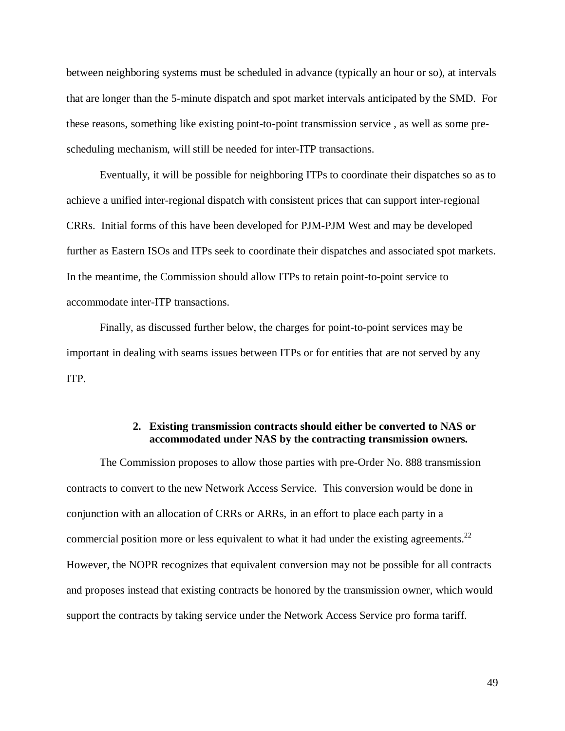between neighboring systems must be scheduled in advance (typically an hour or so), at intervals that are longer than the 5-minute dispatch and spot market intervals anticipated by the SMD. For these reasons, something like existing point-to-point transmission service , as well as some prescheduling mechanism, will still be needed for inter-ITP transactions.

Eventually, it will be possible for neighboring ITPs to coordinate their dispatches so as to achieve a unified inter-regional dispatch with consistent prices that can support inter-regional CRRs. Initial forms of this have been developed for PJM-PJM West and may be developed further as Eastern ISOs and ITPs seek to coordinate their dispatches and associated spot markets. In the meantime, the Commission should allow ITPs to retain point-to-point service to accommodate inter-ITP transactions.

Finally, as discussed further below, the charges for point-to-point services may be important in dealing with seams issues between ITPs or for entities that are not served by any ITP.

# **2. Existing transmission contracts should either be converted to NAS or accommodated under NAS by the contracting transmission owners.**

The Commission proposes to allow those parties with pre-Order No. 888 transmission contracts to convert to the new Network Access Service. This conversion would be done in conjunction with an allocation of CRRs or ARRs, in an effort to place each party in a commercial position more or less equivalent to what it had under the existing agreements.<sup>22</sup> However, the NOPR recognizes that equivalent conversion may not be possible for all contracts and proposes instead that existing contracts be honored by the transmission owner, which would support the contracts by taking service under the Network Access Service pro forma tariff.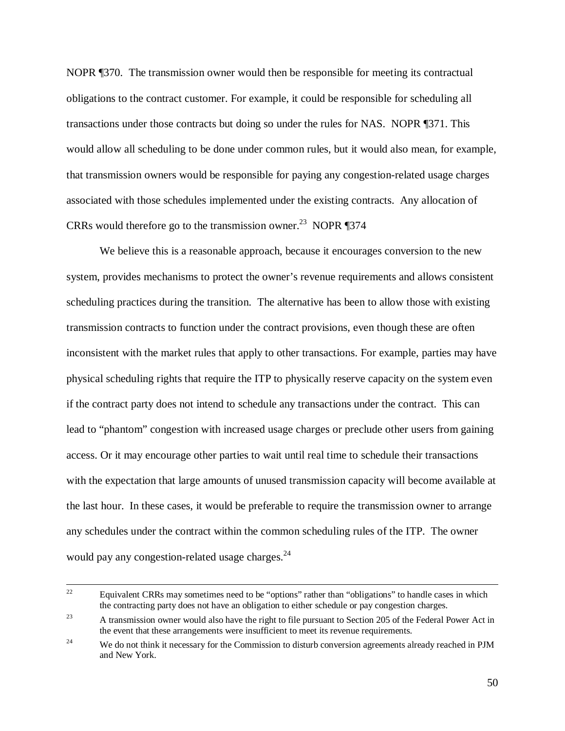NOPR ¶370. The transmission owner would then be responsible for meeting its contractual obligations to the contract customer. For example, it could be responsible for scheduling all transactions under those contracts but doing so under the rules for NAS. NOPR ¶371. This would allow all scheduling to be done under common rules, but it would also mean, for example, that transmission owners would be responsible for paying any congestion-related usage charges associated with those schedules implemented under the existing contracts. Any allocation of CRRs would therefore go to the transmission owner.<sup>23</sup> NOPR  $\P$ 374

We believe this is a reasonable approach, because it encourages conversion to the new system, provides mechanisms to protect the owner's revenue requirements and allows consistent scheduling practices during the transition. The alternative has been to allow those with existing transmission contracts to function under the contract provisions, even though these are often inconsistent with the market rules that apply to other transactions. For example, parties may have physical scheduling rights that require the ITP to physically reserve capacity on the system even if the contract party does not intend to schedule any transactions under the contract. This can lead to "phantom" congestion with increased usage charges or preclude other users from gaining access. Or it may encourage other parties to wait until real time to schedule their transactions with the expectation that large amounts of unused transmission capacity will become available at the last hour. In these cases, it would be preferable to require the transmission owner to arrange any schedules under the contract within the common scheduling rules of the ITP. The owner would pay any congestion-related usage charges.<sup>24</sup>

<sup>&</sup>lt;sup>22</sup> Equivalent CRRs may sometimes need to be "options" rather than "obligations" to handle cases in which the contracting party does not have an obligation to either schedule or pay congestion charges.

<sup>&</sup>lt;sup>23</sup> A transmission owner would also have the right to file pursuant to Section 205 of the Federal Power Act in the event that these arrangements were insufficient to meet its revenue requirements.

<sup>&</sup>lt;sup>24</sup> We do not think it necessary for the Commission to disturb conversion agreements already reached in PJM and New York.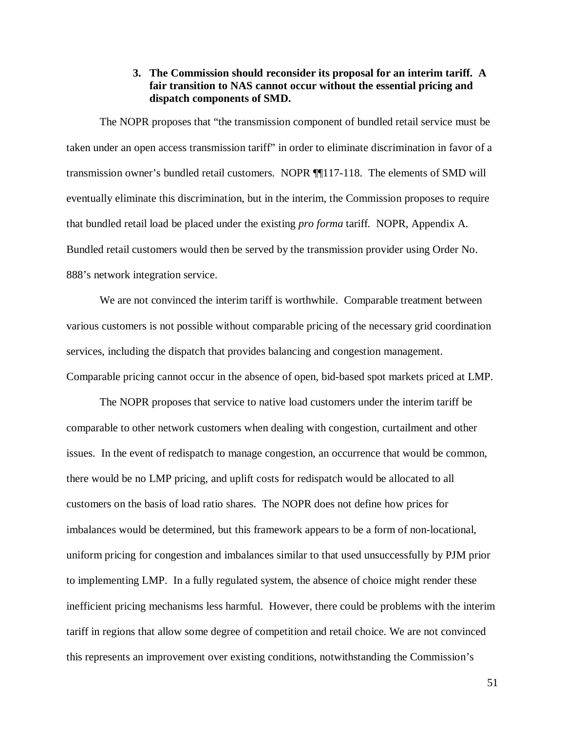### **3. The Commission should reconsider its proposal for an interim tariff. A fair transition to NAS cannot occur without the essential pricing and dispatch components of SMD.**

The NOPR proposes that "the transmission component of bundled retail service must be taken under an open access transmission tariff" in order to eliminate discrimination in favor of a transmission owner's bundled retail customers. NOPR ¶¶117-118. The elements of SMD will eventually eliminate this discrimination, but in the interim, the Commission proposes to require that bundled retail load be placed under the existing *pro forma* tariff. NOPR, Appendix A. Bundled retail customers would then be served by the transmission provider using Order No. 888's network integration service.

We are not convinced the interim tariff is worthwhile. Comparable treatment between various customers is not possible without comparable pricing of the necessary grid coordination services, including the dispatch that provides balancing and congestion management. Comparable pricing cannot occur in the absence of open, bid-based spot markets priced at LMP.

The NOPR proposes that service to native load customers under the interim tariff be comparable to other network customers when dealing with congestion, curtailment and other issues. In the event of redispatch to manage congestion, an occurrence that would be common, there would be no LMP pricing, and uplift costs for redispatch would be allocated to all customers on the basis of load ratio shares. The NOPR does not define how prices for imbalances would be determined, but this framework appears to be a form of non-locational, uniform pricing for congestion and imbalances similar to that used unsuccessfully by PJM prior to implementing LMP. In a fully regulated system, the absence of choice might render these inefficient pricing mechanisms less harmful. However, there could be problems with the interim tariff in regions that allow some degree of competition and retail choice. We are not convinced this represents an improvement over existing conditions, notwithstanding the Commission's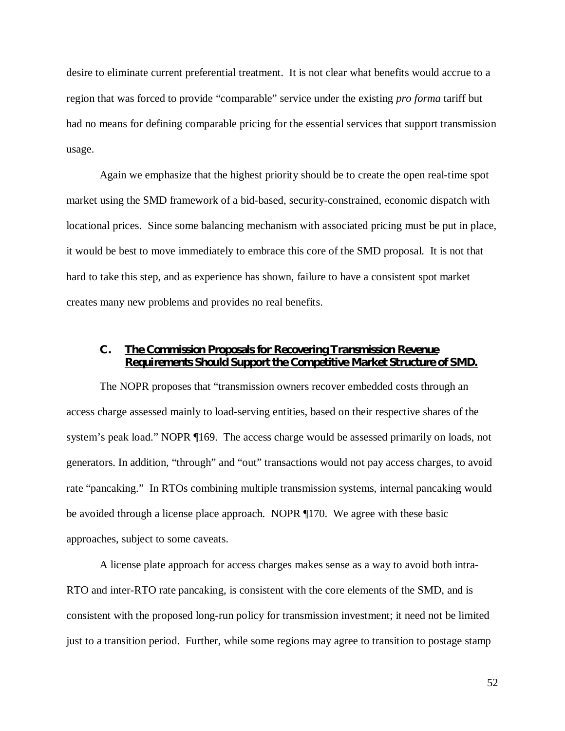desire to eliminate current preferential treatment. It is not clear what benefits would accrue to a region that was forced to provide "comparable" service under the existing *pro forma* tariff but had no means for defining comparable pricing for the essential services that support transmission usage.

Again we emphasize that the highest priority should be to create the open real-time spot market using the SMD framework of a bid-based, security-constrained, economic dispatch with locational prices. Since some balancing mechanism with associated pricing must be put in place, it would be best to move immediately to embrace this core of the SMD proposal. It is not that hard to take this step, and as experience has shown, failure to have a consistent spot market creates many new problems and provides no real benefits.

# **C. The Commission Proposals for Recovering Transmission Revenue Requirements Should Support the Competitive Market Structure of SMD.**

The NOPR proposes that "transmission owners recover embedded costs through an access charge assessed mainly to load-serving entities, based on their respective shares of the system's peak load." NOPR ¶169. The access charge would be assessed primarily on loads, not generators. In addition, "through" and "out" transactions would not pay access charges, to avoid rate "pancaking." In RTOs combining multiple transmission systems, internal pancaking would be avoided through a license place approach. NOPR ¶170. We agree with these basic approaches, subject to some caveats.

A license plate approach for access charges makes sense as a way to avoid both intra-RTO and inter-RTO rate pancaking, is consistent with the core elements of the SMD, and is consistent with the proposed long-run policy for transmission investment; it need not be limited just to a transition period. Further, while some regions may agree to transition to postage stamp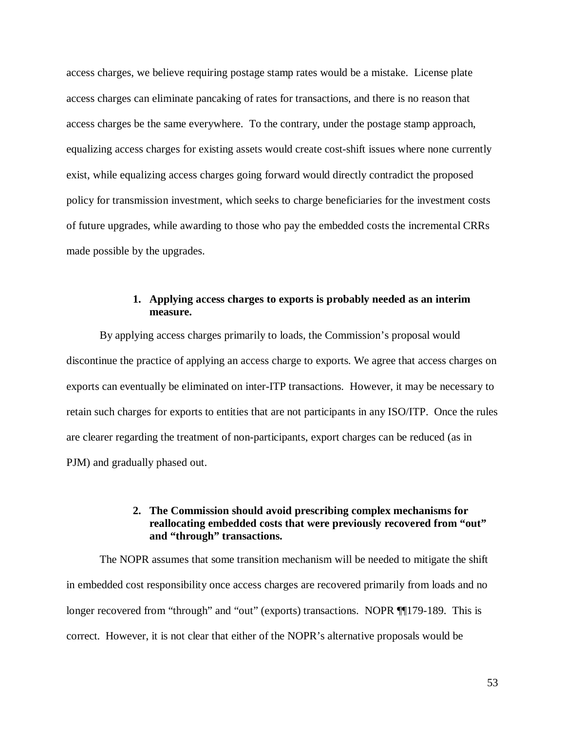access charges, we believe requiring postage stamp rates would be a mistake. License plate access charges can eliminate pancaking of rates for transactions, and there is no reason that access charges be the same everywhere. To the contrary, under the postage stamp approach, equalizing access charges for existing assets would create cost-shift issues where none currently exist, while equalizing access charges going forward would directly contradict the proposed policy for transmission investment, which seeks to charge beneficiaries for the investment costs of future upgrades, while awarding to those who pay the embedded costs the incremental CRRs made possible by the upgrades.

### **1. Applying access charges to exports is probably needed as an interim measure.**

By applying access charges primarily to loads, the Commission's proposal would discontinue the practice of applying an access charge to exports. We agree that access charges on exports can eventually be eliminated on inter-ITP transactions. However, it may be necessary to retain such charges for exports to entities that are not participants in any ISO/ITP. Once the rules are clearer regarding the treatment of non-participants, export charges can be reduced (as in PJM) and gradually phased out.

# **2. The Commission should avoid prescribing complex mechanisms for reallocating embedded costs that were previously recovered from "out" and "through" transactions.**

The NOPR assumes that some transition mechanism will be needed to mitigate the shift in embedded cost responsibility once access charges are recovered primarily from loads and no longer recovered from "through" and "out" (exports) transactions. NOPR ¶¶179-189. This is correct. However, it is not clear that either of the NOPR's alternative proposals would be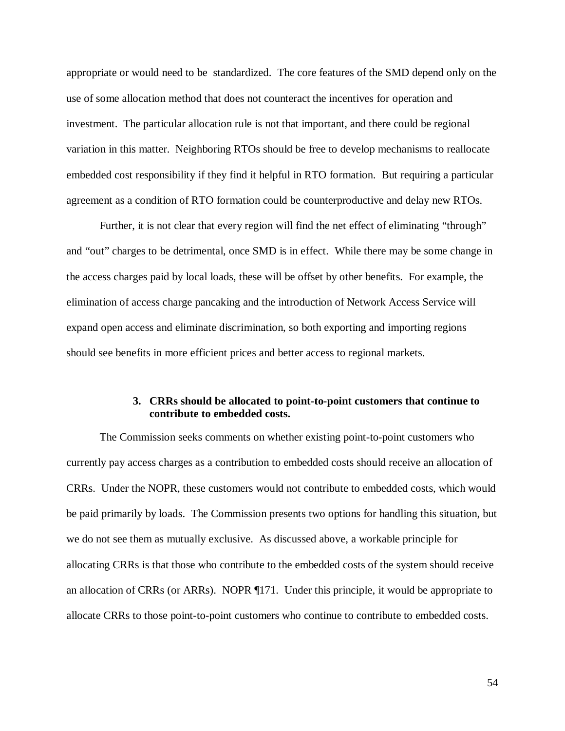appropriate or would need to be standardized. The core features of the SMD depend only on the use of some allocation method that does not counteract the incentives for operation and investment. The particular allocation rule is not that important, and there could be regional variation in this matter. Neighboring RTOs should be free to develop mechanisms to reallocate embedded cost responsibility if they find it helpful in RTO formation. But requiring a particular agreement as a condition of RTO formation could be counterproductive and delay new RTOs.

Further, it is not clear that every region will find the net effect of eliminating "through" and "out" charges to be detrimental, once SMD is in effect. While there may be some change in the access charges paid by local loads, these will be offset by other benefits. For example, the elimination of access charge pancaking and the introduction of Network Access Service will expand open access and eliminate discrimination, so both exporting and importing regions should see benefits in more efficient prices and better access to regional markets.

## **3. CRRs should be allocated to point-to-point customers that continue to contribute to embedded costs.**

The Commission seeks comments on whether existing point-to-point customers who currently pay access charges as a contribution to embedded costs should receive an allocation of CRRs. Under the NOPR, these customers would not contribute to embedded costs, which would be paid primarily by loads. The Commission presents two options for handling this situation, but we do not see them as mutually exclusive. As discussed above, a workable principle for allocating CRRs is that those who contribute to the embedded costs of the system should receive an allocation of CRRs (or ARRs). NOPR ¶171. Under this principle, it would be appropriate to allocate CRRs to those point-to-point customers who continue to contribute to embedded costs.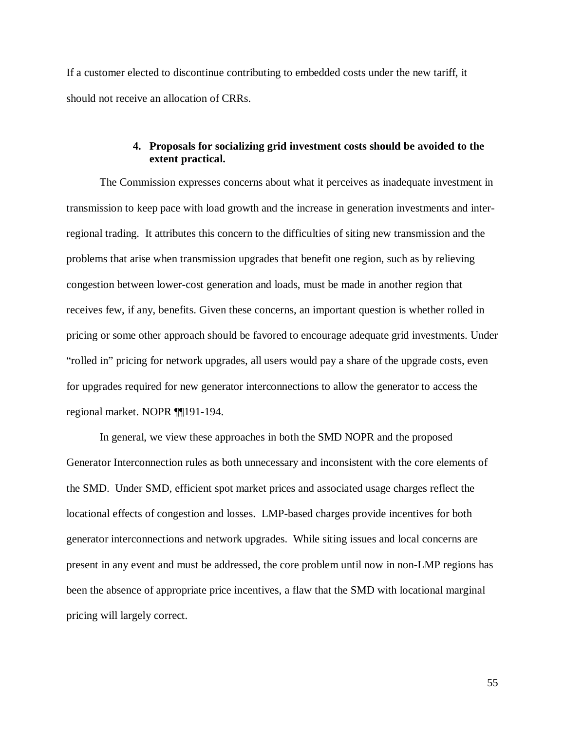If a customer elected to discontinue contributing to embedded costs under the new tariff, it should not receive an allocation of CRRs.

### **4. Proposals for socializing grid investment costs should be avoided to the extent practical.**

The Commission expresses concerns about what it perceives as inadequate investment in transmission to keep pace with load growth and the increase in generation investments and interregional trading. It attributes this concern to the difficulties of siting new transmission and the problems that arise when transmission upgrades that benefit one region, such as by relieving congestion between lower-cost generation and loads, must be made in another region that receives few, if any, benefits. Given these concerns, an important question is whether rolled in pricing or some other approach should be favored to encourage adequate grid investments. Under "rolled in" pricing for network upgrades, all users would pay a share of the upgrade costs, even for upgrades required for new generator interconnections to allow the generator to access the regional market. NOPR ¶¶191-194.

In general, we view these approaches in both the SMD NOPR and the proposed Generator Interconnection rules as both unnecessary and inconsistent with the core elements of the SMD. Under SMD, efficient spot market prices and associated usage charges reflect the locational effects of congestion and losses. LMP-based charges provide incentives for both generator interconnections and network upgrades. While siting issues and local concerns are present in any event and must be addressed, the core problem until now in non-LMP regions has been the absence of appropriate price incentives, a flaw that the SMD with locational marginal pricing will largely correct.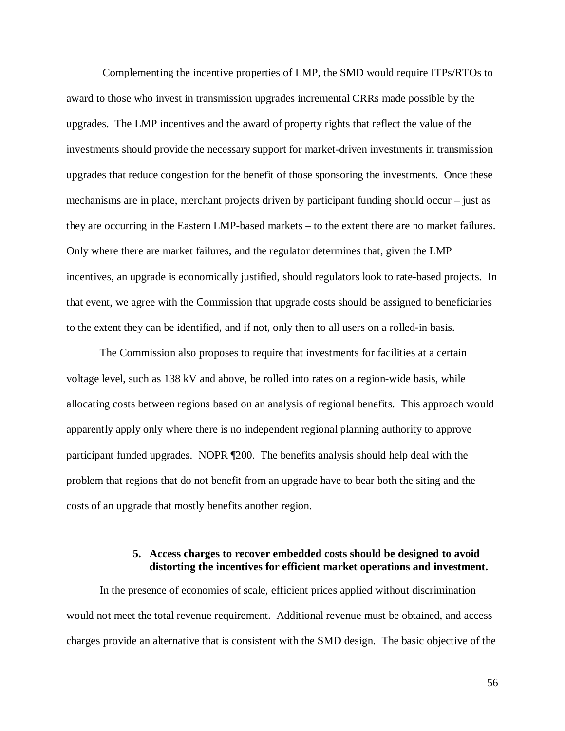Complementing the incentive properties of LMP, the SMD would require ITPs/RTOs to award to those who invest in transmission upgrades incremental CRRs made possible by the upgrades. The LMP incentives and the award of property rights that reflect the value of the investments should provide the necessary support for market-driven investments in transmission upgrades that reduce congestion for the benefit of those sponsoring the investments. Once these mechanisms are in place, merchant projects driven by participant funding should occur – just as they are occurring in the Eastern LMP-based markets – to the extent there are no market failures. Only where there are market failures, and the regulator determines that, given the LMP incentives, an upgrade is economically justified, should regulators look to rate-based projects. In that event, we agree with the Commission that upgrade costs should be assigned to beneficiaries to the extent they can be identified, and if not, only then to all users on a rolled-in basis.

The Commission also proposes to require that investments for facilities at a certain voltage level, such as 138 kV and above, be rolled into rates on a region-wide basis, while allocating costs between regions based on an analysis of regional benefits. This approach would apparently apply only where there is no independent regional planning authority to approve participant funded upgrades. NOPR ¶200. The benefits analysis should help deal with the problem that regions that do not benefit from an upgrade have to bear both the siting and the costs of an upgrade that mostly benefits another region.

# **5. Access charges to recover embedded costs should be designed to avoid distorting the incentives for efficient market operations and investment.**

In the presence of economies of scale, efficient prices applied without discrimination would not meet the total revenue requirement. Additional revenue must be obtained, and access charges provide an alternative that is consistent with the SMD design. The basic objective of the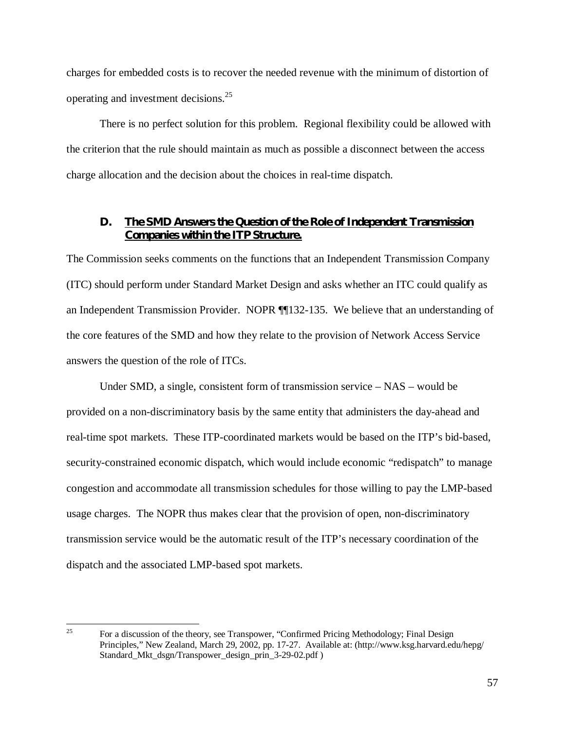charges for embedded costs is to recover the needed revenue with the minimum of distortion of operating and investment decisions.<sup>25</sup>

There is no perfect solution for this problem. Regional flexibility could be allowed with the criterion that the rule should maintain as much as possible a disconnect between the access charge allocation and the decision about the choices in real-time dispatch.

#### **D. The SMD Answers the Question of the Role of Independent Transmission Companies within the ITP Structure.**

The Commission seeks comments on the functions that an Independent Transmission Company (ITC) should perform under Standard Market Design and asks whether an ITC could qualify as an Independent Transmission Provider. NOPR ¶¶132-135. We believe that an understanding of the core features of the SMD and how they relate to the provision of Network Access Service answers the question of the role of ITCs.

Under SMD, a single, consistent form of transmission service – NAS – would be provided on a non-discriminatory basis by the same entity that administers the day-ahead and real-time spot markets. These ITP-coordinated markets would be based on the ITP's bid-based, security-constrained economic dispatch, which would include economic "redispatch" to manage congestion and accommodate all transmission schedules for those willing to pay the LMP-based usage charges. The NOPR thus makes clear that the provision of open, non-discriminatory transmission service would be the automatic result of the ITP's necessary coordination of the dispatch and the associated LMP-based spot markets.

<sup>25</sup> 

For a discussion of the theory, see Transpower, "Confirmed Pricing Methodology; Final Design Principles," New Zealand, March 29, 2002, pp. 17-27. Available at: (http://www.ksg.harvard.edu/hepg/ Standard\_Mkt\_dsgn/Transpower\_design\_prin\_3-29-02.pdf )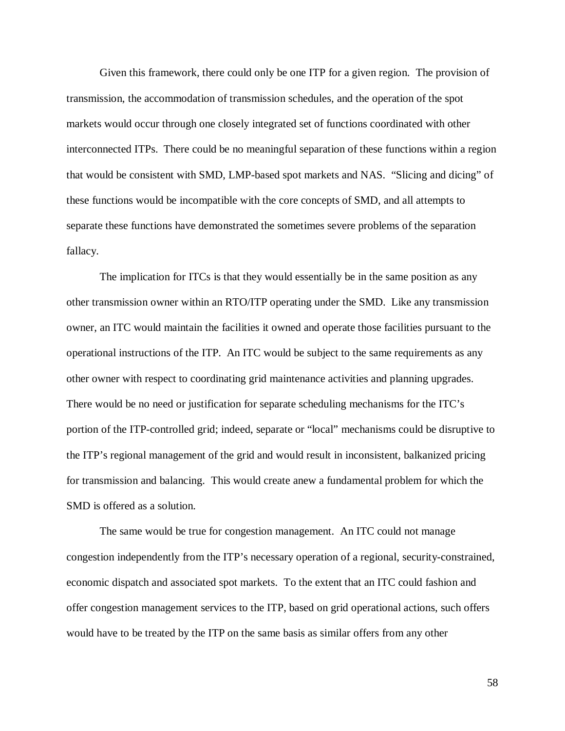Given this framework, there could only be one ITP for a given region. The provision of transmission, the accommodation of transmission schedules, and the operation of the spot markets would occur through one closely integrated set of functions coordinated with other interconnected ITPs. There could be no meaningful separation of these functions within a region that would be consistent with SMD, LMP-based spot markets and NAS. "Slicing and dicing" of these functions would be incompatible with the core concepts of SMD, and all attempts to separate these functions have demonstrated the sometimes severe problems of the separation fallacy.

The implication for ITCs is that they would essentially be in the same position as any other transmission owner within an RTO/ITP operating under the SMD. Like any transmission owner, an ITC would maintain the facilities it owned and operate those facilities pursuant to the operational instructions of the ITP. An ITC would be subject to the same requirements as any other owner with respect to coordinating grid maintenance activities and planning upgrades. There would be no need or justification for separate scheduling mechanisms for the ITC's portion of the ITP-controlled grid; indeed, separate or "local" mechanisms could be disruptive to the ITP's regional management of the grid and would result in inconsistent, balkanized pricing for transmission and balancing. This would create anew a fundamental problem for which the SMD is offered as a solution.

The same would be true for congestion management. An ITC could not manage congestion independently from the ITP's necessary operation of a regional, security-constrained, economic dispatch and associated spot markets. To the extent that an ITC could fashion and offer congestion management services to the ITP, based on grid operational actions, such offers would have to be treated by the ITP on the same basis as similar offers from any other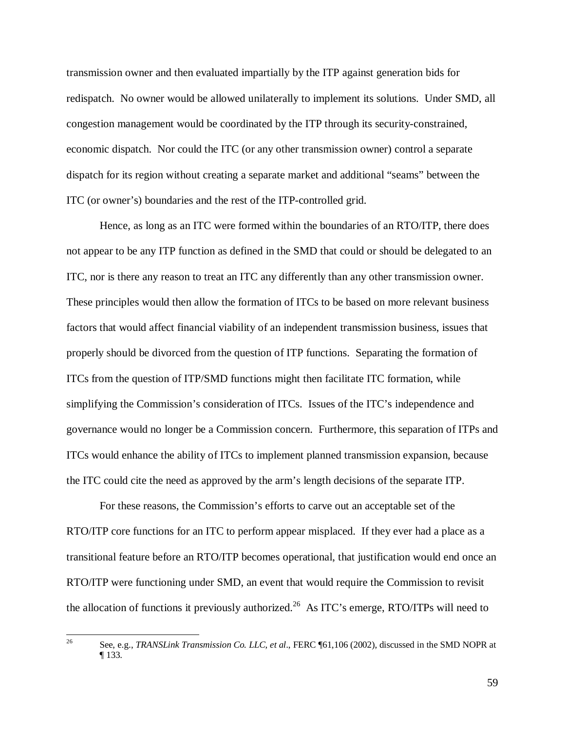transmission owner and then evaluated impartially by the ITP against generation bids for redispatch. No owner would be allowed unilaterally to implement its solutions. Under SMD, all congestion management would be coordinated by the ITP through its security-constrained, economic dispatch. Nor could the ITC (or any other transmission owner) control a separate dispatch for its region without creating a separate market and additional "seams" between the ITC (or owner's) boundaries and the rest of the ITP-controlled grid.

Hence, as long as an ITC were formed within the boundaries of an RTO/ITP, there does not appear to be any ITP function as defined in the SMD that could or should be delegated to an ITC, nor is there any reason to treat an ITC any differently than any other transmission owner. These principles would then allow the formation of ITCs to be based on more relevant business factors that would affect financial viability of an independent transmission business, issues that properly should be divorced from the question of ITP functions. Separating the formation of ITCs from the question of ITP/SMD functions might then facilitate ITC formation, while simplifying the Commission's consideration of ITCs. Issues of the ITC's independence and governance would no longer be a Commission concern. Furthermore, this separation of ITPs and ITCs would enhance the ability of ITCs to implement planned transmission expansion, because the ITC could cite the need as approved by the arm's length decisions of the separate ITP.

For these reasons, the Commission's efforts to carve out an acceptable set of the RTO/ITP core functions for an ITC to perform appear misplaced. If they ever had a place as a transitional feature before an RTO/ITP becomes operational, that justification would end once an RTO/ITP were functioning under SMD, an event that would require the Commission to revisit the allocation of functions it previously authorized.<sup>26</sup> As ITC's emerge, RTO/ITPs will need to

 $26\overline{)}$ 26 See, e.g., *TRANSLink Transmission Co. LLC, et al*., FERC ¶61,106 (2002), discussed in the SMD NOPR at ¶ 133.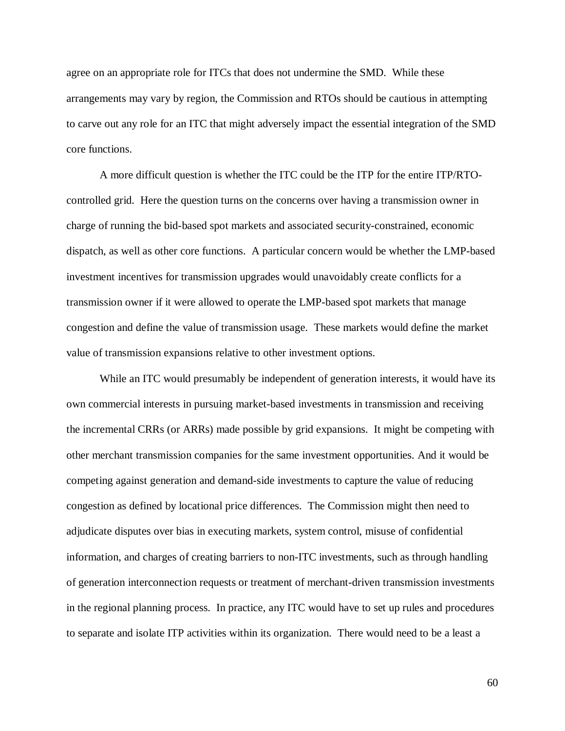agree on an appropriate role for ITCs that does not undermine the SMD. While these arrangements may vary by region, the Commission and RTOs should be cautious in attempting to carve out any role for an ITC that might adversely impact the essential integration of the SMD core functions.

A more difficult question is whether the ITC could be the ITP for the entire ITP/RTOcontrolled grid. Here the question turns on the concerns over having a transmission owner in charge of running the bid-based spot markets and associated security-constrained, economic dispatch, as well as other core functions. A particular concern would be whether the LMP-based investment incentives for transmission upgrades would unavoidably create conflicts for a transmission owner if it were allowed to operate the LMP-based spot markets that manage congestion and define the value of transmission usage. These markets would define the market value of transmission expansions relative to other investment options.

While an ITC would presumably be independent of generation interests, it would have its own commercial interests in pursuing market-based investments in transmission and receiving the incremental CRRs (or ARRs) made possible by grid expansions. It might be competing with other merchant transmission companies for the same investment opportunities. And it would be competing against generation and demand-side investments to capture the value of reducing congestion as defined by locational price differences. The Commission might then need to adjudicate disputes over bias in executing markets, system control, misuse of confidential information, and charges of creating barriers to non-ITC investments, such as through handling of generation interconnection requests or treatment of merchant-driven transmission investments in the regional planning process. In practice, any ITC would have to set up rules and procedures to separate and isolate ITP activities within its organization. There would need to be a least a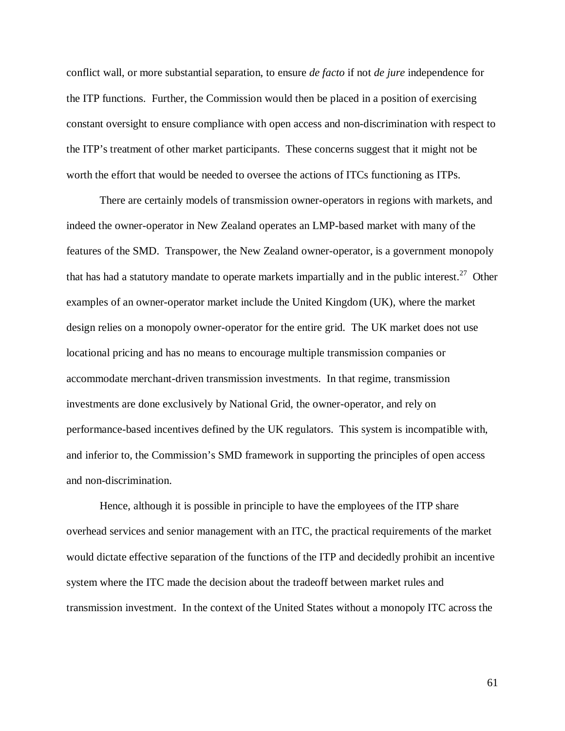conflict wall, or more substantial separation, to ensure *de facto* if not *de jure* independence for the ITP functions. Further, the Commission would then be placed in a position of exercising constant oversight to ensure compliance with open access and non-discrimination with respect to the ITP's treatment of other market participants. These concerns suggest that it might not be worth the effort that would be needed to oversee the actions of ITCs functioning as ITPs.

There are certainly models of transmission owner-operators in regions with markets, and indeed the owner-operator in New Zealand operates an LMP-based market with many of the features of the SMD. Transpower, the New Zealand owner-operator, is a government monopoly that has had a statutory mandate to operate markets impartially and in the public interest.<sup>27</sup> Other examples of an owner-operator market include the United Kingdom (UK), where the market design relies on a monopoly owner-operator for the entire grid. The UK market does not use locational pricing and has no means to encourage multiple transmission companies or accommodate merchant-driven transmission investments. In that regime, transmission investments are done exclusively by National Grid, the owner-operator, and rely on performance-based incentives defined by the UK regulators. This system is incompatible with, and inferior to, the Commission's SMD framework in supporting the principles of open access and non-discrimination.

Hence, although it is possible in principle to have the employees of the ITP share overhead services and senior management with an ITC, the practical requirements of the market would dictate effective separation of the functions of the ITP and decidedly prohibit an incentive system where the ITC made the decision about the tradeoff between market rules and transmission investment. In the context of the United States without a monopoly ITC across the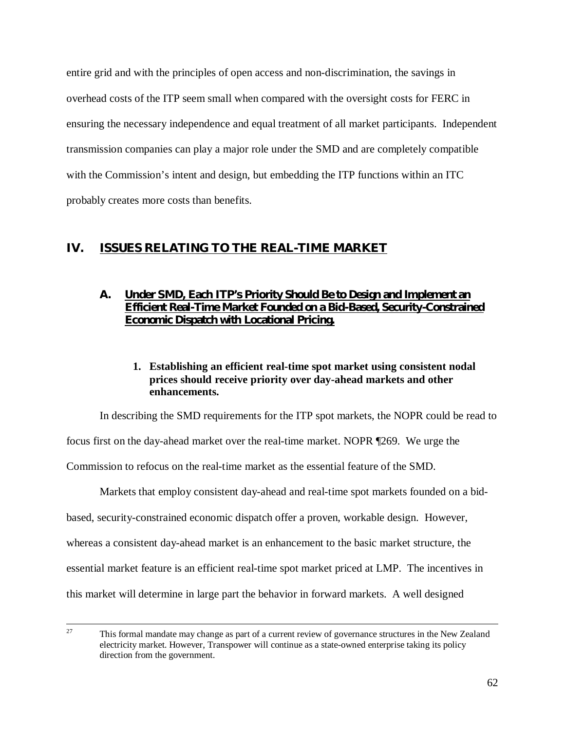entire grid and with the principles of open access and non-discrimination, the savings in overhead costs of the ITP seem small when compared with the oversight costs for FERC in ensuring the necessary independence and equal treatment of all market participants. Independent transmission companies can play a major role under the SMD and are completely compatible with the Commission's intent and design, but embedding the ITP functions within an ITC probably creates more costs than benefits.

# **IV. ISSUES RELATING TO THE REAL-TIME MARKET**

# **A. Under SMD, Each ITP's Priority Should Be to Design and Implement an Efficient Real-Time Market Founded on a Bid-Based, Security-Constrained Economic Dispatch with Locational Pricing.**

**1. Establishing an efficient real-time spot market using consistent nodal prices should receive priority over day-ahead markets and other enhancements.**

In describing the SMD requirements for the ITP spot markets, the NOPR could be read to

focus first on the day-ahead market over the real-time market. NOPR ¶269. We urge the

Commission to refocus on the real-time market as the essential feature of the SMD.

Markets that employ consistent day-ahead and real-time spot markets founded on a bidbased, security-constrained economic dispatch offer a proven, workable design. However, whereas a consistent day-ahead market is an enhancement to the basic market structure, the essential market feature is an efficient real-time spot market priced at LMP. The incentives in this market will determine in large part the behavior in forward markets. A well designed

<sup>27</sup> This formal mandate may change as part of a current review of governance structures in the New Zealand electricity market. However, Transpower will continue as a state-owned enterprise taking its policy direction from the government.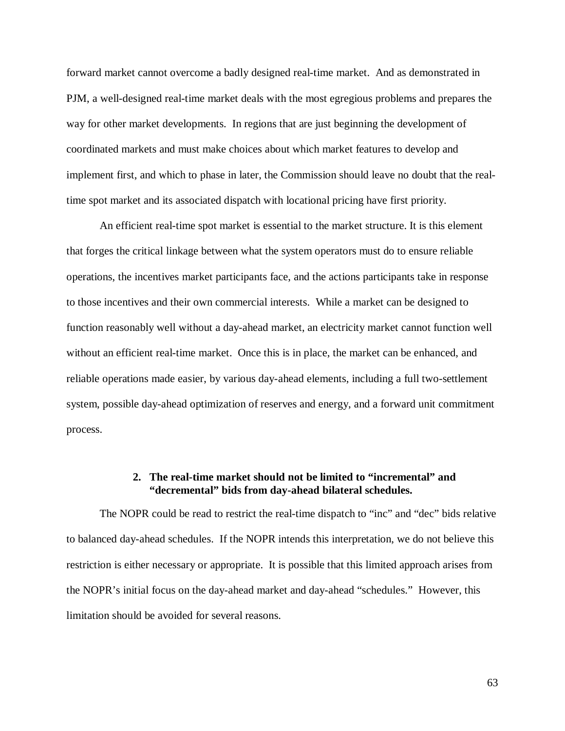forward market cannot overcome a badly designed real-time market. And as demonstrated in PJM, a well-designed real-time market deals with the most egregious problems and prepares the way for other market developments. In regions that are just beginning the development of coordinated markets and must make choices about which market features to develop and implement first, and which to phase in later, the Commission should leave no doubt that the realtime spot market and its associated dispatch with locational pricing have first priority.

An efficient real-time spot market is essential to the market structure. It is this element that forges the critical linkage between what the system operators must do to ensure reliable operations, the incentives market participants face, and the actions participants take in response to those incentives and their own commercial interests. While a market can be designed to function reasonably well without a day-ahead market, an electricity market cannot function well without an efficient real-time market. Once this is in place, the market can be enhanced, and reliable operations made easier, by various day-ahead elements, including a full two-settlement system, possible day-ahead optimization of reserves and energy, and a forward unit commitment process.

# **2. The real-time market should not be limited to "incremental" and "decremental" bids from day-ahead bilateral schedules.**

The NOPR could be read to restrict the real-time dispatch to "inc" and "dec" bids relative to balanced day-ahead schedules. If the NOPR intends this interpretation, we do not believe this restriction is either necessary or appropriate. It is possible that this limited approach arises from the NOPR's initial focus on the day-ahead market and day-ahead "schedules." However, this limitation should be avoided for several reasons.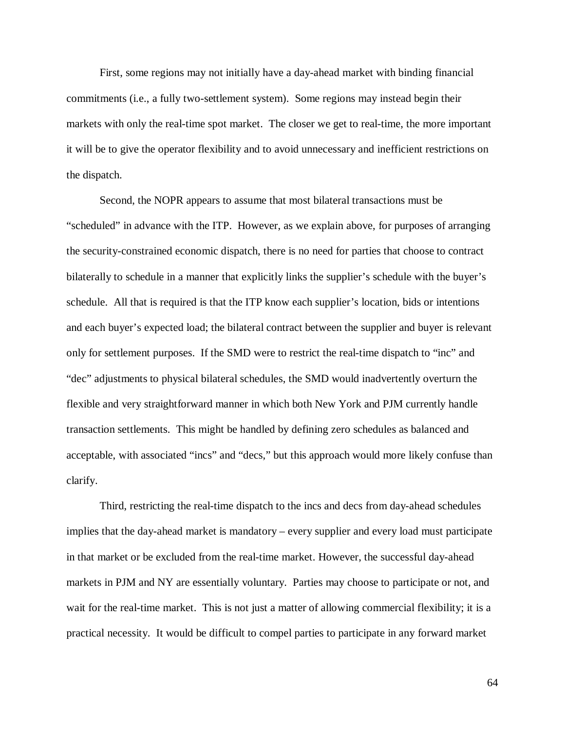First, some regions may not initially have a day-ahead market with binding financial commitments (i.e., a fully two-settlement system). Some regions may instead begin their markets with only the real-time spot market. The closer we get to real-time, the more important it will be to give the operator flexibility and to avoid unnecessary and inefficient restrictions on the dispatch.

Second, the NOPR appears to assume that most bilateral transactions must be "scheduled" in advance with the ITP. However, as we explain above, for purposes of arranging the security-constrained economic dispatch, there is no need for parties that choose to contract bilaterally to schedule in a manner that explicitly links the supplier's schedule with the buyer's schedule. All that is required is that the ITP know each supplier's location, bids or intentions and each buyer's expected load; the bilateral contract between the supplier and buyer is relevant only for settlement purposes. If the SMD were to restrict the real-time dispatch to "inc" and "dec" adjustments to physical bilateral schedules, the SMD would inadvertently overturn the flexible and very straightforward manner in which both New York and PJM currently handle transaction settlements. This might be handled by defining zero schedules as balanced and acceptable, with associated "incs" and "decs," but this approach would more likely confuse than clarify.

Third, restricting the real-time dispatch to the incs and decs from day-ahead schedules implies that the day-ahead market is mandatory – every supplier and every load must participate in that market or be excluded from the real-time market. However, the successful day-ahead markets in PJM and NY are essentially voluntary. Parties may choose to participate or not, and wait for the real-time market. This is not just a matter of allowing commercial flexibility; it is a practical necessity. It would be difficult to compel parties to participate in any forward market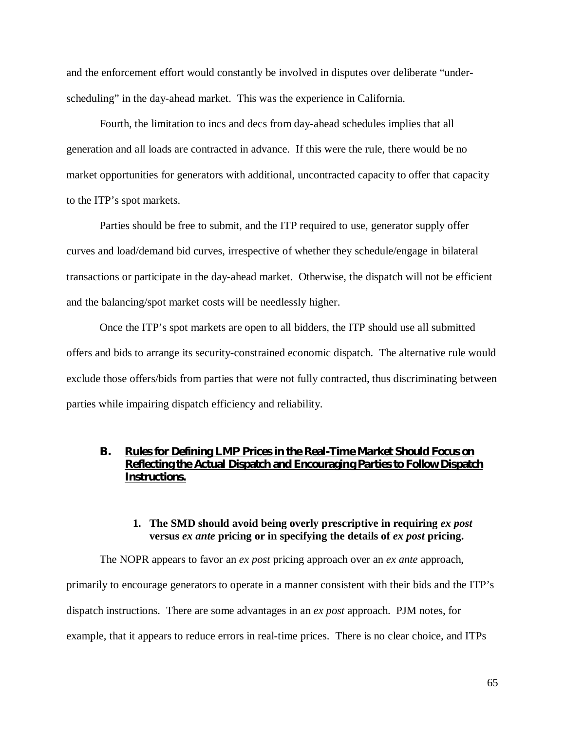and the enforcement effort would constantly be involved in disputes over deliberate "underscheduling" in the day-ahead market. This was the experience in California.

Fourth, the limitation to incs and decs from day-ahead schedules implies that all generation and all loads are contracted in advance. If this were the rule, there would be no market opportunities for generators with additional, uncontracted capacity to offer that capacity to the ITP's spot markets.

Parties should be free to submit, and the ITP required to use, generator supply offer curves and load/demand bid curves, irrespective of whether they schedule/engage in bilateral transactions or participate in the day-ahead market. Otherwise, the dispatch will not be efficient and the balancing/spot market costs will be needlessly higher.

Once the ITP's spot markets are open to all bidders, the ITP should use all submitted offers and bids to arrange its security-constrained economic dispatch. The alternative rule would exclude those offers/bids from parties that were not fully contracted, thus discriminating between parties while impairing dispatch efficiency and reliability.

# **B. Rules for Defining LMP Prices in the Real-Time Market Should Focus on Reflecting the Actual Dispatch and Encouraging Parties to Follow Dispatch Instructions.**

#### **1. The SMD should avoid being overly prescriptive in requiring** *ex post* **versus** *ex ante* **pricing or in specifying the details of** *ex post* **pricing.**

The NOPR appears to favor an *ex post* pricing approach over an *ex ante* approach, primarily to encourage generators to operate in a manner consistent with their bids and the ITP's dispatch instructions. There are some advantages in an *ex post* approach. PJM notes, for example, that it appears to reduce errors in real-time prices. There is no clear choice, and ITPs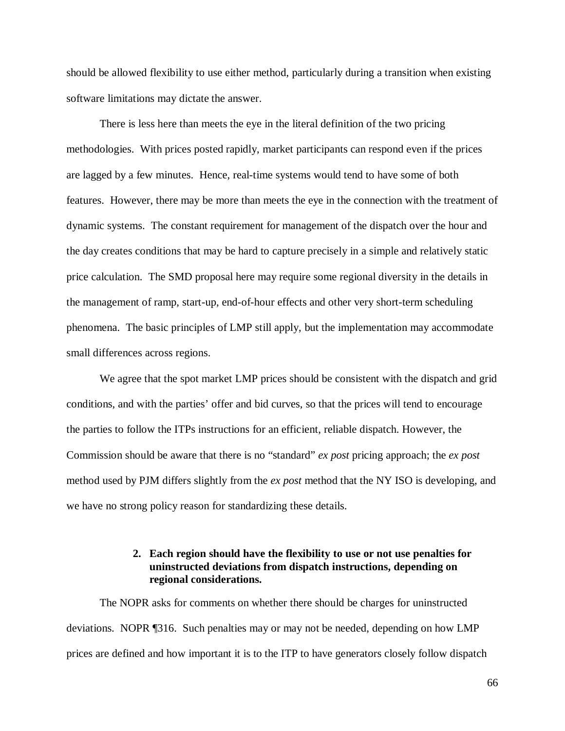should be allowed flexibility to use either method, particularly during a transition when existing software limitations may dictate the answer.

There is less here than meets the eye in the literal definition of the two pricing methodologies. With prices posted rapidly, market participants can respond even if the prices are lagged by a few minutes. Hence, real-time systems would tend to have some of both features. However, there may be more than meets the eye in the connection with the treatment of dynamic systems. The constant requirement for management of the dispatch over the hour and the day creates conditions that may be hard to capture precisely in a simple and relatively static price calculation. The SMD proposal here may require some regional diversity in the details in the management of ramp, start-up, end-of-hour effects and other very short-term scheduling phenomena. The basic principles of LMP still apply, but the implementation may accommodate small differences across regions.

We agree that the spot market LMP prices should be consistent with the dispatch and grid conditions, and with the parties' offer and bid curves, so that the prices will tend to encourage the parties to follow the ITPs instructions for an efficient, reliable dispatch. However, the Commission should be aware that there is no "standard" *ex post* pricing approach; the *ex post* method used by PJM differs slightly from the *ex post* method that the NY ISO is developing, and we have no strong policy reason for standardizing these details.

### **2. Each region should have the flexibility to use or not use penalties for uninstructed deviations from dispatch instructions, depending on regional considerations.**

The NOPR asks for comments on whether there should be charges for uninstructed deviations. NOPR ¶316. Such penalties may or may not be needed, depending on how LMP prices are defined and how important it is to the ITP to have generators closely follow dispatch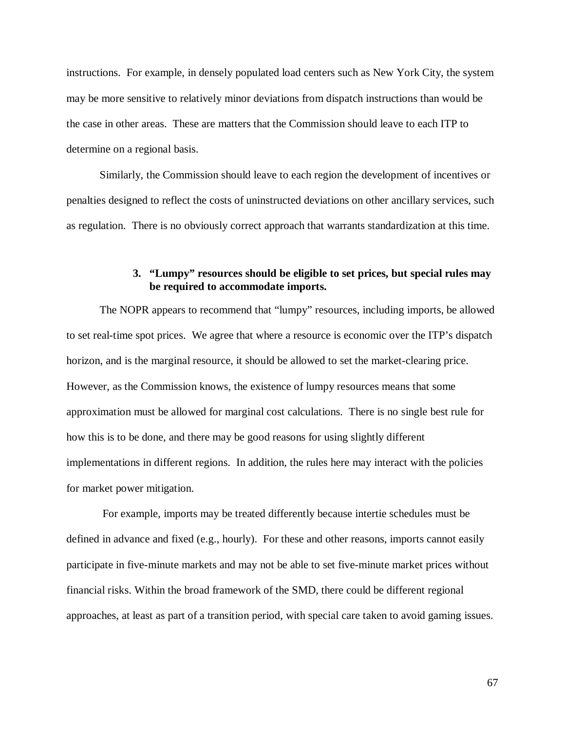instructions. For example, in densely populated load centers such as New York City, the system may be more sensitive to relatively minor deviations from dispatch instructions than would be the case in other areas. These are matters that the Commission should leave to each ITP to determine on a regional basis.

Similarly, the Commission should leave to each region the development of incentives or penalties designed to reflect the costs of uninstructed deviations on other ancillary services, such as regulation. There is no obviously correct approach that warrants standardization at this time.

### **3. "Lumpy" resources should be eligible to set prices, but special rules may be required to accommodate imports.**

The NOPR appears to recommend that "lumpy" resources, including imports, be allowed to set real-time spot prices. We agree that where a resource is economic over the ITP's dispatch horizon, and is the marginal resource, it should be allowed to set the market-clearing price. However, as the Commission knows, the existence of lumpy resources means that some approximation must be allowed for marginal cost calculations. There is no single best rule for how this is to be done, and there may be good reasons for using slightly different implementations in different regions. In addition, the rules here may interact with the policies for market power mitigation.

 For example, imports may be treated differently because intertie schedules must be defined in advance and fixed (e.g., hourly). For these and other reasons, imports cannot easily participate in five-minute markets and may not be able to set five-minute market prices without financial risks. Within the broad framework of the SMD, there could be different regional approaches, at least as part of a transition period, with special care taken to avoid gaming issues.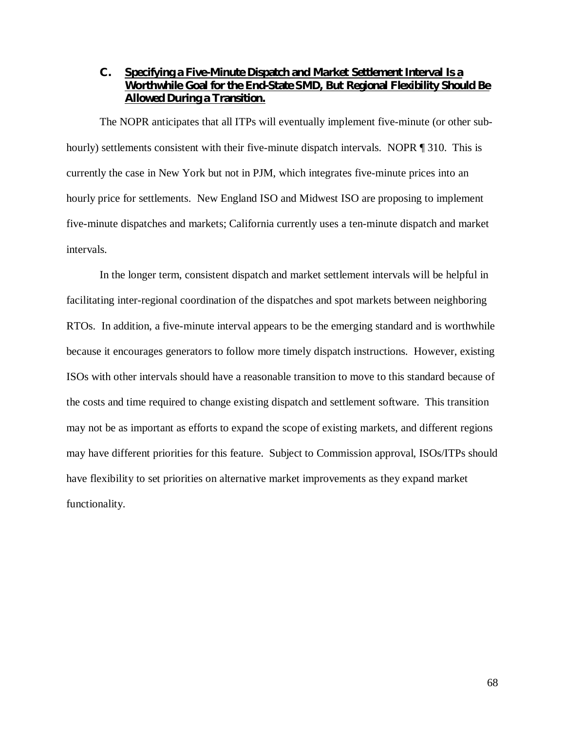# **C. Specifying a Five-Minute Dispatch and Market Settlement Interval Is a Worthwhile Goal for the End-State SMD, But Regional Flexibility Should Be Allowed During a Transition.**

The NOPR anticipates that all ITPs will eventually implement five-minute (or other subhourly) settlements consistent with their five-minute dispatch intervals. NOPR ¶ 310. This is currently the case in New York but not in PJM, which integrates five-minute prices into an hourly price for settlements. New England ISO and Midwest ISO are proposing to implement five-minute dispatches and markets; California currently uses a ten-minute dispatch and market intervals.

In the longer term, consistent dispatch and market settlement intervals will be helpful in facilitating inter-regional coordination of the dispatches and spot markets between neighboring RTOs. In addition, a five-minute interval appears to be the emerging standard and is worthwhile because it encourages generators to follow more timely dispatch instructions. However, existing ISOs with other intervals should have a reasonable transition to move to this standard because of the costs and time required to change existing dispatch and settlement software. This transition may not be as important as efforts to expand the scope of existing markets, and different regions may have different priorities for this feature. Subject to Commission approval, ISOs/ITPs should have flexibility to set priorities on alternative market improvements as they expand market functionality.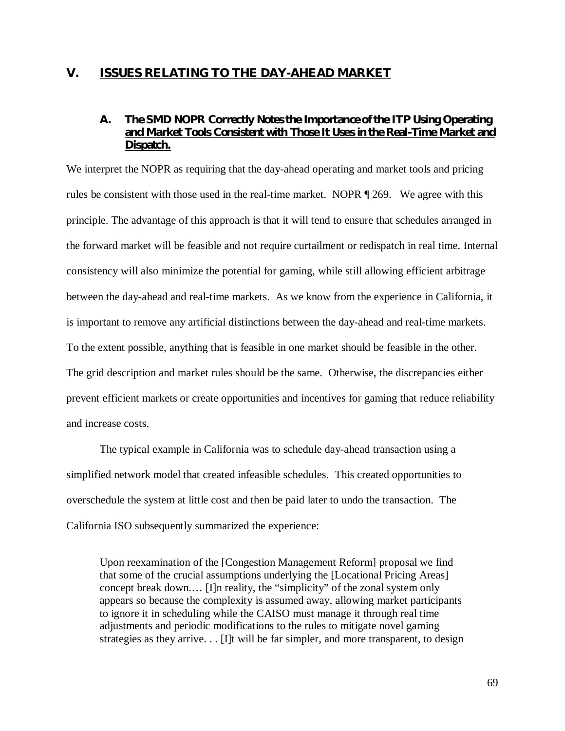# **V. ISSUES RELATING TO THE DAY-AHEAD MARKET**

# **A. The SMD NOPR Correctly Notes the Importance of the ITP Using Operating and Market Tools Consistent with Those It Uses in the Real-Time Market and Dispatch.**

We interpret the NOPR as requiring that the day-ahead operating and market tools and pricing rules be consistent with those used in the real-time market. NOPR ¶ 269. We agree with this principle. The advantage of this approach is that it will tend to ensure that schedules arranged in the forward market will be feasible and not require curtailment or redispatch in real time. Internal consistency will also minimize the potential for gaming, while still allowing efficient arbitrage between the day-ahead and real-time markets. As we know from the experience in California, it is important to remove any artificial distinctions between the day-ahead and real-time markets. To the extent possible, anything that is feasible in one market should be feasible in the other. The grid description and market rules should be the same. Otherwise, the discrepancies either prevent efficient markets or create opportunities and incentives for gaming that reduce reliability and increase costs.

The typical example in California was to schedule day-ahead transaction using a simplified network model that created infeasible schedules. This created opportunities to overschedule the system at little cost and then be paid later to undo the transaction. The California ISO subsequently summarized the experience:

Upon reexamination of the [Congestion Management Reform] proposal we find that some of the crucial assumptions underlying the [Locational Pricing Areas] concept break down.… [I]n reality, the "simplicity" of the zonal system only appears so because the complexity is assumed away, allowing market participants to ignore it in scheduling while the CAISO must manage it through real time adjustments and periodic modifications to the rules to mitigate novel gaming strategies as they arrive. . . [I]t will be far simpler, and more transparent, to design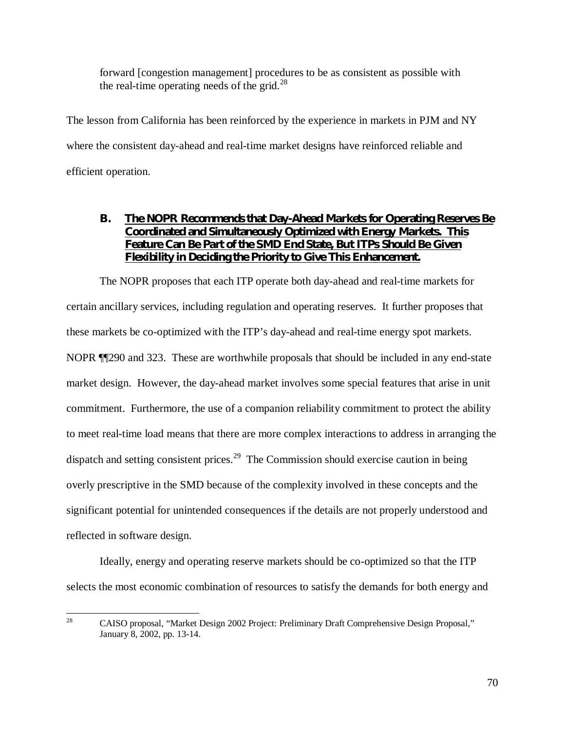forward [congestion management] procedures to be as consistent as possible with the real-time operating needs of the grid.<sup>28</sup>

The lesson from California has been reinforced by the experience in markets in PJM and NY where the consistent day-ahead and real-time market designs have reinforced reliable and efficient operation.

# **B. The NOPR Recommends that Day-Ahead Markets for Operating Reserves Be Coordinated and Simultaneously Optimized with Energy Markets. This Feature Can Be Part of the SMD End State, But ITPs Should Be Given Flexibility in Deciding the Priority to Give This Enhancement.**

The NOPR proposes that each ITP operate both day-ahead and real-time markets for certain ancillary services, including regulation and operating reserves. It further proposes that these markets be co-optimized with the ITP's day-ahead and real-time energy spot markets. NOPR ¶¶290 and 323. These are worthwhile proposals that should be included in any end-state market design. However, the day-ahead market involves some special features that arise in unit commitment. Furthermore, the use of a companion reliability commitment to protect the ability to meet real-time load means that there are more complex interactions to address in arranging the dispatch and setting consistent prices.<sup>29</sup> The Commission should exercise caution in being overly prescriptive in the SMD because of the complexity involved in these concepts and the significant potential for unintended consequences if the details are not properly understood and reflected in software design.

Ideally, energy and operating reserve markets should be co-optimized so that the ITP selects the most economic combination of resources to satisfy the demands for both energy and

<sup>28</sup> CAISO proposal, "Market Design 2002 Project: Preliminary Draft Comprehensive Design Proposal," January 8, 2002, pp. 13-14.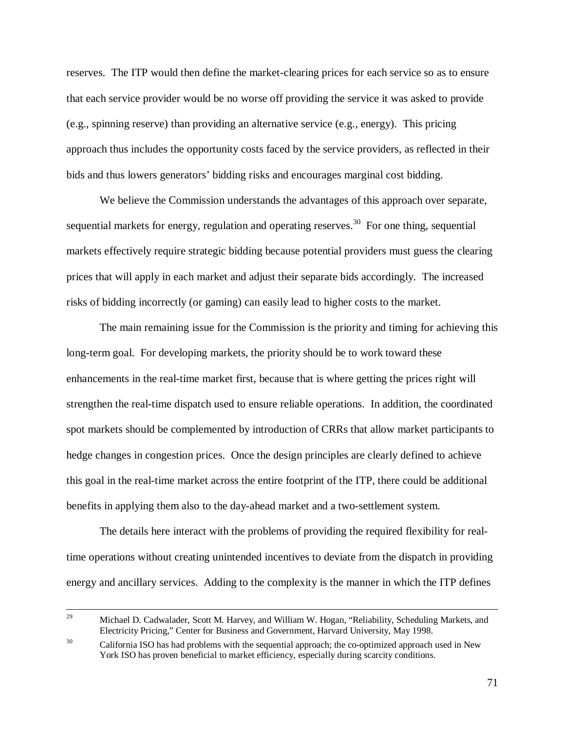reserves. The ITP would then define the market-clearing prices for each service so as to ensure that each service provider would be no worse off providing the service it was asked to provide (e.g., spinning reserve) than providing an alternative service (e.g., energy). This pricing approach thus includes the opportunity costs faced by the service providers, as reflected in their bids and thus lowers generators' bidding risks and encourages marginal cost bidding.

We believe the Commission understands the advantages of this approach over separate, sequential markets for energy, regulation and operating reserves.<sup>30</sup> For one thing, sequential markets effectively require strategic bidding because potential providers must guess the clearing prices that will apply in each market and adjust their separate bids accordingly. The increased risks of bidding incorrectly (or gaming) can easily lead to higher costs to the market.

The main remaining issue for the Commission is the priority and timing for achieving this long-term goal. For developing markets, the priority should be to work toward these enhancements in the real-time market first, because that is where getting the prices right will strengthen the real-time dispatch used to ensure reliable operations. In addition, the coordinated spot markets should be complemented by introduction of CRRs that allow market participants to hedge changes in congestion prices. Once the design principles are clearly defined to achieve this goal in the real-time market across the entire footprint of the ITP, there could be additional benefits in applying them also to the day-ahead market and a two-settlement system.

The details here interact with the problems of providing the required flexibility for realtime operations without creating unintended incentives to deviate from the dispatch in providing energy and ancillary services. Adding to the complexity is the manner in which the ITP defines

<sup>&</sup>lt;sup>29</sup> Michael D. Cadwalader, Scott M. Harvey, and William W. Hogan, "Reliability, Scheduling Markets, and Electricity Pricing," Center for Business and Government, Harvard University, May 1998.

<sup>&</sup>lt;sup>30</sup> California ISO has had problems with the sequential approach; the co-optimized approach used in New York ISO has proven beneficial to market efficiency, especially during scarcity conditions.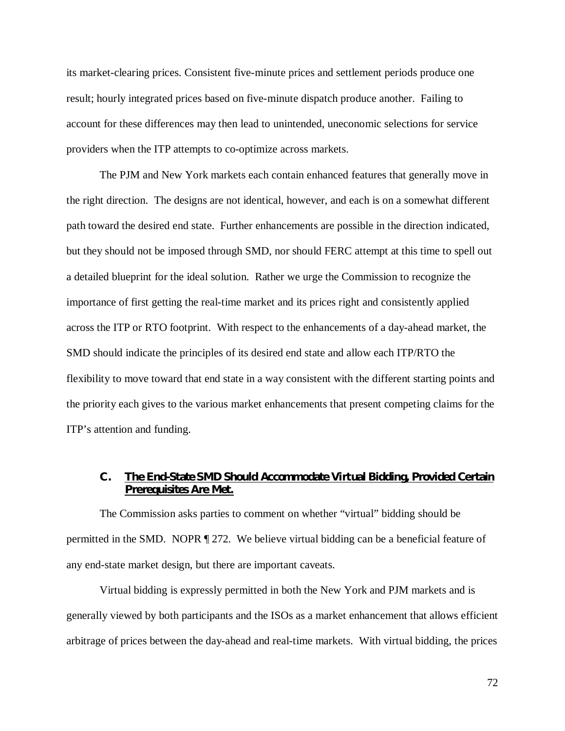its market-clearing prices. Consistent five-minute prices and settlement periods produce one result; hourly integrated prices based on five-minute dispatch produce another. Failing to account for these differences may then lead to unintended, uneconomic selections for service providers when the ITP attempts to co-optimize across markets.

The PJM and New York markets each contain enhanced features that generally move in the right direction. The designs are not identical, however, and each is on a somewhat different path toward the desired end state. Further enhancements are possible in the direction indicated, but they should not be imposed through SMD, nor should FERC attempt at this time to spell out a detailed blueprint for the ideal solution. Rather we urge the Commission to recognize the importance of first getting the real-time market and its prices right and consistently applied across the ITP or RTO footprint. With respect to the enhancements of a day-ahead market, the SMD should indicate the principles of its desired end state and allow each ITP/RTO the flexibility to move toward that end state in a way consistent with the different starting points and the priority each gives to the various market enhancements that present competing claims for the ITP's attention and funding.

# **C. The End-State SMD Should Accommodate Virtual Bidding, Provided Certain Prerequisites Are Met.**

The Commission asks parties to comment on whether "virtual" bidding should be permitted in the SMD. NOPR ¶ 272. We believe virtual bidding can be a beneficial feature of any end-state market design, but there are important caveats.

Virtual bidding is expressly permitted in both the New York and PJM markets and is generally viewed by both participants and the ISOs as a market enhancement that allows efficient arbitrage of prices between the day-ahead and real-time markets. With virtual bidding, the prices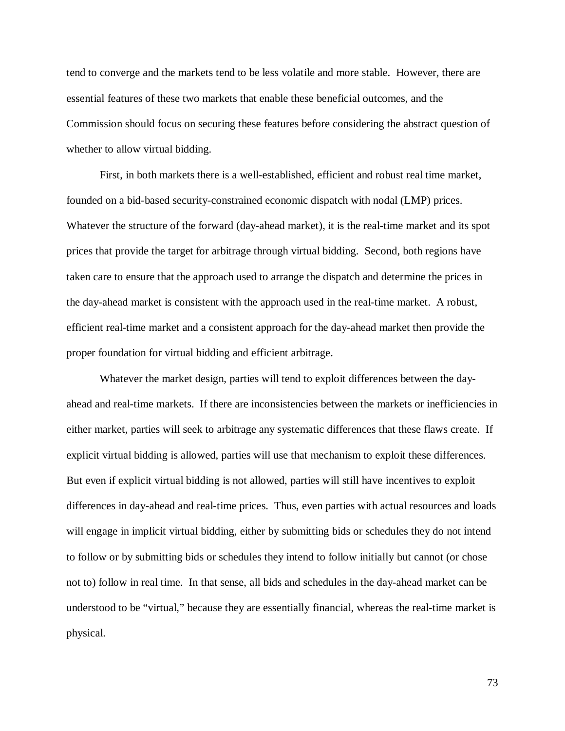tend to converge and the markets tend to be less volatile and more stable. However, there are essential features of these two markets that enable these beneficial outcomes, and the Commission should focus on securing these features before considering the abstract question of whether to allow virtual bidding.

First, in both markets there is a well-established, efficient and robust real time market, founded on a bid-based security-constrained economic dispatch with nodal (LMP) prices. Whatever the structure of the forward (day-ahead market), it is the real-time market and its spot prices that provide the target for arbitrage through virtual bidding. Second, both regions have taken care to ensure that the approach used to arrange the dispatch and determine the prices in the day-ahead market is consistent with the approach used in the real-time market. A robust, efficient real-time market and a consistent approach for the day-ahead market then provide the proper foundation for virtual bidding and efficient arbitrage.

Whatever the market design, parties will tend to exploit differences between the dayahead and real-time markets. If there are inconsistencies between the markets or inefficiencies in either market, parties will seek to arbitrage any systematic differences that these flaws create. If explicit virtual bidding is allowed, parties will use that mechanism to exploit these differences. But even if explicit virtual bidding is not allowed, parties will still have incentives to exploit differences in day-ahead and real-time prices. Thus, even parties with actual resources and loads will engage in implicit virtual bidding, either by submitting bids or schedules they do not intend to follow or by submitting bids or schedules they intend to follow initially but cannot (or chose not to) follow in real time. In that sense, all bids and schedules in the day-ahead market can be understood to be "virtual," because they are essentially financial, whereas the real-time market is physical.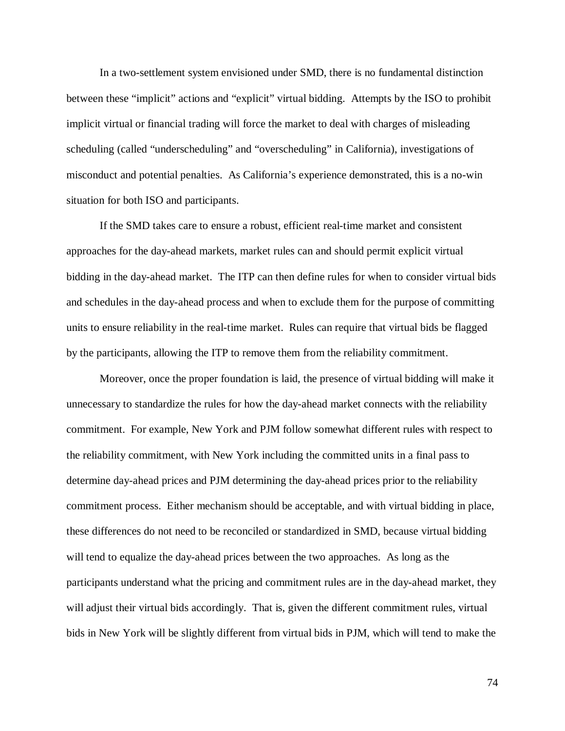In a two-settlement system envisioned under SMD, there is no fundamental distinction between these "implicit" actions and "explicit" virtual bidding. Attempts by the ISO to prohibit implicit virtual or financial trading will force the market to deal with charges of misleading scheduling (called "underscheduling" and "overscheduling" in California), investigations of misconduct and potential penalties. As California's experience demonstrated, this is a no-win situation for both ISO and participants.

If the SMD takes care to ensure a robust, efficient real-time market and consistent approaches for the day-ahead markets, market rules can and should permit explicit virtual bidding in the day-ahead market. The ITP can then define rules for when to consider virtual bids and schedules in the day-ahead process and when to exclude them for the purpose of committing units to ensure reliability in the real-time market. Rules can require that virtual bids be flagged by the participants, allowing the ITP to remove them from the reliability commitment.

Moreover, once the proper foundation is laid, the presence of virtual bidding will make it unnecessary to standardize the rules for how the day-ahead market connects with the reliability commitment. For example, New York and PJM follow somewhat different rules with respect to the reliability commitment, with New York including the committed units in a final pass to determine day-ahead prices and PJM determining the day-ahead prices prior to the reliability commitment process. Either mechanism should be acceptable, and with virtual bidding in place, these differences do not need to be reconciled or standardized in SMD, because virtual bidding will tend to equalize the day-ahead prices between the two approaches. As long as the participants understand what the pricing and commitment rules are in the day-ahead market, they will adjust their virtual bids accordingly. That is, given the different commitment rules, virtual bids in New York will be slightly different from virtual bids in PJM, which will tend to make the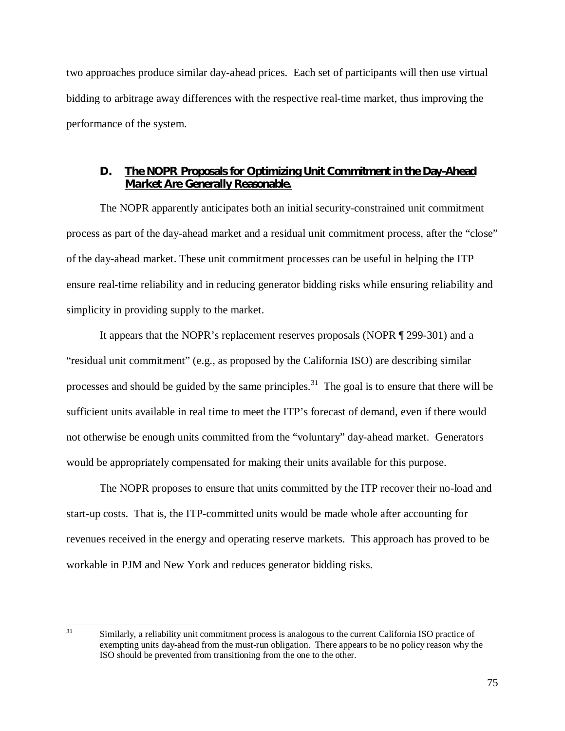two approaches produce similar day-ahead prices. Each set of participants will then use virtual bidding to arbitrage away differences with the respective real-time market, thus improving the performance of the system.

#### **D. The NOPR Proposals for Optimizing Unit Commitment in the Day-Ahead Market Are Generally Reasonable.**

The NOPR apparently anticipates both an initial security-constrained unit commitment process as part of the day-ahead market and a residual unit commitment process, after the "close" of the day-ahead market. These unit commitment processes can be useful in helping the ITP ensure real-time reliability and in reducing generator bidding risks while ensuring reliability and simplicity in providing supply to the market.

It appears that the NOPR's replacement reserves proposals (NOPR ¶ 299-301) and a "residual unit commitment" (e.g., as proposed by the California ISO) are describing similar processes and should be guided by the same principles.<sup>31</sup> The goal is to ensure that there will be sufficient units available in real time to meet the ITP's forecast of demand, even if there would not otherwise be enough units committed from the "voluntary" day-ahead market. Generators would be appropriately compensated for making their units available for this purpose.

The NOPR proposes to ensure that units committed by the ITP recover their no-load and start-up costs. That is, the ITP-committed units would be made whole after accounting for revenues received in the energy and operating reserve markets. This approach has proved to be workable in PJM and New York and reduces generator bidding risks.

<sup>31</sup> 31 Similarly, a reliability unit commitment process is analogous to the current California ISO practice of exempting units day-ahead from the must-run obligation. There appears to be no policy reason why the ISO should be prevented from transitioning from the one to the other.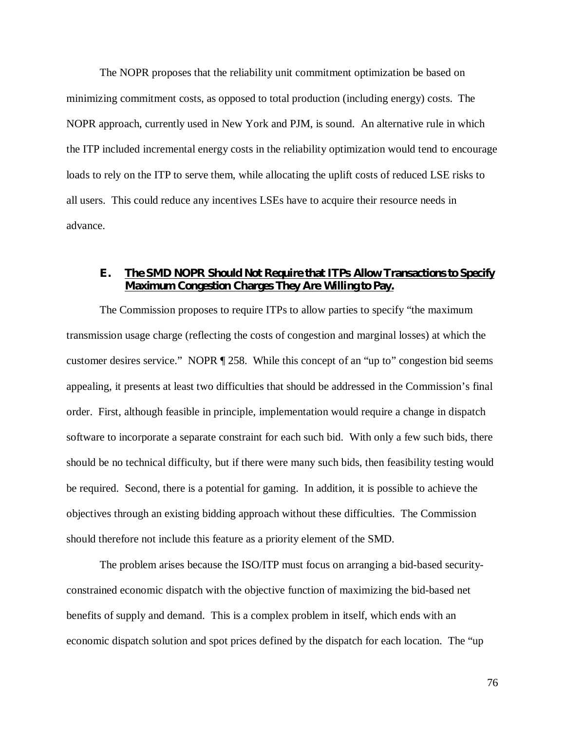The NOPR proposes that the reliability unit commitment optimization be based on minimizing commitment costs, as opposed to total production (including energy) costs. The NOPR approach, currently used in New York and PJM, is sound. An alternative rule in which the ITP included incremental energy costs in the reliability optimization would tend to encourage loads to rely on the ITP to serve them, while allocating the uplift costs of reduced LSE risks to all users. This could reduce any incentives LSEs have to acquire their resource needs in advance.

## **E. The SMD NOPR Should Not Require that ITPs Allow Transactions to Specify Maximum Congestion Charges They Are Willing to Pay.**

The Commission proposes to require ITPs to allow parties to specify "the maximum transmission usage charge (reflecting the costs of congestion and marginal losses) at which the customer desires service." NOPR ¶ 258. While this concept of an "up to" congestion bid seems appealing, it presents at least two difficulties that should be addressed in the Commission's final order. First, although feasible in principle, implementation would require a change in dispatch software to incorporate a separate constraint for each such bid. With only a few such bids, there should be no technical difficulty, but if there were many such bids, then feasibility testing would be required. Second, there is a potential for gaming. In addition, it is possible to achieve the objectives through an existing bidding approach without these difficulties. The Commission should therefore not include this feature as a priority element of the SMD.

The problem arises because the ISO/ITP must focus on arranging a bid-based securityconstrained economic dispatch with the objective function of maximizing the bid-based net benefits of supply and demand. This is a complex problem in itself, which ends with an economic dispatch solution and spot prices defined by the dispatch for each location. The "up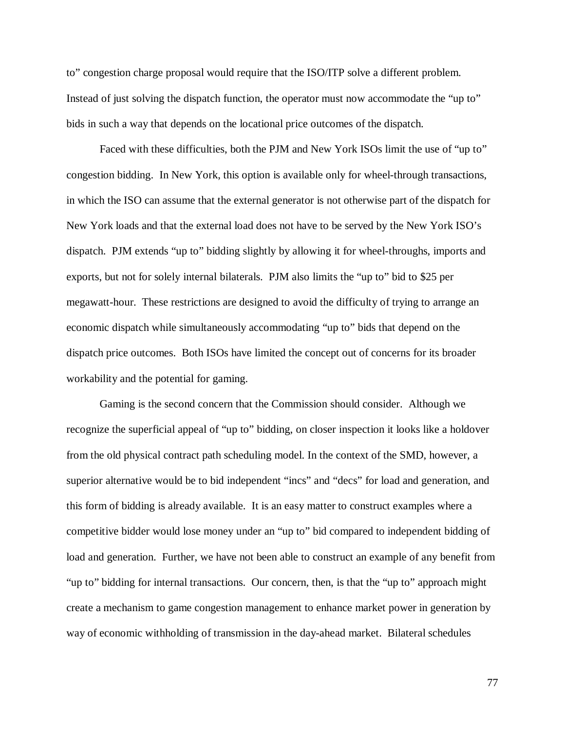to" congestion charge proposal would require that the ISO/ITP solve a different problem. Instead of just solving the dispatch function, the operator must now accommodate the "up to" bids in such a way that depends on the locational price outcomes of the dispatch.

Faced with these difficulties, both the PJM and New York ISOs limit the use of "up to" congestion bidding. In New York, this option is available only for wheel-through transactions, in which the ISO can assume that the external generator is not otherwise part of the dispatch for New York loads and that the external load does not have to be served by the New York ISO's dispatch. PJM extends "up to" bidding slightly by allowing it for wheel-throughs, imports and exports, but not for solely internal bilaterals. PJM also limits the "up to" bid to \$25 per megawatt-hour. These restrictions are designed to avoid the difficulty of trying to arrange an economic dispatch while simultaneously accommodating "up to" bids that depend on the dispatch price outcomes. Both ISOs have limited the concept out of concerns for its broader workability and the potential for gaming.

Gaming is the second concern that the Commission should consider. Although we recognize the superficial appeal of "up to" bidding, on closer inspection it looks like a holdover from the old physical contract path scheduling model. In the context of the SMD, however, a superior alternative would be to bid independent "incs" and "decs" for load and generation, and this form of bidding is already available. It is an easy matter to construct examples where a competitive bidder would lose money under an "up to" bid compared to independent bidding of load and generation. Further, we have not been able to construct an example of any benefit from "up to" bidding for internal transactions. Our concern, then, is that the "up to" approach might create a mechanism to game congestion management to enhance market power in generation by way of economic withholding of transmission in the day-ahead market. Bilateral schedules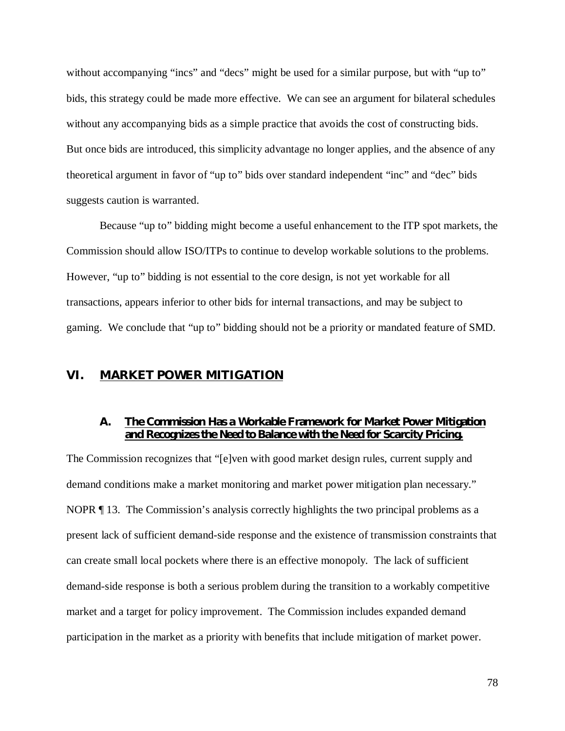without accompanying "incs" and "decs" might be used for a similar purpose, but with "up to" bids, this strategy could be made more effective. We can see an argument for bilateral schedules without any accompanying bids as a simple practice that avoids the cost of constructing bids. But once bids are introduced, this simplicity advantage no longer applies, and the absence of any theoretical argument in favor of "up to" bids over standard independent "inc" and "dec" bids suggests caution is warranted.

Because "up to" bidding might become a useful enhancement to the ITP spot markets, the Commission should allow ISO/ITPs to continue to develop workable solutions to the problems. However, "up to" bidding is not essential to the core design, is not yet workable for all transactions, appears inferior to other bids for internal transactions, and may be subject to gaming. We conclude that "up to" bidding should not be a priority or mandated feature of SMD.

## **VI. MARKET POWER MITIGATION**

#### **A. The Commission Has a Workable Framework for Market Power Mitigation and Recognizes the Need to Balance with the Need for Scarcity Pricing.**

The Commission recognizes that "[e]ven with good market design rules, current supply and demand conditions make a market monitoring and market power mitigation plan necessary." NOPR  $\P$  13. The Commission's analysis correctly highlights the two principal problems as a present lack of sufficient demand-side response and the existence of transmission constraints that can create small local pockets where there is an effective monopoly. The lack of sufficient demand-side response is both a serious problem during the transition to a workably competitive market and a target for policy improvement. The Commission includes expanded demand participation in the market as a priority with benefits that include mitigation of market power.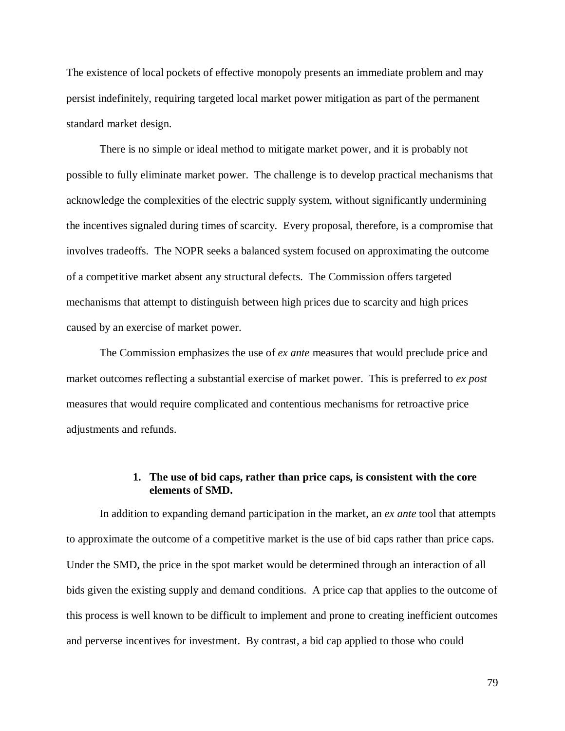The existence of local pockets of effective monopoly presents an immediate problem and may persist indefinitely, requiring targeted local market power mitigation as part of the permanent standard market design.

There is no simple or ideal method to mitigate market power, and it is probably not possible to fully eliminate market power. The challenge is to develop practical mechanisms that acknowledge the complexities of the electric supply system, without significantly undermining the incentives signaled during times of scarcity. Every proposal, therefore, is a compromise that involves tradeoffs. The NOPR seeks a balanced system focused on approximating the outcome of a competitive market absent any structural defects. The Commission offers targeted mechanisms that attempt to distinguish between high prices due to scarcity and high prices caused by an exercise of market power.

The Commission emphasizes the use of *ex ante* measures that would preclude price and market outcomes reflecting a substantial exercise of market power. This is preferred to *ex post* measures that would require complicated and contentious mechanisms for retroactive price adjustments and refunds.

## **1. The use of bid caps, rather than price caps, is consistent with the core elements of SMD.**

In addition to expanding demand participation in the market, an *ex ante* tool that attempts to approximate the outcome of a competitive market is the use of bid caps rather than price caps. Under the SMD, the price in the spot market would be determined through an interaction of all bids given the existing supply and demand conditions. A price cap that applies to the outcome of this process is well known to be difficult to implement and prone to creating inefficient outcomes and perverse incentives for investment. By contrast, a bid cap applied to those who could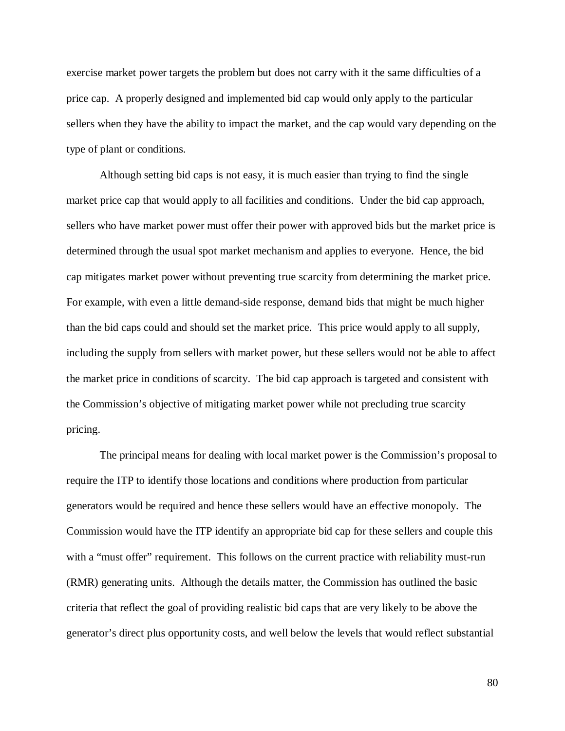exercise market power targets the problem but does not carry with it the same difficulties of a price cap. A properly designed and implemented bid cap would only apply to the particular sellers when they have the ability to impact the market, and the cap would vary depending on the type of plant or conditions.

Although setting bid caps is not easy, it is much easier than trying to find the single market price cap that would apply to all facilities and conditions. Under the bid cap approach, sellers who have market power must offer their power with approved bids but the market price is determined through the usual spot market mechanism and applies to everyone. Hence, the bid cap mitigates market power without preventing true scarcity from determining the market price. For example, with even a little demand-side response, demand bids that might be much higher than the bid caps could and should set the market price. This price would apply to all supply, including the supply from sellers with market power, but these sellers would not be able to affect the market price in conditions of scarcity. The bid cap approach is targeted and consistent with the Commission's objective of mitigating market power while not precluding true scarcity pricing.

The principal means for dealing with local market power is the Commission's proposal to require the ITP to identify those locations and conditions where production from particular generators would be required and hence these sellers would have an effective monopoly. The Commission would have the ITP identify an appropriate bid cap for these sellers and couple this with a "must offer" requirement. This follows on the current practice with reliability must-run (RMR) generating units. Although the details matter, the Commission has outlined the basic criteria that reflect the goal of providing realistic bid caps that are very likely to be above the generator's direct plus opportunity costs, and well below the levels that would reflect substantial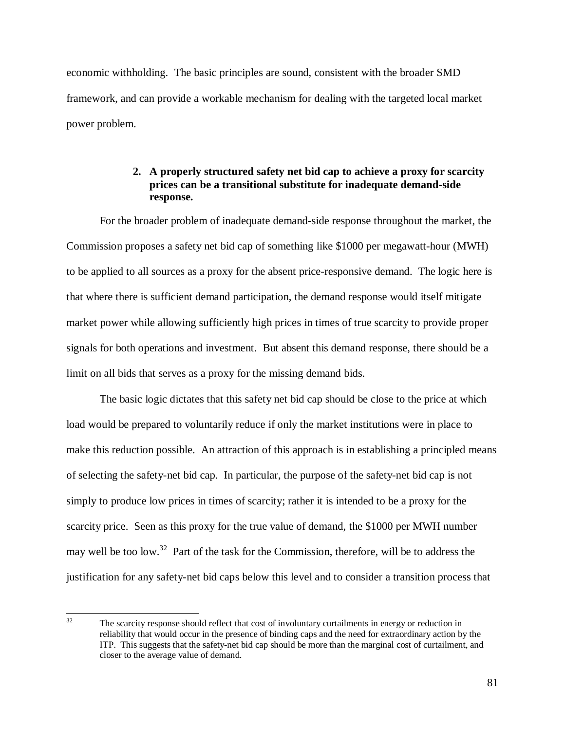economic withholding. The basic principles are sound, consistent with the broader SMD framework, and can provide a workable mechanism for dealing with the targeted local market power problem.

# **2. A properly structured safety net bid cap to achieve a proxy for scarcity prices can be a transitional substitute for inadequate demand-side response.**

For the broader problem of inadequate demand-side response throughout the market, the Commission proposes a safety net bid cap of something like \$1000 per megawatt-hour (MWH) to be applied to all sources as a proxy for the absent price-responsive demand. The logic here is that where there is sufficient demand participation, the demand response would itself mitigate market power while allowing sufficiently high prices in times of true scarcity to provide proper signals for both operations and investment. But absent this demand response, there should be a limit on all bids that serves as a proxy for the missing demand bids.

The basic logic dictates that this safety net bid cap should be close to the price at which load would be prepared to voluntarily reduce if only the market institutions were in place to make this reduction possible. An attraction of this approach is in establishing a principled means of selecting the safety-net bid cap. In particular, the purpose of the safety-net bid cap is not simply to produce low prices in times of scarcity; rather it is intended to be a proxy for the scarcity price. Seen as this proxy for the true value of demand, the \$1000 per MWH number may well be too low.<sup>32</sup> Part of the task for the Commission, therefore, will be to address the justification for any safety-net bid caps below this level and to consider a transition process that

 $32$ The scarcity response should reflect that cost of involuntary curtailments in energy or reduction in reliability that would occur in the presence of binding caps and the need for extraordinary action by the ITP. This suggests that the safety-net bid cap should be more than the marginal cost of curtailment, and closer to the average value of demand.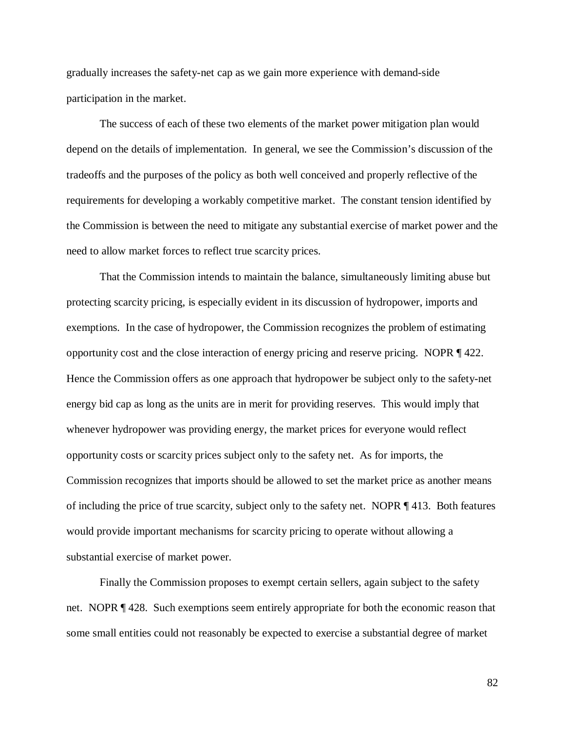gradually increases the safety-net cap as we gain more experience with demand-side participation in the market.

The success of each of these two elements of the market power mitigation plan would depend on the details of implementation. In general, we see the Commission's discussion of the tradeoffs and the purposes of the policy as both well conceived and properly reflective of the requirements for developing a workably competitive market. The constant tension identified by the Commission is between the need to mitigate any substantial exercise of market power and the need to allow market forces to reflect true scarcity prices.

That the Commission intends to maintain the balance, simultaneously limiting abuse but protecting scarcity pricing, is especially evident in its discussion of hydropower, imports and exemptions. In the case of hydropower, the Commission recognizes the problem of estimating opportunity cost and the close interaction of energy pricing and reserve pricing. NOPR ¶ 422. Hence the Commission offers as one approach that hydropower be subject only to the safety-net energy bid cap as long as the units are in merit for providing reserves. This would imply that whenever hydropower was providing energy, the market prices for everyone would reflect opportunity costs or scarcity prices subject only to the safety net. As for imports, the Commission recognizes that imports should be allowed to set the market price as another means of including the price of true scarcity, subject only to the safety net. NOPR ¶ 413. Both features would provide important mechanisms for scarcity pricing to operate without allowing a substantial exercise of market power.

Finally the Commission proposes to exempt certain sellers, again subject to the safety net. NOPR ¶ 428. Such exemptions seem entirely appropriate for both the economic reason that some small entities could not reasonably be expected to exercise a substantial degree of market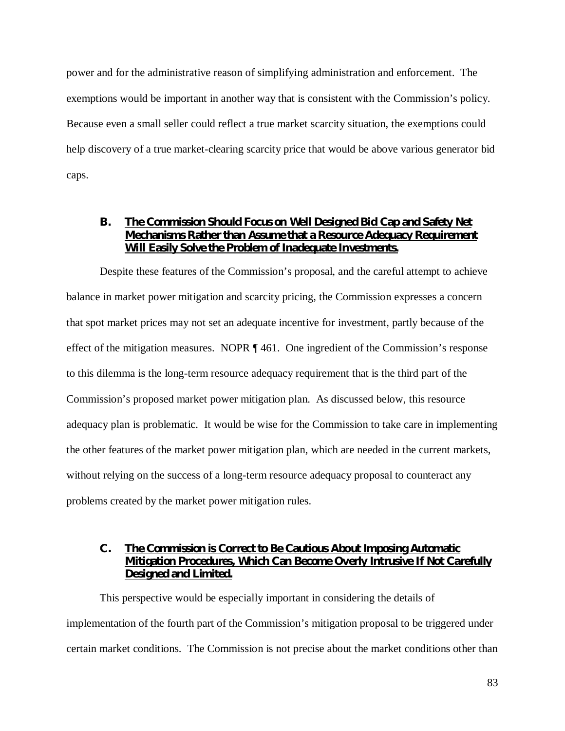power and for the administrative reason of simplifying administration and enforcement. The exemptions would be important in another way that is consistent with the Commission's policy. Because even a small seller could reflect a true market scarcity situation, the exemptions could help discovery of a true market-clearing scarcity price that would be above various generator bid caps.

## **B. The Commission Should Focus on Well Designed Bid Cap and Safety Net Mechanisms Rather than Assume that a Resource Adequacy Requirement Will Easily Solve the Problem of Inadequate Investments.**

Despite these features of the Commission's proposal, and the careful attempt to achieve balance in market power mitigation and scarcity pricing, the Commission expresses a concern that spot market prices may not set an adequate incentive for investment, partly because of the effect of the mitigation measures. NOPR ¶ 461. One ingredient of the Commission's response to this dilemma is the long-term resource adequacy requirement that is the third part of the Commission's proposed market power mitigation plan. As discussed below, this resource adequacy plan is problematic. It would be wise for the Commission to take care in implementing the other features of the market power mitigation plan, which are needed in the current markets, without relying on the success of a long-term resource adequacy proposal to counteract any problems created by the market power mitigation rules.

# **C. The Commission is Correct to Be Cautious About Imposing Automatic Mitigation Procedures, Which Can Become Overly Intrusive If Not Carefully Designed and Limited.**

This perspective would be especially important in considering the details of implementation of the fourth part of the Commission's mitigation proposal to be triggered under certain market conditions. The Commission is not precise about the market conditions other than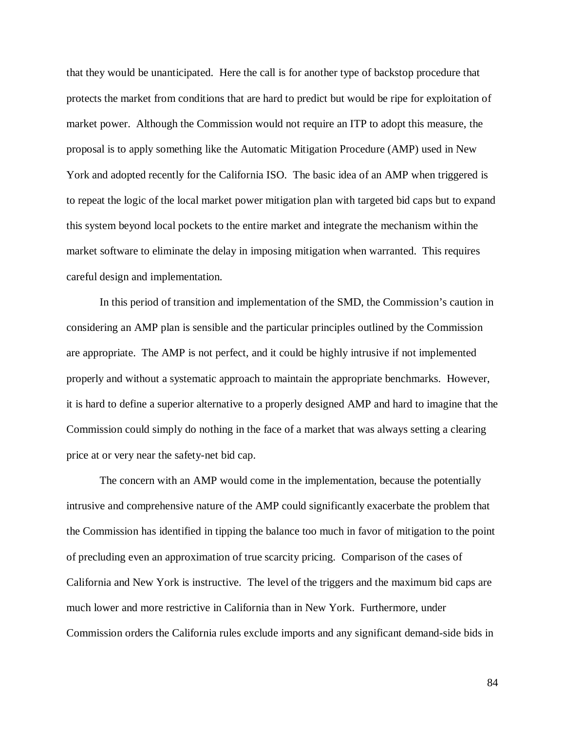that they would be unanticipated. Here the call is for another type of backstop procedure that protects the market from conditions that are hard to predict but would be ripe for exploitation of market power. Although the Commission would not require an ITP to adopt this measure, the proposal is to apply something like the Automatic Mitigation Procedure (AMP) used in New York and adopted recently for the California ISO. The basic idea of an AMP when triggered is to repeat the logic of the local market power mitigation plan with targeted bid caps but to expand this system beyond local pockets to the entire market and integrate the mechanism within the market software to eliminate the delay in imposing mitigation when warranted. This requires careful design and implementation.

In this period of transition and implementation of the SMD, the Commission's caution in considering an AMP plan is sensible and the particular principles outlined by the Commission are appropriate. The AMP is not perfect, and it could be highly intrusive if not implemented properly and without a systematic approach to maintain the appropriate benchmarks. However, it is hard to define a superior alternative to a properly designed AMP and hard to imagine that the Commission could simply do nothing in the face of a market that was always setting a clearing price at or very near the safety-net bid cap.

The concern with an AMP would come in the implementation, because the potentially intrusive and comprehensive nature of the AMP could significantly exacerbate the problem that the Commission has identified in tipping the balance too much in favor of mitigation to the point of precluding even an approximation of true scarcity pricing. Comparison of the cases of California and New York is instructive. The level of the triggers and the maximum bid caps are much lower and more restrictive in California than in New York. Furthermore, under Commission orders the California rules exclude imports and any significant demand-side bids in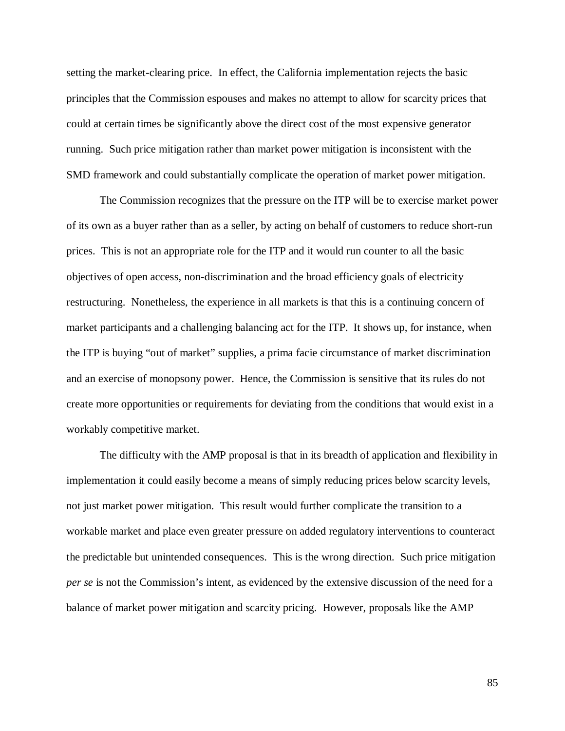setting the market-clearing price. In effect, the California implementation rejects the basic principles that the Commission espouses and makes no attempt to allow for scarcity prices that could at certain times be significantly above the direct cost of the most expensive generator running. Such price mitigation rather than market power mitigation is inconsistent with the SMD framework and could substantially complicate the operation of market power mitigation.

The Commission recognizes that the pressure on the ITP will be to exercise market power of its own as a buyer rather than as a seller, by acting on behalf of customers to reduce short-run prices. This is not an appropriate role for the ITP and it would run counter to all the basic objectives of open access, non-discrimination and the broad efficiency goals of electricity restructuring. Nonetheless, the experience in all markets is that this is a continuing concern of market participants and a challenging balancing act for the ITP. It shows up, for instance, when the ITP is buying "out of market" supplies, a prima facie circumstance of market discrimination and an exercise of monopsony power. Hence, the Commission is sensitive that its rules do not create more opportunities or requirements for deviating from the conditions that would exist in a workably competitive market.

The difficulty with the AMP proposal is that in its breadth of application and flexibility in implementation it could easily become a means of simply reducing prices below scarcity levels, not just market power mitigation. This result would further complicate the transition to a workable market and place even greater pressure on added regulatory interventions to counteract the predictable but unintended consequences. This is the wrong direction. Such price mitigation *per se* is not the Commission's intent, as evidenced by the extensive discussion of the need for a balance of market power mitigation and scarcity pricing. However, proposals like the AMP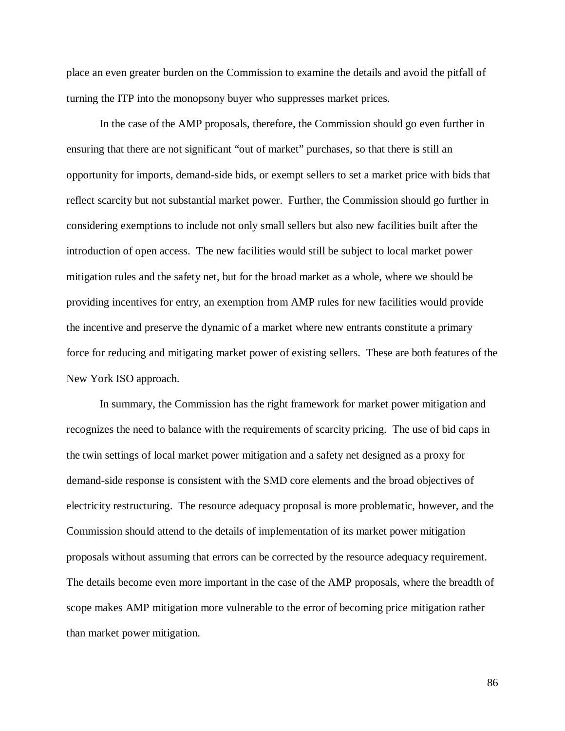place an even greater burden on the Commission to examine the details and avoid the pitfall of turning the ITP into the monopsony buyer who suppresses market prices.

In the case of the AMP proposals, therefore, the Commission should go even further in ensuring that there are not significant "out of market" purchases, so that there is still an opportunity for imports, demand-side bids, or exempt sellers to set a market price with bids that reflect scarcity but not substantial market power. Further, the Commission should go further in considering exemptions to include not only small sellers but also new facilities built after the introduction of open access. The new facilities would still be subject to local market power mitigation rules and the safety net, but for the broad market as a whole, where we should be providing incentives for entry, an exemption from AMP rules for new facilities would provide the incentive and preserve the dynamic of a market where new entrants constitute a primary force for reducing and mitigating market power of existing sellers. These are both features of the New York ISO approach.

In summary, the Commission has the right framework for market power mitigation and recognizes the need to balance with the requirements of scarcity pricing. The use of bid caps in the twin settings of local market power mitigation and a safety net designed as a proxy for demand-side response is consistent with the SMD core elements and the broad objectives of electricity restructuring. The resource adequacy proposal is more problematic, however, and the Commission should attend to the details of implementation of its market power mitigation proposals without assuming that errors can be corrected by the resource adequacy requirement. The details become even more important in the case of the AMP proposals, where the breadth of scope makes AMP mitigation more vulnerable to the error of becoming price mitigation rather than market power mitigation.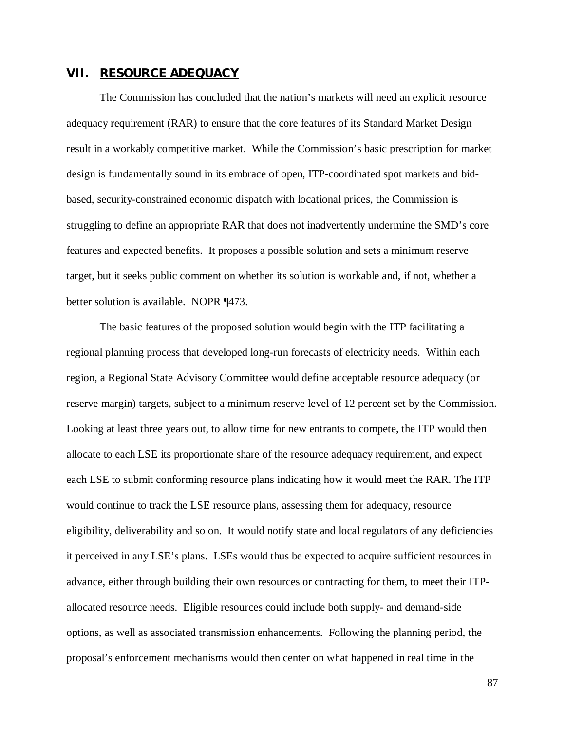#### **VII. RESOURCE ADEQUACY**

The Commission has concluded that the nation's markets will need an explicit resource adequacy requirement (RAR) to ensure that the core features of its Standard Market Design result in a workably competitive market. While the Commission's basic prescription for market design is fundamentally sound in its embrace of open, ITP-coordinated spot markets and bidbased, security-constrained economic dispatch with locational prices, the Commission is struggling to define an appropriate RAR that does not inadvertently undermine the SMD's core features and expected benefits. It proposes a possible solution and sets a minimum reserve target, but it seeks public comment on whether its solution is workable and, if not, whether a better solution is available. NOPR ¶473.

The basic features of the proposed solution would begin with the ITP facilitating a regional planning process that developed long-run forecasts of electricity needs. Within each region, a Regional State Advisory Committee would define acceptable resource adequacy (or reserve margin) targets, subject to a minimum reserve level of 12 percent set by the Commission. Looking at least three years out, to allow time for new entrants to compete, the ITP would then allocate to each LSE its proportionate share of the resource adequacy requirement, and expect each LSE to submit conforming resource plans indicating how it would meet the RAR. The ITP would continue to track the LSE resource plans, assessing them for adequacy, resource eligibility, deliverability and so on. It would notify state and local regulators of any deficiencies it perceived in any LSE's plans. LSEs would thus be expected to acquire sufficient resources in advance, either through building their own resources or contracting for them, to meet their ITPallocated resource needs. Eligible resources could include both supply- and demand-side options, as well as associated transmission enhancements. Following the planning period, the proposal's enforcement mechanisms would then center on what happened in real time in the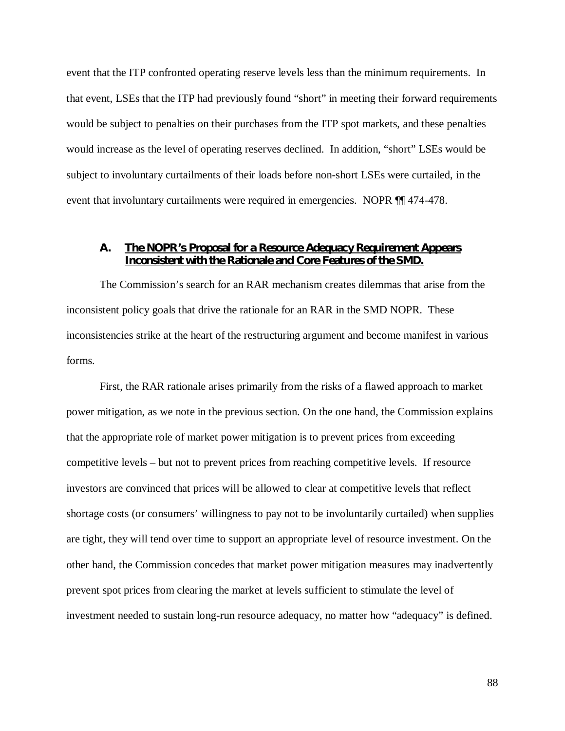event that the ITP confronted operating reserve levels less than the minimum requirements. In that event, LSEs that the ITP had previously found "short" in meeting their forward requirements would be subject to penalties on their purchases from the ITP spot markets, and these penalties would increase as the level of operating reserves declined. In addition, "short" LSEs would be subject to involuntary curtailments of their loads before non-short LSEs were curtailed, in the event that involuntary curtailments were required in emergencies. NOPR ¶¶ 474-478.

## **A. The NOPR's Proposal for a Resource Adequacy Requirement Appears Inconsistent with the Rationale and Core Features of the SMD.**

The Commission's search for an RAR mechanism creates dilemmas that arise from the inconsistent policy goals that drive the rationale for an RAR in the SMD NOPR. These inconsistencies strike at the heart of the restructuring argument and become manifest in various forms.

First, the RAR rationale arises primarily from the risks of a flawed approach to market power mitigation, as we note in the previous section. On the one hand, the Commission explains that the appropriate role of market power mitigation is to prevent prices from exceeding competitive levels – but not to prevent prices from reaching competitive levels. If resource investors are convinced that prices will be allowed to clear at competitive levels that reflect shortage costs (or consumers' willingness to pay not to be involuntarily curtailed) when supplies are tight, they will tend over time to support an appropriate level of resource investment. On the other hand, the Commission concedes that market power mitigation measures may inadvertently prevent spot prices from clearing the market at levels sufficient to stimulate the level of investment needed to sustain long-run resource adequacy, no matter how "adequacy" is defined.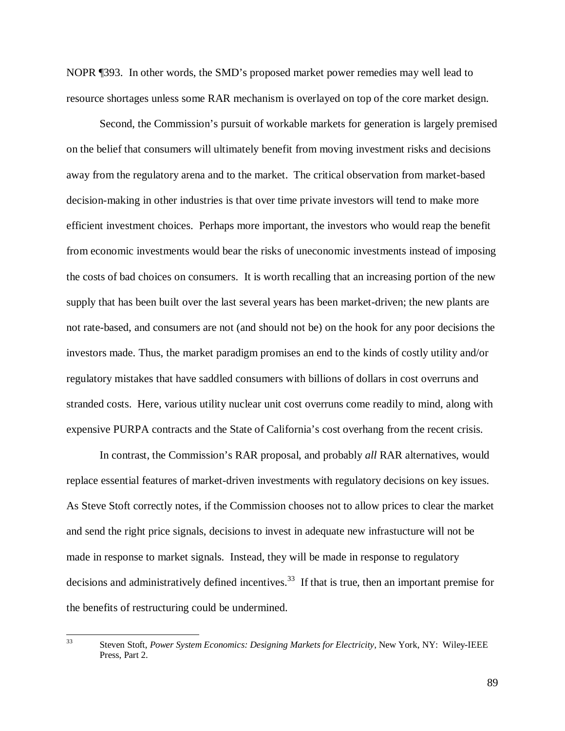NOPR ¶393. In other words, the SMD's proposed market power remedies may well lead to resource shortages unless some RAR mechanism is overlayed on top of the core market design.

Second, the Commission's pursuit of workable markets for generation is largely premised on the belief that consumers will ultimately benefit from moving investment risks and decisions away from the regulatory arena and to the market. The critical observation from market-based decision-making in other industries is that over time private investors will tend to make more efficient investment choices. Perhaps more important, the investors who would reap the benefit from economic investments would bear the risks of uneconomic investments instead of imposing the costs of bad choices on consumers. It is worth recalling that an increasing portion of the new supply that has been built over the last several years has been market-driven; the new plants are not rate-based, and consumers are not (and should not be) on the hook for any poor decisions the investors made. Thus, the market paradigm promises an end to the kinds of costly utility and/or regulatory mistakes that have saddled consumers with billions of dollars in cost overruns and stranded costs. Here, various utility nuclear unit cost overruns come readily to mind, along with expensive PURPA contracts and the State of California's cost overhang from the recent crisis.

In contrast, the Commission's RAR proposal, and probably *all* RAR alternatives, would replace essential features of market-driven investments with regulatory decisions on key issues. As Steve Stoft correctly notes, if the Commission chooses not to allow prices to clear the market and send the right price signals, decisions to invest in adequate new infrastucture will not be made in response to market signals. Instead, they will be made in response to regulatory decisions and administratively defined incentives.<sup>33</sup> If that is true, then an important premise for the benefits of restructuring could be undermined.

 $33<sup>3</sup>$ 

<sup>33</sup> Steven Stoft, *Power System Economics: Designing Markets for Electricity*, New York, NY: Wiley-IEEE Press, Part 2.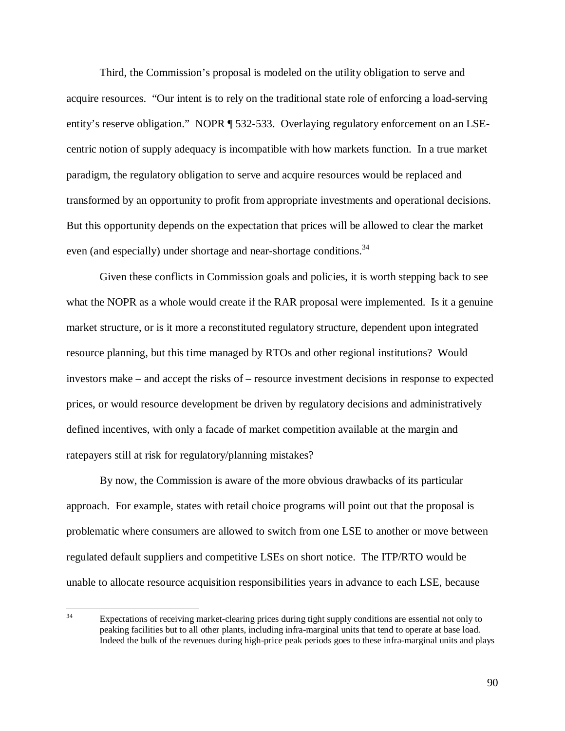Third, the Commission's proposal is modeled on the utility obligation to serve and acquire resources. "Our intent is to rely on the traditional state role of enforcing a load-serving entity's reserve obligation." NOPR ¶ 532-533. Overlaying regulatory enforcement on an LSEcentric notion of supply adequacy is incompatible with how markets function. In a true market paradigm, the regulatory obligation to serve and acquire resources would be replaced and transformed by an opportunity to profit from appropriate investments and operational decisions. But this opportunity depends on the expectation that prices will be allowed to clear the market even (and especially) under shortage and near-shortage conditions.<sup>34</sup>

Given these conflicts in Commission goals and policies, it is worth stepping back to see what the NOPR as a whole would create if the RAR proposal were implemented. Is it a genuine market structure, or is it more a reconstituted regulatory structure, dependent upon integrated resource planning, but this time managed by RTOs and other regional institutions? Would investors make – and accept the risks of – resource investment decisions in response to expected prices, or would resource development be driven by regulatory decisions and administratively defined incentives, with only a facade of market competition available at the margin and ratepayers still at risk for regulatory/planning mistakes?

By now, the Commission is aware of the more obvious drawbacks of its particular approach. For example, states with retail choice programs will point out that the proposal is problematic where consumers are allowed to switch from one LSE to another or move between regulated default suppliers and competitive LSEs on short notice. The ITP/RTO would be unable to allocate resource acquisition responsibilities years in advance to each LSE, because

 $34$ Expectations of receiving market-clearing prices during tight supply conditions are essential not only to peaking facilities but to all other plants, including infra-marginal units that tend to operate at base load. Indeed the bulk of the revenues during high-price peak periods goes to these infra-marginal units and plays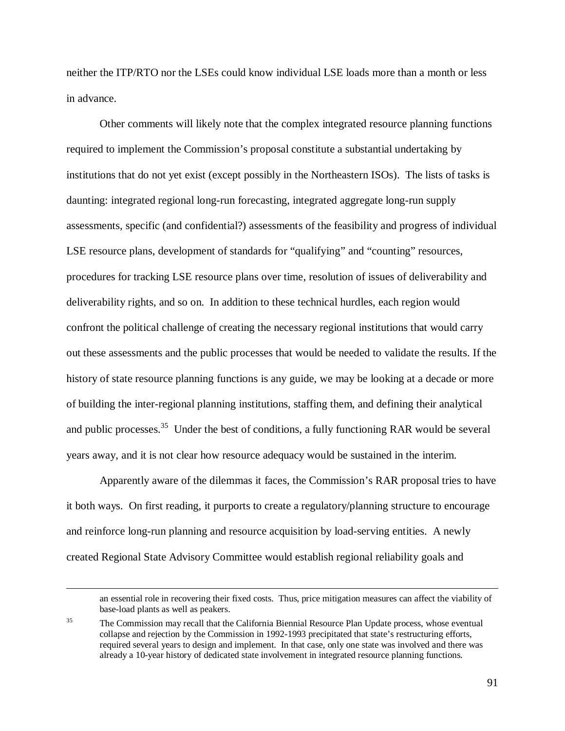neither the ITP/RTO nor the LSEs could know individual LSE loads more than a month or less in advance.

Other comments will likely note that the complex integrated resource planning functions required to implement the Commission's proposal constitute a substantial undertaking by institutions that do not yet exist (except possibly in the Northeastern ISOs). The lists of tasks is daunting: integrated regional long-run forecasting, integrated aggregate long-run supply assessments, specific (and confidential?) assessments of the feasibility and progress of individual LSE resource plans, development of standards for "qualifying" and "counting" resources, procedures for tracking LSE resource plans over time, resolution of issues of deliverability and deliverability rights, and so on. In addition to these technical hurdles, each region would confront the political challenge of creating the necessary regional institutions that would carry out these assessments and the public processes that would be needed to validate the results. If the history of state resource planning functions is any guide, we may be looking at a decade or more of building the inter-regional planning institutions, staffing them, and defining their analytical and public processes.<sup>35</sup> Under the best of conditions, a fully functioning RAR would be several years away, and it is not clear how resource adequacy would be sustained in the interim.

Apparently aware of the dilemmas it faces, the Commission's RAR proposal tries to have it both ways. On first reading, it purports to create a regulatory/planning structure to encourage and reinforce long-run planning and resource acquisition by load-serving entities. A newly created Regional State Advisory Committee would establish regional reliability goals and

an essential role in recovering their fixed costs. Thus, price mitigation measures can affect the viability of base-load plants as well as peakers.

<sup>&</sup>lt;sup>35</sup> The Commission may recall that the California Biennial Resource Plan Update process, whose eventual collapse and rejection by the Commission in 1992-1993 precipitated that state's restructuring efforts, required several years to design and implement. In that case, only one state was involved and there was already a 10-year history of dedicated state involvement in integrated resource planning functions.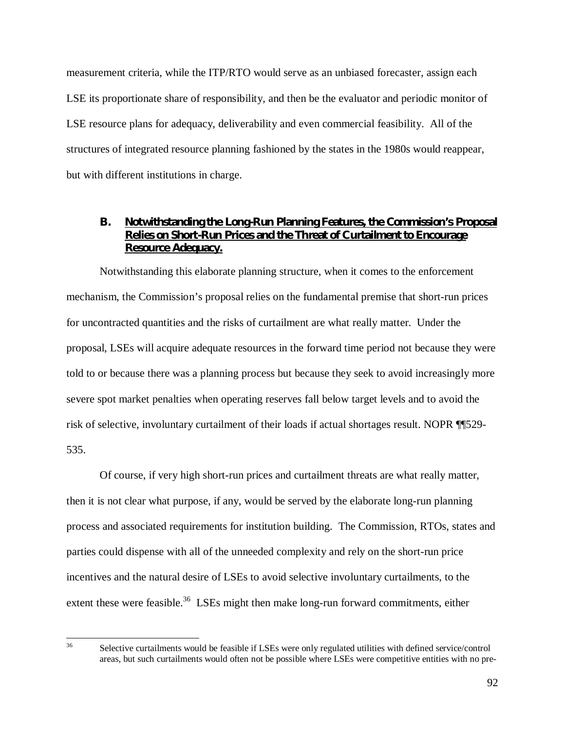measurement criteria, while the ITP/RTO would serve as an unbiased forecaster, assign each LSE its proportionate share of responsibility, and then be the evaluator and periodic monitor of LSE resource plans for adequacy, deliverability and even commercial feasibility. All of the structures of integrated resource planning fashioned by the states in the 1980s would reappear, but with different institutions in charge.

## **B. Notwithstanding the Long-Run Planning Features, the Commission's Proposal Relies on Short-Run Prices and the Threat of Curtailment to Encourage Resource Adequacy.**

Notwithstanding this elaborate planning structure, when it comes to the enforcement mechanism, the Commission's proposal relies on the fundamental premise that short-run prices for uncontracted quantities and the risks of curtailment are what really matter. Under the proposal, LSEs will acquire adequate resources in the forward time period not because they were told to or because there was a planning process but because they seek to avoid increasingly more severe spot market penalties when operating reserves fall below target levels and to avoid the risk of selective, involuntary curtailment of their loads if actual shortages result. NOPR ¶¶529- 535.

Of course, if very high short-run prices and curtailment threats are what really matter, then it is not clear what purpose, if any, would be served by the elaborate long-run planning process and associated requirements for institution building. The Commission, RTOs, states and parties could dispense with all of the unneeded complexity and rely on the short-run price incentives and the natural desire of LSEs to avoid selective involuntary curtailments, to the extent these were feasible.<sup>36</sup> LSEs might then make long-run forward commitments, either

<sup>36</sup> Selective curtailments would be feasible if LSEs were only regulated utilities with defined service/control areas, but such curtailments would often not be possible where LSEs were competitive entities with no pre-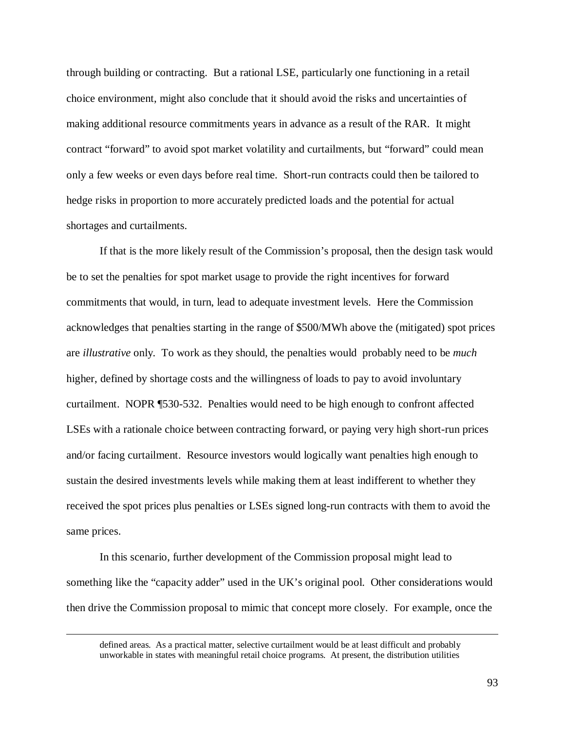through building or contracting. But a rational LSE, particularly one functioning in a retail choice environment, might also conclude that it should avoid the risks and uncertainties of making additional resource commitments years in advance as a result of the RAR. It might contract "forward" to avoid spot market volatility and curtailments, but "forward" could mean only a few weeks or even days before real time. Short-run contracts could then be tailored to hedge risks in proportion to more accurately predicted loads and the potential for actual shortages and curtailments.

If that is the more likely result of the Commission's proposal, then the design task would be to set the penalties for spot market usage to provide the right incentives for forward commitments that would, in turn, lead to adequate investment levels. Here the Commission acknowledges that penalties starting in the range of \$500/MWh above the (mitigated) spot prices are *illustrative* only. To work as they should, the penalties would probably need to be *much* higher, defined by shortage costs and the willingness of loads to pay to avoid involuntary curtailment. NOPR ¶530-532. Penalties would need to be high enough to confront affected LSEs with a rationale choice between contracting forward, or paying very high short-run prices and/or facing curtailment. Resource investors would logically want penalties high enough to sustain the desired investments levels while making them at least indifferent to whether they received the spot prices plus penalties or LSEs signed long-run contracts with them to avoid the same prices.

In this scenario, further development of the Commission proposal might lead to something like the "capacity adder" used in the UK's original pool. Other considerations would then drive the Commission proposal to mimic that concept more closely. For example, once the

defined areas. As a practical matter, selective curtailment would be at least difficult and probably unworkable in states with meaningful retail choice programs. At present, the distribution utilities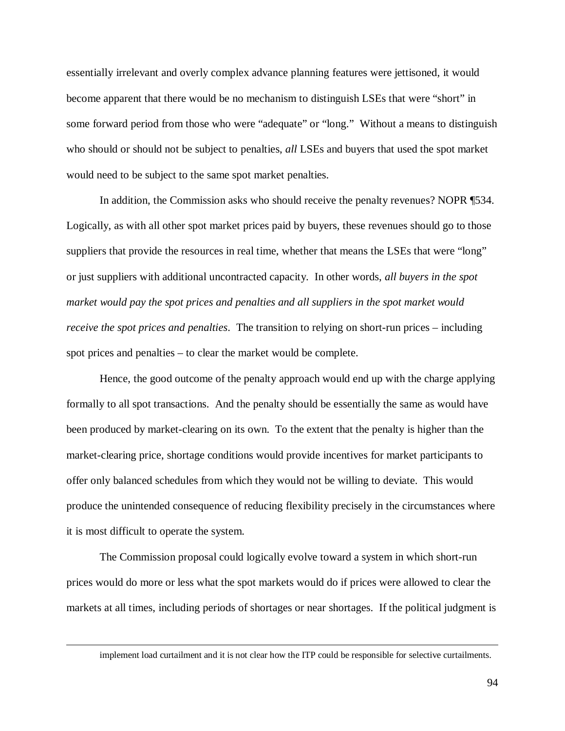essentially irrelevant and overly complex advance planning features were jettisoned, it would become apparent that there would be no mechanism to distinguish LSEs that were "short" in some forward period from those who were "adequate" or "long." Without a means to distinguish who should or should not be subject to penalties, *all* LSEs and buyers that used the spot market would need to be subject to the same spot market penalties.

In addition, the Commission asks who should receive the penalty revenues? NOPR ¶534. Logically, as with all other spot market prices paid by buyers, these revenues should go to those suppliers that provide the resources in real time, whether that means the LSEs that were "long" or just suppliers with additional uncontracted capacity. In other words, *all buyers in the spot market would pay the spot prices and penalties and all suppliers in the spot market would receive the spot prices and penalties*. The transition to relying on short-run prices – including spot prices and penalties – to clear the market would be complete.

Hence, the good outcome of the penalty approach would end up with the charge applying formally to all spot transactions. And the penalty should be essentially the same as would have been produced by market-clearing on its own. To the extent that the penalty is higher than the market-clearing price, shortage conditions would provide incentives for market participants to offer only balanced schedules from which they would not be willing to deviate. This would produce the unintended consequence of reducing flexibility precisely in the circumstances where it is most difficult to operate the system.

The Commission proposal could logically evolve toward a system in which short-run prices would do more or less what the spot markets would do if prices were allowed to clear the markets at all times, including periods of shortages or near shortages. If the political judgment is

implement load curtailment and it is not clear how the ITP could be responsible for selective curtailments.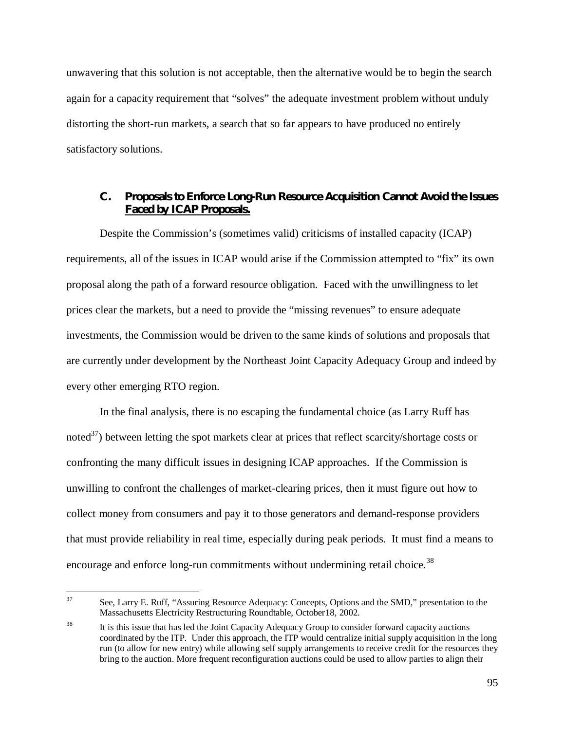unwavering that this solution is not acceptable, then the alternative would be to begin the search again for a capacity requirement that "solves" the adequate investment problem without unduly distorting the short-run markets, a search that so far appears to have produced no entirely satisfactory solutions.

# **C. Proposals to Enforce Long-Run Resource Acquisition Cannot Avoid the Issues Faced by ICAP Proposals.**

Despite the Commission's (sometimes valid) criticisms of installed capacity (ICAP) requirements, all of the issues in ICAP would arise if the Commission attempted to "fix" its own proposal along the path of a forward resource obligation. Faced with the unwillingness to let prices clear the markets, but a need to provide the "missing revenues" to ensure adequate investments, the Commission would be driven to the same kinds of solutions and proposals that are currently under development by the Northeast Joint Capacity Adequacy Group and indeed by every other emerging RTO region.

In the final analysis, there is no escaping the fundamental choice (as Larry Ruff has noted $^{37}$ ) between letting the spot markets clear at prices that reflect scarcity/shortage costs or confronting the many difficult issues in designing ICAP approaches. If the Commission is unwilling to confront the challenges of market-clearing prices, then it must figure out how to collect money from consumers and pay it to those generators and demand-response providers that must provide reliability in real time, especially during peak periods. It must find a means to encourage and enforce long-run commitments without undermining retail choice.<sup>38</sup>

<sup>37</sup> See, Larry E. Ruff, "Assuring Resource Adequacy: Concepts, Options and the SMD," presentation to the Massachusetts Electricity Restructuring Roundtable, October18, 2002.

<sup>&</sup>lt;sup>38</sup> It is this issue that has led the Joint Capacity Adequacy Group to consider forward capacity auctions coordinated by the ITP. Under this approach, the ITP would centralize initial supply acquisition in the long run (to allow for new entry) while allowing self supply arrangements to receive credit for the resources they bring to the auction. More frequent reconfiguration auctions could be used to allow parties to align their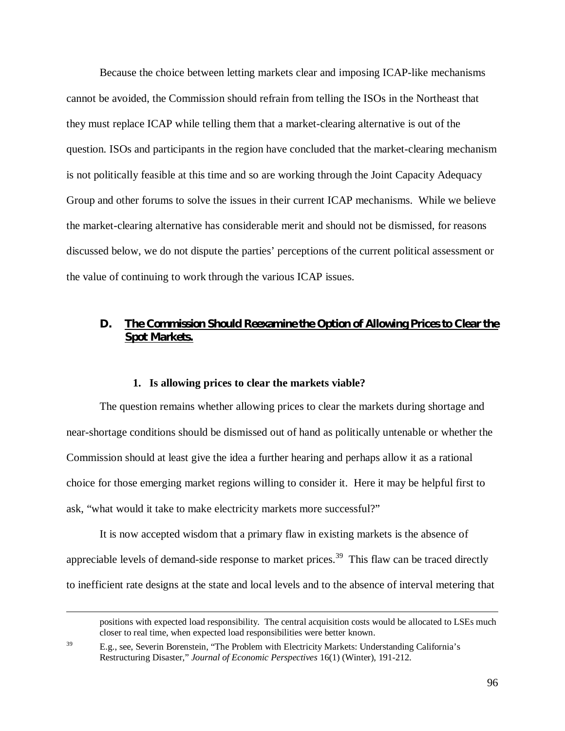Because the choice between letting markets clear and imposing ICAP-like mechanisms cannot be avoided, the Commission should refrain from telling the ISOs in the Northeast that they must replace ICAP while telling them that a market-clearing alternative is out of the question. ISOs and participants in the region have concluded that the market-clearing mechanism is not politically feasible at this time and so are working through the Joint Capacity Adequacy Group and other forums to solve the issues in their current ICAP mechanisms. While we believe the market-clearing alternative has considerable merit and should not be dismissed, for reasons discussed below, we do not dispute the parties' perceptions of the current political assessment or the value of continuing to work through the various ICAP issues.

# **D. The Commission Should Reexamine the Option of Allowing Prices to Clear the Spot Markets.**

#### **1. Is allowing prices to clear the markets viable?**

The question remains whether allowing prices to clear the markets during shortage and near-shortage conditions should be dismissed out of hand as politically untenable or whether the Commission should at least give the idea a further hearing and perhaps allow it as a rational choice for those emerging market regions willing to consider it. Here it may be helpful first to ask, "what would it take to make electricity markets more successful?"

It is now accepted wisdom that a primary flaw in existing markets is the absence of appreciable levels of demand-side response to market prices.<sup>39</sup> This flaw can be traced directly to inefficient rate designs at the state and local levels and to the absence of interval metering that

 positions with expected load responsibility. The central acquisition costs would be allocated to LSEs much closer to real time, when expected load responsibilities were better known.

<sup>&</sup>lt;sup>39</sup> E.g., see, Severin Borenstein, "The Problem with Electricity Markets: Understanding California's Restructuring Disaster," *Journal of Economic Perspectives* 16(1) (Winter), 191-212.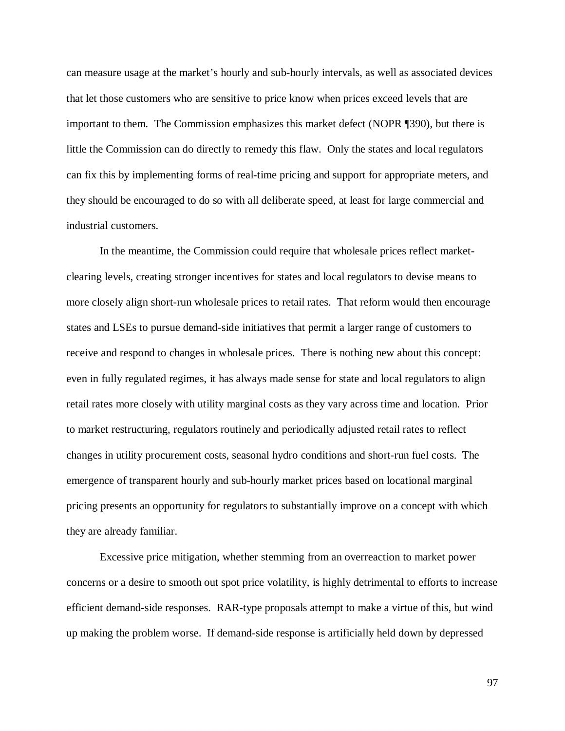can measure usage at the market's hourly and sub-hourly intervals, as well as associated devices that let those customers who are sensitive to price know when prices exceed levels that are important to them. The Commission emphasizes this market defect (NOPR ¶390), but there is little the Commission can do directly to remedy this flaw. Only the states and local regulators can fix this by implementing forms of real-time pricing and support for appropriate meters, and they should be encouraged to do so with all deliberate speed, at least for large commercial and industrial customers.

In the meantime, the Commission could require that wholesale prices reflect marketclearing levels, creating stronger incentives for states and local regulators to devise means to more closely align short-run wholesale prices to retail rates. That reform would then encourage states and LSEs to pursue demand-side initiatives that permit a larger range of customers to receive and respond to changes in wholesale prices. There is nothing new about this concept: even in fully regulated regimes, it has always made sense for state and local regulators to align retail rates more closely with utility marginal costs as they vary across time and location. Prior to market restructuring, regulators routinely and periodically adjusted retail rates to reflect changes in utility procurement costs, seasonal hydro conditions and short-run fuel costs. The emergence of transparent hourly and sub-hourly market prices based on locational marginal pricing presents an opportunity for regulators to substantially improve on a concept with which they are already familiar.

Excessive price mitigation, whether stemming from an overreaction to market power concerns or a desire to smooth out spot price volatility, is highly detrimental to efforts to increase efficient demand-side responses. RAR-type proposals attempt to make a virtue of this, but wind up making the problem worse. If demand-side response is artificially held down by depressed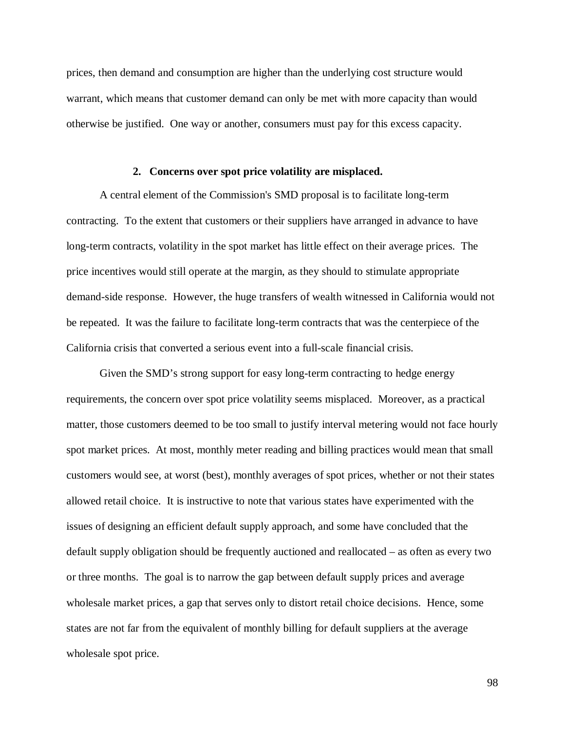prices, then demand and consumption are higher than the underlying cost structure would warrant, which means that customer demand can only be met with more capacity than would otherwise be justified. One way or another, consumers must pay for this excess capacity.

#### **2. Concerns over spot price volatility are misplaced.**

A central element of the Commission's SMD proposal is to facilitate long-term contracting. To the extent that customers or their suppliers have arranged in advance to have long-term contracts, volatility in the spot market has little effect on their average prices. The price incentives would still operate at the margin, as they should to stimulate appropriate demand-side response. However, the huge transfers of wealth witnessed in California would not be repeated. It was the failure to facilitate long-term contracts that was the centerpiece of the California crisis that converted a serious event into a full-scale financial crisis.

Given the SMD's strong support for easy long-term contracting to hedge energy requirements, the concern over spot price volatility seems misplaced. Moreover, as a practical matter, those customers deemed to be too small to justify interval metering would not face hourly spot market prices. At most, monthly meter reading and billing practices would mean that small customers would see, at worst (best), monthly averages of spot prices, whether or not their states allowed retail choice. It is instructive to note that various states have experimented with the issues of designing an efficient default supply approach, and some have concluded that the default supply obligation should be frequently auctioned and reallocated – as often as every two or three months. The goal is to narrow the gap between default supply prices and average wholesale market prices, a gap that serves only to distort retail choice decisions. Hence, some states are not far from the equivalent of monthly billing for default suppliers at the average wholesale spot price.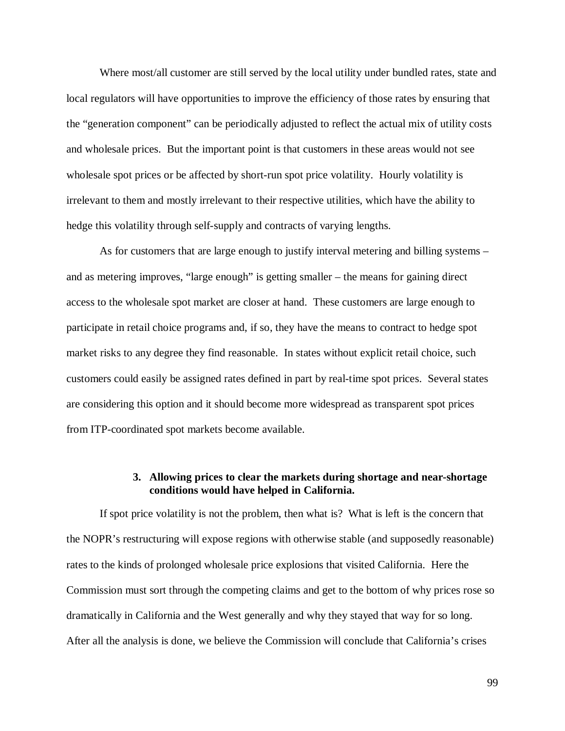Where most/all customer are still served by the local utility under bundled rates, state and local regulators will have opportunities to improve the efficiency of those rates by ensuring that the "generation component" can be periodically adjusted to reflect the actual mix of utility costs and wholesale prices. But the important point is that customers in these areas would not see wholesale spot prices or be affected by short-run spot price volatility. Hourly volatility is irrelevant to them and mostly irrelevant to their respective utilities, which have the ability to hedge this volatility through self-supply and contracts of varying lengths.

As for customers that are large enough to justify interval metering and billing systems – and as metering improves, "large enough" is getting smaller – the means for gaining direct access to the wholesale spot market are closer at hand. These customers are large enough to participate in retail choice programs and, if so, they have the means to contract to hedge spot market risks to any degree they find reasonable. In states without explicit retail choice, such customers could easily be assigned rates defined in part by real-time spot prices. Several states are considering this option and it should become more widespread as transparent spot prices from ITP-coordinated spot markets become available.

# **3. Allowing prices to clear the markets during shortage and near-shortage conditions would have helped in California.**

If spot price volatility is not the problem, then what is? What is left is the concern that the NOPR's restructuring will expose regions with otherwise stable (and supposedly reasonable) rates to the kinds of prolonged wholesale price explosions that visited California. Here the Commission must sort through the competing claims and get to the bottom of why prices rose so dramatically in California and the West generally and why they stayed that way for so long. After all the analysis is done, we believe the Commission will conclude that California's crises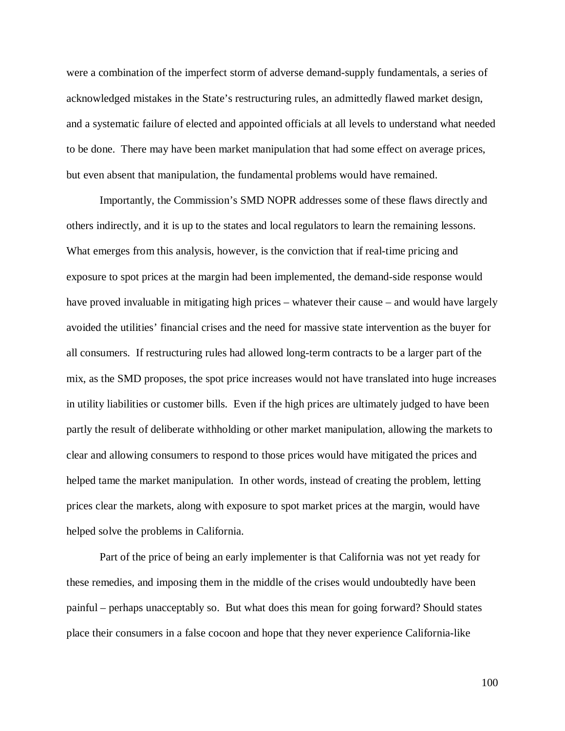were a combination of the imperfect storm of adverse demand-supply fundamentals, a series of acknowledged mistakes in the State's restructuring rules, an admittedly flawed market design, and a systematic failure of elected and appointed officials at all levels to understand what needed to be done. There may have been market manipulation that had some effect on average prices, but even absent that manipulation, the fundamental problems would have remained.

Importantly, the Commission's SMD NOPR addresses some of these flaws directly and others indirectly, and it is up to the states and local regulators to learn the remaining lessons. What emerges from this analysis, however, is the conviction that if real-time pricing and exposure to spot prices at the margin had been implemented, the demand-side response would have proved invaluable in mitigating high prices – whatever their cause – and would have largely avoided the utilities' financial crises and the need for massive state intervention as the buyer for all consumers. If restructuring rules had allowed long-term contracts to be a larger part of the mix, as the SMD proposes, the spot price increases would not have translated into huge increases in utility liabilities or customer bills. Even if the high prices are ultimately judged to have been partly the result of deliberate withholding or other market manipulation, allowing the markets to clear and allowing consumers to respond to those prices would have mitigated the prices and helped tame the market manipulation. In other words, instead of creating the problem, letting prices clear the markets, along with exposure to spot market prices at the margin, would have helped solve the problems in California.

Part of the price of being an early implementer is that California was not yet ready for these remedies, and imposing them in the middle of the crises would undoubtedly have been painful – perhaps unacceptably so. But what does this mean for going forward? Should states place their consumers in a false cocoon and hope that they never experience California-like